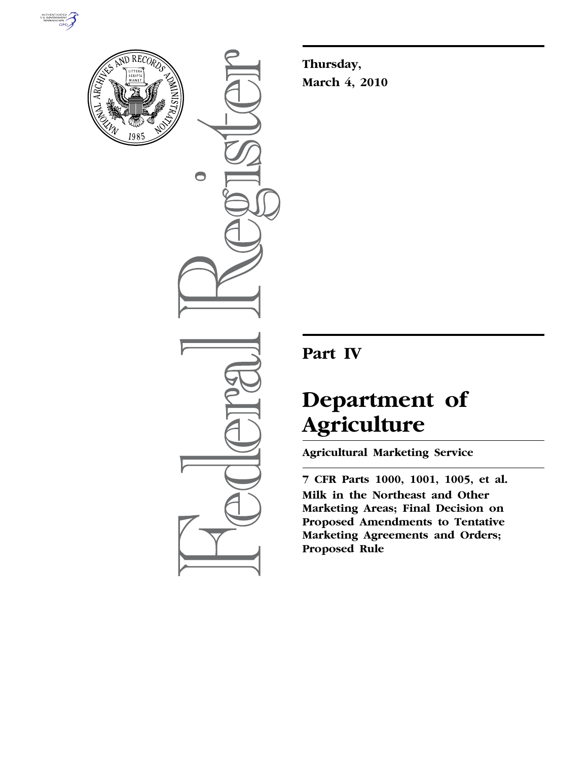



 $\bigcirc$ 

**Thursday, March 4, 2010** 

# **Part IV**

# **Department of Agriculture**

**Agricultural Marketing Service** 

**7 CFR Parts 1000, 1001, 1005, et al. Milk in the Northeast and Other Marketing Areas; Final Decision on Proposed Amendments to Tentative Marketing Agreements and Orders; Proposed Rule**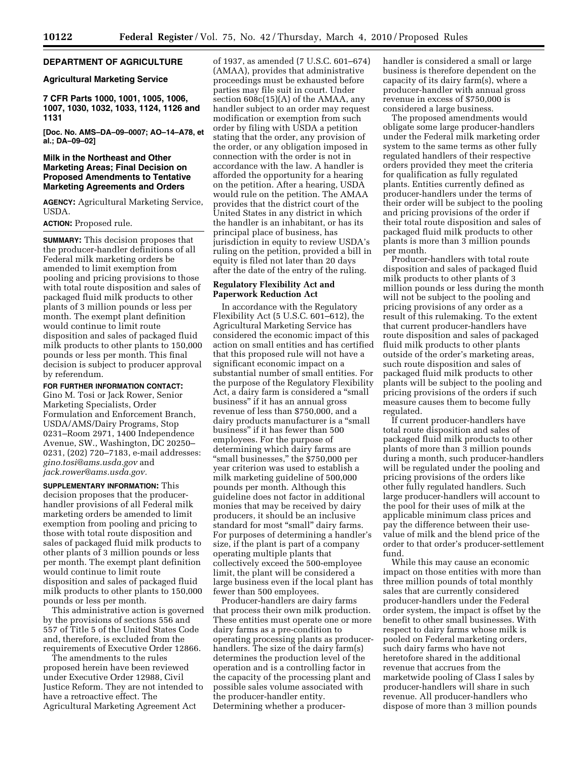# **DEPARTMENT OF AGRICULTURE**

#### **Agricultural Marketing Service**

**7 CFR Parts 1000, 1001, 1005, 1006, 1007, 1030, 1032, 1033, 1124, 1126 and 1131** 

**[Doc. No. AMS–DA–09–0007; AO–14–A78, et al.; DA–09–02]** 

## **Milk in the Northeast and Other Marketing Areas; Final Decision on Proposed Amendments to Tentative Marketing Agreements and Orders**

**AGENCY:** Agricultural Marketing Service, USDA.

**ACTION:** Proposed rule.

**SUMMARY:** This decision proposes that the producer-handler definitions of all Federal milk marketing orders be amended to limit exemption from pooling and pricing provisions to those with total route disposition and sales of packaged fluid milk products to other plants of 3 million pounds or less per month. The exempt plant definition would continue to limit route disposition and sales of packaged fluid milk products to other plants to 150,000 pounds or less per month. This final decision is subject to producer approval by referendum.

**FOR FURTHER INFORMATION CONTACT:** 

Gino M. Tosi or Jack Rower, Senior Marketing Specialists, Order Formulation and Enforcement Branch, USDA/AMS/Dairy Programs, Stop 0231–Room 2971, 1400 Independence Avenue, SW., Washington, DC 20250– 0231, (202) 720–7183, e-mail addresses: *gino.tosi@ams.usda.gov* and *jack.rower@ams.usda.gov.* 

**SUPPLEMENTARY INFORMATION:** This decision proposes that the producerhandler provisions of all Federal milk marketing orders be amended to limit exemption from pooling and pricing to those with total route disposition and sales of packaged fluid milk products to other plants of 3 million pounds or less per month. The exempt plant definition would continue to limit route disposition and sales of packaged fluid milk products to other plants to 150,000 pounds or less per month.

This administrative action is governed by the provisions of sections 556 and 557 of Title 5 of the United States Code and, therefore, is excluded from the requirements of Executive Order 12866.

The amendments to the rules proposed herein have been reviewed under Executive Order 12988, Civil Justice Reform. They are not intended to have a retroactive effect. The Agricultural Marketing Agreement Act

of 1937, as amended (7 U.S.C. 601–674) (AMAA), provides that administrative proceedings must be exhausted before parties may file suit in court. Under section 608c(15)(A) of the AMAA, any handler subject to an order may request modification or exemption from such order by filing with USDA a petition stating that the order, any provision of the order, or any obligation imposed in connection with the order is not in accordance with the law. A handler is afforded the opportunity for a hearing on the petition. After a hearing, USDA would rule on the petition. The AMAA provides that the district court of the United States in any district in which the handler is an inhabitant, or has its principal place of business, has jurisdiction in equity to review USDA's ruling on the petition, provided a bill in equity is filed not later than 20 days after the date of the entry of the ruling.

# **Regulatory Flexibility Act and Paperwork Reduction Act**

In accordance with the Regulatory Flexibility Act (5 U.S.C. 601–612), the Agricultural Marketing Service has considered the economic impact of this action on small entities and has certified that this proposed rule will not have a significant economic impact on a substantial number of small entities. For the purpose of the Regulatory Flexibility Act, a dairy farm is considered a ''small business'' if it has an annual gross revenue of less than \$750,000, and a dairy products manufacturer is a "small business'' if it has fewer than 500 employees. For the purpose of determining which dairy farms are "small businesses," the \$750,000 per year criterion was used to establish a milk marketing guideline of 500,000 pounds per month. Although this guideline does not factor in additional monies that may be received by dairy producers, it should be an inclusive standard for most ''small'' dairy farms. For purposes of determining a handler's size, if the plant is part of a company operating multiple plants that collectively exceed the 500-employee limit, the plant will be considered a large business even if the local plant has fewer than 500 employees.

Producer-handlers are dairy farms that process their own milk production. These entities must operate one or more dairy farms as a pre-condition to operating processing plants as producerhandlers. The size of the dairy farm(s) determines the production level of the operation and is a controlling factor in the capacity of the processing plant and possible sales volume associated with the producer-handler entity. Determining whether a producerhandler is considered a small or large business is therefore dependent on the capacity of its dairy farm(s), where a producer-handler with annual gross revenue in excess of \$750,000 is considered a large business.

The proposed amendments would obligate some large producer-handlers under the Federal milk marketing order system to the same terms as other fully regulated handlers of their respective orders provided they meet the criteria for qualification as fully regulated plants. Entities currently defined as producer-handlers under the terms of their order will be subject to the pooling and pricing provisions of the order if their total route disposition and sales of packaged fluid milk products to other plants is more than 3 million pounds per month.

Producer-handlers with total route disposition and sales of packaged fluid milk products to other plants of 3 million pounds or less during the month will not be subject to the pooling and pricing provisions of any order as a result of this rulemaking. To the extent that current producer-handlers have route disposition and sales of packaged fluid milk products to other plants outside of the order's marketing areas, such route disposition and sales of packaged fluid milk products to other plants will be subject to the pooling and pricing provisions of the orders if such measure causes them to become fully regulated.

If current producer-handlers have total route disposition and sales of packaged fluid milk products to other plants of more than 3 million pounds during a month, such producer-handlers will be regulated under the pooling and pricing provisions of the orders like other fully regulated handlers. Such large producer-handlers will account to the pool for their uses of milk at the applicable minimum class prices and pay the difference between their usevalue of milk and the blend price of the order to that order's producer-settlement fund.

While this may cause an economic impact on those entities with more than three million pounds of total monthly sales that are currently considered producer-handlers under the Federal order system, the impact is offset by the benefit to other small businesses. With respect to dairy farms whose milk is pooled on Federal marketing orders, such dairy farms who have not heretofore shared in the additional revenue that accrues from the marketwide pooling of Class I sales by producer-handlers will share in such revenue. All producer-handlers who dispose of more than 3 million pounds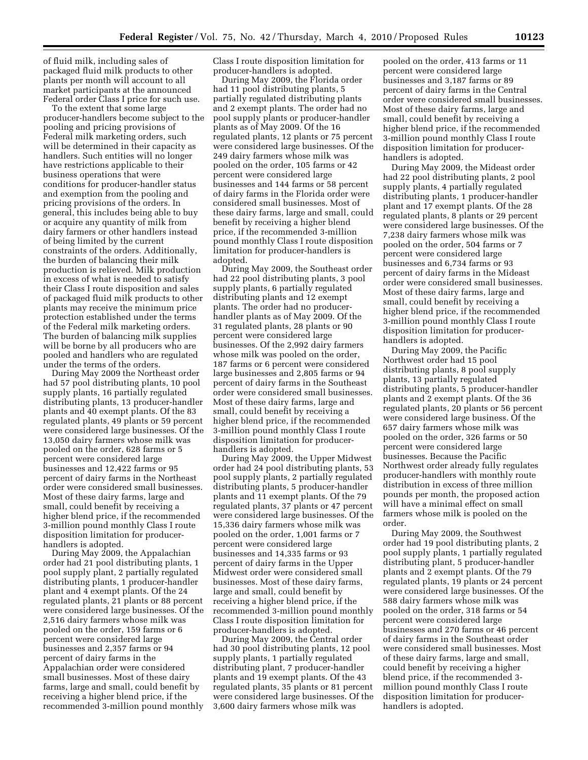of fluid milk, including sales of packaged fluid milk products to other plants per month will account to all market participants at the announced Federal order Class I price for such use.

To the extent that some large producer-handlers become subject to the pooling and pricing provisions of Federal milk marketing orders, such will be determined in their capacity as handlers. Such entities will no longer have restrictions applicable to their business operations that were conditions for producer-handler status and exemption from the pooling and pricing provisions of the orders. In general, this includes being able to buy or acquire any quantity of milk from dairy farmers or other handlers instead of being limited by the current constraints of the orders. Additionally, the burden of balancing their milk production is relieved. Milk production in excess of what is needed to satisfy their Class I route disposition and sales of packaged fluid milk products to other plants may receive the minimum price protection established under the terms of the Federal milk marketing orders. The burden of balancing milk supplies will be borne by all producers who are pooled and handlers who are regulated under the terms of the orders.

During May 2009 the Northeast order had 57 pool distributing plants, 10 pool supply plants, 16 partially regulated distributing plants, 13 producer-handler plants and 40 exempt plants. Of the 83 regulated plants, 49 plants or 59 percent were considered large businesses. Of the 13,050 dairy farmers whose milk was pooled on the order, 628 farms or 5 percent were considered large businesses and 12,422 farms or 95 percent of dairy farms in the Northeast order were considered small businesses. Most of these dairy farms, large and small, could benefit by receiving a higher blend price, if the recommended 3-million pound monthly Class I route disposition limitation for producerhandlers is adopted.

During May 2009, the Appalachian order had 21 pool distributing plants, 1 pool supply plant, 2 partially regulated distributing plants, 1 producer-handler plant and 4 exempt plants. Of the 24 regulated plants, 21 plants or 88 percent were considered large businesses. Of the 2,516 dairy farmers whose milk was pooled on the order, 159 farms or 6 percent were considered large businesses and 2,357 farms or 94 percent of dairy farms in the Appalachian order were considered small businesses. Most of these dairy farms, large and small, could benefit by receiving a higher blend price, if the recommended 3-million pound monthly

Class I route disposition limitation for producer-handlers is adopted.

During May 2009, the Florida order had 11 pool distributing plants, 5 partially regulated distributing plants and 2 exempt plants. The order had no pool supply plants or producer-handler plants as of May 2009. Of the 16 regulated plants, 12 plants or 75 percent were considered large businesses. Of the 249 dairy farmers whose milk was pooled on the order, 105 farms or 42 percent were considered large businesses and 144 farms or 58 percent of dairy farms in the Florida order were considered small businesses. Most of these dairy farms, large and small, could benefit by receiving a higher blend price, if the recommended 3-million pound monthly Class I route disposition limitation for producer-handlers is adopted.

During May 2009, the Southeast order had 22 pool distributing plants, 3 pool supply plants, 6 partially regulated distributing plants and 12 exempt plants. The order had no producerhandler plants as of May 2009. Of the 31 regulated plants, 28 plants or 90 percent were considered large businesses. Of the 2,992 dairy farmers whose milk was pooled on the order, 187 farms or 6 percent were considered large businesses and 2,805 farms or 94 percent of dairy farms in the Southeast order were considered small businesses. Most of these dairy farms, large and small, could benefit by receiving a higher blend price, if the recommended 3-million pound monthly Class I route disposition limitation for producerhandlers is adopted.

During May 2009, the Upper Midwest order had 24 pool distributing plants, 53 pool supply plants, 2 partially regulated distributing plants, 5 producer-handler plants and 11 exempt plants. Of the 79 regulated plants, 37 plants or 47 percent were considered large businesses. Of the 15,336 dairy farmers whose milk was pooled on the order, 1,001 farms or 7 percent were considered large businesses and 14,335 farms or 93 percent of dairy farms in the Upper Midwest order were considered small businesses. Most of these dairy farms, large and small, could benefit by receiving a higher blend price, if the recommended 3-million pound monthly Class I route disposition limitation for producer-handlers is adopted.

During May 2009, the Central order had 30 pool distributing plants, 12 pool supply plants, 1 partially regulated distributing plant, 7 producer-handler plants and 19 exempt plants. Of the 43 regulated plants, 35 plants or 81 percent were considered large businesses. Of the 3,600 dairy farmers whose milk was

pooled on the order, 413 farms or 11 percent were considered large businesses and 3,187 farms or 89 percent of dairy farms in the Central order were considered small businesses. Most of these dairy farms, large and small, could benefit by receiving a higher blend price, if the recommended 3-million pound monthly Class I route disposition limitation for producerhandlers is adopted.

During May 2009, the Mideast order had 22 pool distributing plants, 2 pool supply plants, 4 partially regulated distributing plants, 1 producer-handler plant and 17 exempt plants. Of the 28 regulated plants, 8 plants or 29 percent were considered large businesses. Of the 7,238 dairy farmers whose milk was pooled on the order, 504 farms or 7 percent were considered large businesses and 6,734 farms or 93 percent of dairy farms in the Mideast order were considered small businesses. Most of these dairy farms, large and small, could benefit by receiving a higher blend price, if the recommended 3-million pound monthly Class I route disposition limitation for producerhandlers is adopted.

During May 2009, the Pacific Northwest order had 15 pool distributing plants, 8 pool supply plants, 13 partially regulated distributing plants, 5 producer-handler plants and 2 exempt plants. Of the 36 regulated plants, 20 plants or 56 percent were considered large business. Of the 657 dairy farmers whose milk was pooled on the order, 326 farms or 50 percent were considered large businesses. Because the Pacific Northwest order already fully regulates producer-handlers with monthly route distribution in excess of three million pounds per month, the proposed action will have a minimal effect on small farmers whose milk is pooled on the order.

During May 2009, the Southwest order had 19 pool distributing plants, 2 pool supply plants, 1 partially regulated distributing plant, 5 producer-handler plants and 2 exempt plants. Of the 79 regulated plants, 19 plants or 24 percent were considered large businesses. Of the 588 dairy farmers whose milk was pooled on the order, 318 farms or 54 percent were considered large businesses and 270 farms or 46 percent of dairy farms in the Southeast order were considered small businesses. Most of these dairy farms, large and small, could benefit by receiving a higher blend price, if the recommended 3 million pound monthly Class I route disposition limitation for producerhandlers is adopted.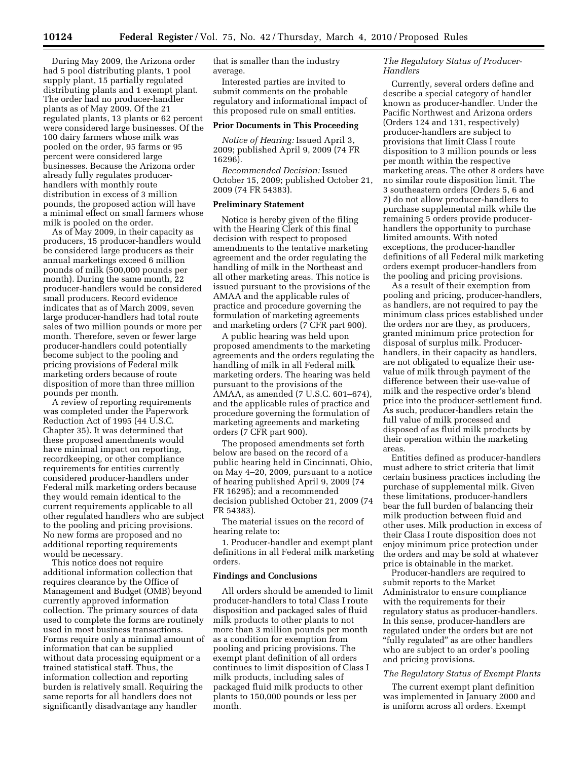During May 2009, the Arizona order had 5 pool distributing plants, 1 pool supply plant, 15 partially regulated distributing plants and 1 exempt plant. The order had no producer-handler plants as of May 2009. Of the 21 regulated plants, 13 plants or 62 percent were considered large businesses. Of the 100 dairy farmers whose milk was pooled on the order, 95 farms or 95 percent were considered large businesses. Because the Arizona order already fully regulates producerhandlers with monthly route distribution in excess of 3 million pounds, the proposed action will have a minimal effect on small farmers whose milk is pooled on the order.

As of May 2009, in their capacity as producers, 15 producer-handlers would be considered large producers as their annual marketings exceed 6 million pounds of milk (500,000 pounds per month). During the same month, 22 producer-handlers would be considered small producers. Record evidence indicates that as of March 2009, seven large producer-handlers had total route sales of two million pounds or more per month. Therefore, seven or fewer large producer-handlers could potentially become subject to the pooling and pricing provisions of Federal milk marketing orders because of route disposition of more than three million pounds per month.

A review of reporting requirements was completed under the Paperwork Reduction Act of 1995 (44 U.S.C. Chapter 35). It was determined that these proposed amendments would have minimal impact on reporting, recordkeeping, or other compliance requirements for entities currently considered producer-handlers under Federal milk marketing orders because they would remain identical to the current requirements applicable to all other regulated handlers who are subject to the pooling and pricing provisions. No new forms are proposed and no additional reporting requirements would be necessary.

This notice does not require additional information collection that requires clearance by the Office of Management and Budget (OMB) beyond currently approved information collection. The primary sources of data used to complete the forms are routinely used in most business transactions. Forms require only a minimal amount of information that can be supplied without data processing equipment or a trained statistical staff. Thus, the information collection and reporting burden is relatively small. Requiring the same reports for all handlers does not significantly disadvantage any handler

that is smaller than the industry average.

Interested parties are invited to submit comments on the probable regulatory and informational impact of this proposed rule on small entities.

#### **Prior Documents in This Proceeding**

*Notice of Hearing:* Issued April 3, 2009; published April 9, 2009 (74 FR 16296).

*Recommended Decision:* Issued October 15, 2009; published October 21, 2009 (74 FR 54383).

#### **Preliminary Statement**

Notice is hereby given of the filing with the Hearing Clerk of this final decision with respect to proposed amendments to the tentative marketing agreement and the order regulating the handling of milk in the Northeast and all other marketing areas. This notice is issued pursuant to the provisions of the AMAA and the applicable rules of practice and procedure governing the formulation of marketing agreements and marketing orders (7 CFR part 900).

A public hearing was held upon proposed amendments to the marketing agreements and the orders regulating the handling of milk in all Federal milk marketing orders. The hearing was held pursuant to the provisions of the AMAA, as amended (7 U.S.C. 601–674), and the applicable rules of practice and procedure governing the formulation of marketing agreements and marketing orders (7 CFR part 900).

The proposed amendments set forth below are based on the record of a public hearing held in Cincinnati, Ohio, on May 4–20, 2009, pursuant to a notice of hearing published April 9, 2009 (74 FR 16295); and a recommended decision published October 21, 2009 (74 FR 54383).

The material issues on the record of hearing relate to:

1. Producer-handler and exempt plant definitions in all Federal milk marketing orders.

#### **Findings and Conclusions**

All orders should be amended to limit producer-handlers to total Class I route disposition and packaged sales of fluid milk products to other plants to not more than 3 million pounds per month as a condition for exemption from pooling and pricing provisions. The exempt plant definition of all orders continues to limit disposition of Class I milk products, including sales of packaged fluid milk products to other plants to 150,000 pounds or less per month.

# *The Regulatory Status of Producer-Handlers*

Currently, several orders define and describe a special category of handler known as producer-handler. Under the Pacific Northwest and Arizona orders (Orders 124 and 131, respectively) producer-handlers are subject to provisions that limit Class I route disposition to 3 million pounds or less per month within the respective marketing areas. The other 8 orders have no similar route disposition limit. The 3 southeastern orders (Orders 5, 6 and 7) do not allow producer-handlers to purchase supplemental milk while the remaining 5 orders provide producerhandlers the opportunity to purchase limited amounts. With noted exceptions, the producer-handler definitions of all Federal milk marketing orders exempt producer-handlers from the pooling and pricing provisions.

As a result of their exemption from pooling and pricing, producer-handlers, as handlers, are not required to pay the minimum class prices established under the orders nor are they, as producers, granted minimum price protection for disposal of surplus milk. Producerhandlers, in their capacity as handlers, are not obligated to equalize their usevalue of milk through payment of the difference between their use-value of milk and the respective order's blend price into the producer-settlement fund. As such, producer-handlers retain the full value of milk processed and disposed of as fluid milk products by their operation within the marketing areas.

Entities defined as producer-handlers must adhere to strict criteria that limit certain business practices including the purchase of supplemental milk. Given these limitations, producer-handlers bear the full burden of balancing their milk production between fluid and other uses. Milk production in excess of their Class I route disposition does not enjoy minimum price protection under the orders and may be sold at whatever price is obtainable in the market.

Producer-handlers are required to submit reports to the Market Administrator to ensure compliance with the requirements for their regulatory status as producer-handlers. In this sense, producer-handlers are regulated under the orders but are not ''fully regulated'' as are other handlers who are subject to an order's pooling and pricing provisions.

# *The Regulatory Status of Exempt Plants*

The current exempt plant definition was implemented in January 2000 and is uniform across all orders. Exempt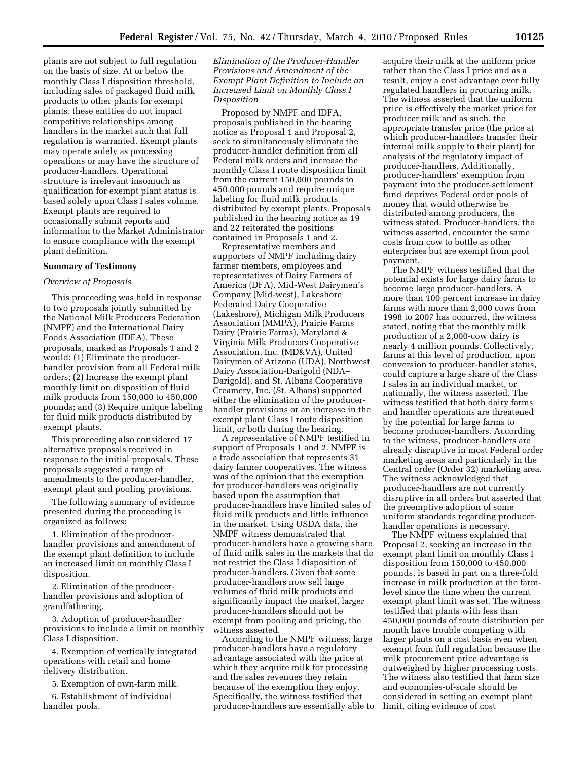plants are not subject to full regulation on the basis of size. At or below the monthly Class I disposition threshold, including sales of packaged fluid milk products to other plants for exempt plants, these entities do not impact competitive relationships among handlers in the market such that full regulation is warranted. Exempt plants may operate solely as processing operations or may have the structure of producer-handlers. Operational structure is irrelevant insomuch as qualification for exempt plant status is based solely upon Class I sales volume. Exempt plants are required to occasionally submit reports and information to the Market Administrator to ensure compliance with the exempt plant definition.

#### **Summary of Testimony**

#### *Overview of Proposals*

This proceeding was held in response to two proposals jointly submitted by the National Milk Producers Federation (NMPF) and the International Dairy Foods Association (IDFA). These proposals, marked as Proposals 1 and 2 would: (1) Eliminate the producerhandler provision from all Federal milk orders; (2) Increase the exempt plant monthly limit on disposition of fluid milk products from 150,000 to 450,000 pounds; and (3) Require unique labeling for fluid milk products distributed by exempt plants.

This proceeding also considered 17 alternative proposals received in response to the initial proposals. These proposals suggested a range of amendments to the producer-handler, exempt plant and pooling provisions.

The following summary of evidence presented during the proceeding is organized as follows:

1. Elimination of the producerhandler provisions and amendment of the exempt plant definition to include an increased limit on monthly Class I disposition.

2. Elimination of the producerhandler provisions and adoption of grandfathering.

3. Adoption of producer-handler provisions to include a limit on monthly Class I disposition.

4. Exemption of vertically integrated operations with retail and home delivery distribution.

5. Exemption of own-farm milk.

6. Establishment of individual handler pools.

# *Elimination of the Producer-Handler Provisions and Amendment of the Exempt Plant Definition to Include an Increased Limit on Monthly Class I Disposition*

Proposed by NMPF and IDFA, proposals published in the hearing notice as Proposal 1 and Proposal 2, seek to simultaneously eliminate the producer-handler definition from all Federal milk orders and increase the monthly Class I route disposition limit from the current 150,000 pounds to 450,000 pounds and require unique labeling for fluid milk products distributed by exempt plants. Proposals published in the hearing notice as 19 and 22 reiterated the positions contained in Proposals 1 and 2.

Representative members and supporters of NMPF including dairy farmer members, employees and representatives of Dairy Farmers of America (DFA), Mid-West Dairymen's Company (Mid-west), Lakeshore Federated Dairy Cooperative (Lakeshore), Michigan Milk Producers Association (MMPA), Prairie Farms Dairy (Prairie Farms), Maryland & Virginia Milk Producers Cooperative Association, Inc. (MD&VA), United Dairymen of Arizona (UDA), Northwest Dairy Association-Darigold (NDA– Darigold), and St. Albans Cooperative Creamery, Inc. (St. Albans) supported either the elimination of the producerhandler provisions or an increase in the exempt plant Class I route disposition limit, or both during the hearing.

A representative of NMPF testified in support of Proposals 1 and 2. NMPF is a trade association that represents 31 dairy farmer cooperatives. The witness was of the opinion that the exemption for producer-handlers was originally based upon the assumption that producer-handlers have limited sales of fluid milk products and little influence in the market. Using USDA data, the NMPF witness demonstrated that producer-handlers have a growing share of fluid milk sales in the markets that do not restrict the Class I disposition of producer-handlers. Given that some producer-handlers now sell large volumes of fluid milk products and significantly impact the market, larger producer-handlers should not be exempt from pooling and pricing, the witness asserted.

According to the NMPF witness, large producer-handlers have a regulatory advantage associated with the price at which they acquire milk for processing and the sales revenues they retain because of the exemption they enjoy. Specifically, the witness testified that producer-handlers are essentially able to acquire their milk at the uniform price rather than the Class I price and as a result, enjoy a cost advantage over fully regulated handlers in procuring milk. The witness asserted that the uniform price is effectively the market price for producer milk and as such, the appropriate transfer price (the price at which producer-handlers transfer their internal milk supply to their plant) for analysis of the regulatory impact of producer-handlers. Additionally, producer-handlers' exemption from payment into the producer-settlement fund deprives Federal order pools of money that would otherwise be distributed among producers, the witness stated. Producer-handlers, the witness asserted, encounter the same costs from cow to bottle as other enterprises but are exempt from pool payment.

The NMPF witness testified that the potential exists for large dairy farms to become large producer-handlers. A more than 100 percent increase in dairy farms with more than 2,000 cows from 1998 to 2007 has occurred, the witness stated, noting that the monthly milk production of a 2,000-cow dairy is nearly 4 million pounds. Collectively, farms at this level of production, upon conversion to producer-handler status, could capture a large share of the Class I sales in an individual market, or nationally, the witness asserted. The witness testified that both dairy farms and handler operations are threatened by the potential for large farms to become producer-handlers. According to the witness, producer-handlers are already disruptive in most Federal order marketing areas and particularly in the Central order (Order 32) marketing area. The witness acknowledged that producer-handlers are not currently disruptive in all orders but asserted that the preemptive adoption of some uniform standards regarding producerhandler operations is necessary.

The NMPF witness explained that Proposal 2, seeking an increase in the exempt plant limit on monthly Class I disposition from 150,000 to 450,000 pounds, is based in part on a three-fold increase in milk production at the farmlevel since the time when the current exempt plant limit was set. The witness testified that plants with less than 450,000 pounds of route distribution per month have trouble competing with larger plants on a cost basis even when exempt from full regulation because the milk procurement price advantage is outweighed by higher processing costs. The witness also testified that farm size and economies-of-scale should be considered in setting an exempt plant limit, citing evidence of cost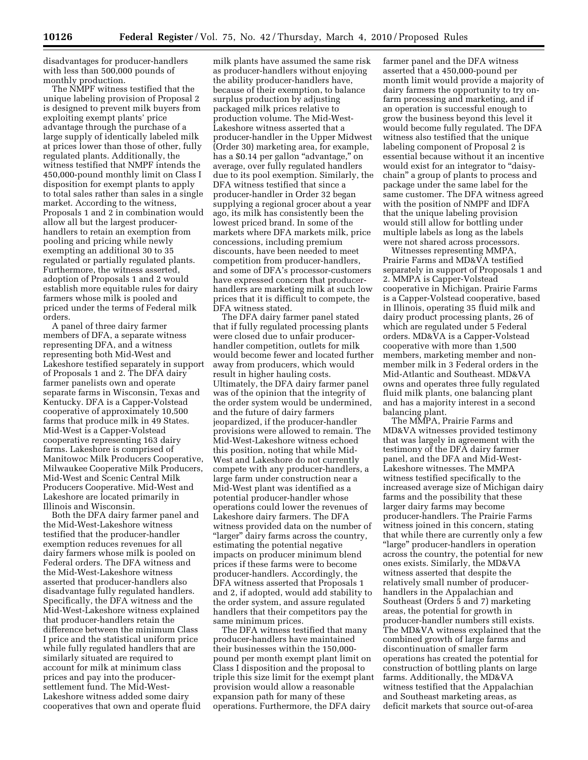disadvantages for producer-handlers with less than 500,000 pounds of monthly production.

The NMPF witness testified that the unique labeling provision of Proposal 2 is designed to prevent milk buyers from exploiting exempt plants' price advantage through the purchase of a large supply of identically labeled milk at prices lower than those of other, fully regulated plants. Additionally, the witness testified that NMPF intends the 450,000-pound monthly limit on Class I disposition for exempt plants to apply to total sales rather than sales in a single market. According to the witness, Proposals 1 and 2 in combination would allow all but the largest producerhandlers to retain an exemption from pooling and pricing while newly exempting an additional 30 to 35 regulated or partially regulated plants. Furthermore, the witness asserted, adoption of Proposals 1 and 2 would establish more equitable rules for dairy farmers whose milk is pooled and priced under the terms of Federal milk orders.

A panel of three dairy farmer members of DFA, a separate witness representing DFA, and a witness representing both Mid-West and Lakeshore testified separately in support of Proposals 1 and 2. The DFA dairy farmer panelists own and operate separate farms in Wisconsin, Texas and Kentucky. DFA is a Capper-Volstead cooperative of approximately 10,500 farms that produce milk in 49 States. Mid-West is a Capper-Volstead cooperative representing 163 dairy farms. Lakeshore is comprised of Manitowoc Milk Producers Cooperative, Milwaukee Cooperative Milk Producers, Mid-West and Scenic Central Milk Producers Cooperative. Mid-West and Lakeshore are located primarily in Illinois and Wisconsin.

Both the DFA dairy farmer panel and the Mid-West-Lakeshore witness testified that the producer-handler exemption reduces revenues for all dairy farmers whose milk is pooled on Federal orders. The DFA witness and the Mid-West-Lakeshore witness asserted that producer-handlers also disadvantage fully regulated handlers. Specifically, the DFA witness and the Mid-West-Lakeshore witness explained that producer-handlers retain the difference between the minimum Class I price and the statistical uniform price while fully regulated handlers that are similarly situated are required to account for milk at minimum class prices and pay into the producersettlement fund. The Mid-West-Lakeshore witness added some dairy cooperatives that own and operate fluid

milk plants have assumed the same risk as producer-handlers without enjoying the ability producer-handlers have, because of their exemption, to balance surplus production by adjusting packaged milk prices relative to production volume. The Mid-West-Lakeshore witness asserted that a producer-handler in the Upper Midwest (Order 30) marketing area, for example, has a \$0.14 per gallon "advantage," on average, over fully regulated handlers due to its pool exemption. Similarly, the DFA witness testified that since a producer-handler in Order 32 began supplying a regional grocer about a year ago, its milk has consistently been the lowest priced brand. In some of the markets where DFA markets milk, price concessions, including premium discounts, have been needed to meet competition from producer-handlers, and some of DFA's processor-customers have expressed concern that producerhandlers are marketing milk at such low prices that it is difficult to compete, the DFA witness stated.

The DFA dairy farmer panel stated that if fully regulated processing plants were closed due to unfair producerhandler competition, outlets for milk would become fewer and located further away from producers, which would result in higher hauling costs. Ultimately, the DFA dairy farmer panel was of the opinion that the integrity of the order system would be undermined, and the future of dairy farmers jeopardized, if the producer-handler provisions were allowed to remain. The Mid-West-Lakeshore witness echoed this position, noting that while Mid-West and Lakeshore do not currently compete with any producer-handlers, a large farm under construction near a Mid-West plant was identified as a potential producer-handler whose operations could lower the revenues of Lakeshore dairy farmers. The DFA witness provided data on the number of "larger" dairy farms across the country, estimating the potential negative impacts on producer minimum blend prices if these farms were to become producer-handlers. Accordingly, the DFA witness asserted that Proposals 1 and 2, if adopted, would add stability to the order system, and assure regulated handlers that their competitors pay the same minimum prices.

The DFA witness testified that many producer-handlers have maintained their businesses within the 150,000 pound per month exempt plant limit on Class I disposition and the proposal to triple this size limit for the exempt plant provision would allow a reasonable expansion path for many of these operations. Furthermore, the DFA dairy

farmer panel and the DFA witness asserted that a 450,000-pound per month limit would provide a majority of dairy farmers the opportunity to try onfarm processing and marketing, and if an operation is successful enough to grow the business beyond this level it would become fully regulated. The DFA witness also testified that the unique labeling component of Proposal 2 is essential because without it an incentive would exist for an integrator to "daisychain'' a group of plants to process and package under the same label for the same customer. The DFA witness agreed with the position of NMPF and IDFA that the unique labeling provision would still allow for bottling under multiple labels as long as the labels were not shared across processors.

Witnesses representing MMPA, Prairie Farms and MD&VA testified separately in support of Proposals 1 and 2. MMPA is Capper-Volstead cooperative in Michigan. Prairie Farms is a Capper-Volstead cooperative, based in Illinois, operating 35 fluid milk and dairy product processing plants, 26 of which are regulated under 5 Federal orders. MD&VA is a Capper-Volstead cooperative with more than 1,500 members, marketing member and nonmember milk in 3 Federal orders in the Mid-Atlantic and Southeast. MD&VA owns and operates three fully regulated fluid milk plants, one balancing plant and has a majority interest in a second balancing plant.

The MMPA, Prairie Farms and MD&VA witnesses provided testimony that was largely in agreement with the testimony of the DFA dairy farmer panel, and the DFA and Mid-West-Lakeshore witnesses. The MMPA witness testified specifically to the increased average size of Michigan dairy farms and the possibility that these larger dairy farms may become producer-handlers. The Prairie Farms witness joined in this concern, stating that while there are currently only a few ''large'' producer-handlers in operation across the country, the potential for new ones exists. Similarly, the MD&VA witness asserted that despite the relatively small number of producerhandlers in the Appalachian and Southeast (Orders 5 and 7) marketing areas, the potential for growth in producer-handler numbers still exists. The MD&VA witness explained that the combined growth of large farms and discontinuation of smaller farm operations has created the potential for construction of bottling plants on large farms. Additionally, the MD&VA witness testified that the Appalachian and Southeast marketing areas, as deficit markets that source out-of-area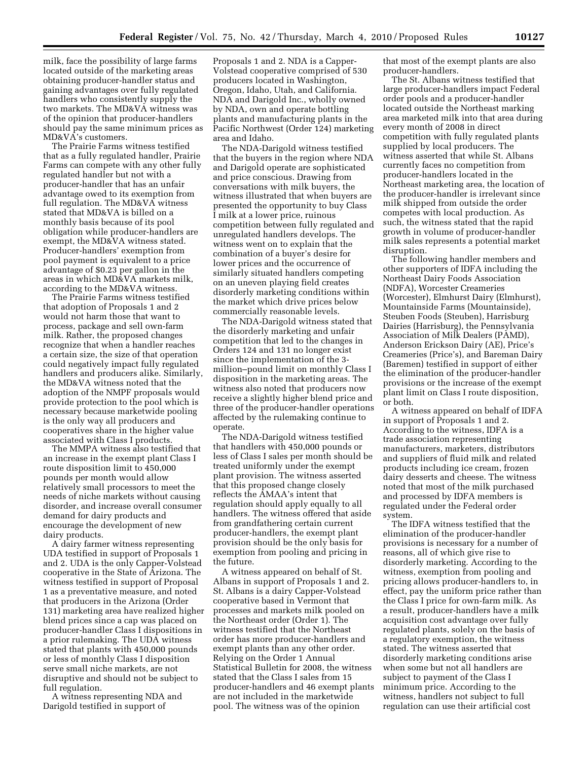milk, face the possibility of large farms located outside of the marketing areas obtaining producer-handler status and gaining advantages over fully regulated handlers who consistently supply the two markets. The MD&VA witness was of the opinion that producer-handlers should pay the same minimum prices as MD&VA's customers.

The Prairie Farms witness testified that as a fully regulated handler, Prairie Farms can compete with any other fully regulated handler but not with a producer-handler that has an unfair advantage owed to its exemption from full regulation. The MD&VA witness stated that MD&VA is billed on a monthly basis because of its pool obligation while producer-handlers are exempt, the MD&VA witness stated. Producer-handlers' exemption from pool payment is equivalent to a price advantage of \$0.23 per gallon in the areas in which MD&VA markets milk, according to the MD&VA witness.

The Prairie Farms witness testified that adoption of Proposals 1 and 2 would not harm those that want to process, package and sell own-farm milk. Rather, the proposed changes recognize that when a handler reaches a certain size, the size of that operation could negatively impact fully regulated handlers and producers alike. Similarly, the MD&VA witness noted that the adoption of the NMPF proposals would provide protection to the pool which is necessary because marketwide pooling is the only way all producers and cooperatives share in the higher value associated with Class I products.

The MMPA witness also testified that an increase in the exempt plant Class I route disposition limit to 450,000 pounds per month would allow relatively small processors to meet the needs of niche markets without causing disorder, and increase overall consumer demand for dairy products and encourage the development of new dairy products.

A dairy farmer witness representing UDA testified in support of Proposals 1 and 2. UDA is the only Capper-Volstead cooperative in the State of Arizona. The witness testified in support of Proposal 1 as a preventative measure, and noted that producers in the Arizona (Order 131) marketing area have realized higher blend prices since a cap was placed on producer-handler Class I dispositions in a prior rulemaking. The UDA witness stated that plants with 450,000 pounds or less of monthly Class I disposition serve small niche markets, are not disruptive and should not be subject to full regulation.

A witness representing NDA and Darigold testified in support of

Proposals 1 and 2. NDA is a Capper-Volstead cooperative comprised of 530 producers located in Washington, Oregon, Idaho, Utah, and California. NDA and Darigold Inc., wholly owned by NDA, own and operate bottling plants and manufacturing plants in the Pacific Northwest (Order 124) marketing area and Idaho.

The NDA-Darigold witness testified that the buyers in the region where NDA and Darigold operate are sophisticated and price conscious. Drawing from conversations with milk buyers, the witness illustrated that when buyers are presented the opportunity to buy Class I milk at a lower price, ruinous competition between fully regulated and unregulated handlers develops. The witness went on to explain that the combination of a buyer's desire for lower prices and the occurrence of similarly situated handlers competing on an uneven playing field creates disorderly marketing conditions within the market which drive prices below commercially reasonable levels.

The NDA-Darigold witness stated that the disorderly marketing and unfair competition that led to the changes in Orders 124 and 131 no longer exist since the implementation of the 3 million–pound limit on monthly Class I disposition in the marketing areas. The witness also noted that producers now receive a slightly higher blend price and three of the producer-handler operations affected by the rulemaking continue to operate.

The NDA-Darigold witness testified that handlers with 450,000 pounds or less of Class I sales per month should be treated uniformly under the exempt plant provision. The witness asserted that this proposed change closely reflects the AMAA's intent that regulation should apply equally to all handlers. The witness offered that aside from grandfathering certain current producer-handlers, the exempt plant provision should be the only basis for exemption from pooling and pricing in the future.

A witness appeared on behalf of St. Albans in support of Proposals 1 and 2. St. Albans is a dairy Capper-Volstead cooperative based in Vermont that processes and markets milk pooled on the Northeast order (Order 1). The witness testified that the Northeast order has more producer-handlers and exempt plants than any other order. Relying on the Order 1 Annual Statistical Bulletin for 2008, the witness stated that the Class I sales from 15 producer-handlers and 46 exempt plants are not included in the marketwide pool. The witness was of the opinion

that most of the exempt plants are also producer-handlers.

The St. Albans witness testified that large producer-handlers impact Federal order pools and a producer-handler located outside the Northeast marking area marketed milk into that area during every month of 2008 in direct competition with fully regulated plants supplied by local producers. The witness asserted that while St. Albans currently faces no competition from producer-handlers located in the Northeast marketing area, the location of the producer-handler is irrelevant since milk shipped from outside the order competes with local production. As such, the witness stated that the rapid growth in volume of producer-handler milk sales represents a potential market disruption.

The following handler members and other supporters of IDFA including the Northeast Dairy Foods Association (NDFA), Worcester Creameries (Worcester), Elmhurst Dairy (Elmhurst), Mountainside Farms (Mountainside), Steuben Foods (Steuben), Harrisburg Dairies (Harrisburg), the Pennsylvania Association of Milk Dealers (PAMD), Anderson Erickson Dairy (AE), Price's Creameries (Price's), and Bareman Dairy (Baremen) testified in support of either the elimination of the producer-handler provisions or the increase of the exempt plant limit on Class I route disposition, or both.

A witness appeared on behalf of IDFA in support of Proposals 1 and 2. According to the witness, IDFA is a trade association representing manufacturers, marketers, distributors and suppliers of fluid milk and related products including ice cream, frozen dairy desserts and cheese. The witness noted that most of the milk purchased and processed by IDFA members is regulated under the Federal order system.

The IDFA witness testified that the elimination of the producer-handler provisions is necessary for a number of reasons, all of which give rise to disorderly marketing. According to the witness, exemption from pooling and pricing allows producer-handlers to, in effect, pay the uniform price rather than the Class I price for own-farm milk. As a result, producer-handlers have a milk acquisition cost advantage over fully regulated plants, solely on the basis of a regulatory exemption, the witness stated. The witness asserted that disorderly marketing conditions arise when some but not all handlers are subject to payment of the Class I minimum price. According to the witness, handlers not subject to full regulation can use their artificial cost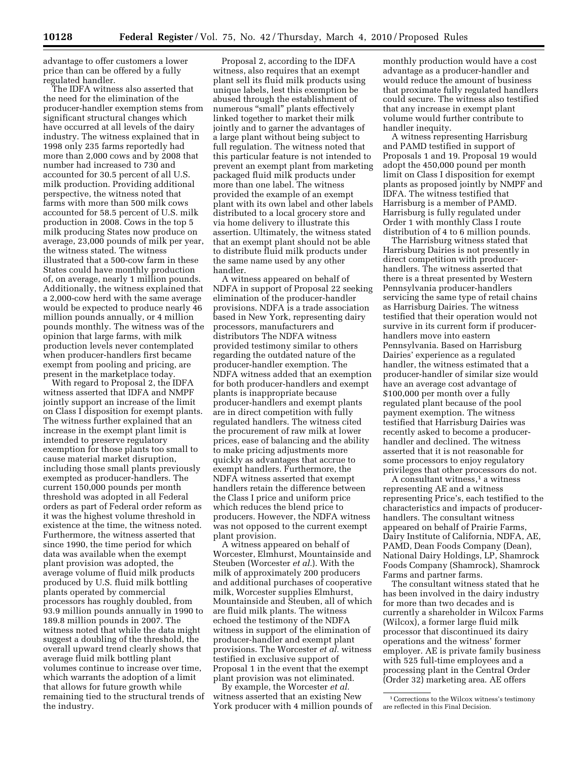advantage to offer customers a lower price than can be offered by a fully regulated handler.

The IDFA witness also asserted that the need for the elimination of the producer-handler exemption stems from significant structural changes which have occurred at all levels of the dairy industry. The witness explained that in 1998 only 235 farms reportedly had more than 2,000 cows and by 2008 that number had increased to 730 and accounted for 30.5 percent of all U.S. milk production. Providing additional perspective, the witness noted that farms with more than 500 milk cows accounted for 58.5 percent of U.S. milk production in 2008. Cows in the top 5 milk producing States now produce on average, 23,000 pounds of milk per year, the witness stated. The witness illustrated that a 500-cow farm in these States could have monthly production of, on average, nearly 1 million pounds. Additionally, the witness explained that a 2,000-cow herd with the same average would be expected to produce nearly 46 million pounds annually, or 4 million pounds monthly. The witness was of the opinion that large farms, with milk production levels never contemplated when producer-handlers first became exempt from pooling and pricing, are present in the marketplace today.

With regard to Proposal 2, the IDFA witness asserted that IDFA and NMPF jointly support an increase of the limit on Class I disposition for exempt plants. The witness further explained that an increase in the exempt plant limit is intended to preserve regulatory exemption for those plants too small to cause material market disruption, including those small plants previously exempted as producer-handlers. The current 150,000 pounds per month threshold was adopted in all Federal orders as part of Federal order reform as it was the highest volume threshold in existence at the time, the witness noted. Furthermore, the witness asserted that since 1990, the time period for which data was available when the exempt plant provision was adopted, the average volume of fluid milk products produced by U.S. fluid milk bottling plants operated by commercial processors has roughly doubled, from 93.9 million pounds annually in 1990 to 189.8 million pounds in 2007. The witness noted that while the data might suggest a doubling of the threshold, the overall upward trend clearly shows that average fluid milk bottling plant volumes continue to increase over time, which warrants the adoption of a limit that allows for future growth while remaining tied to the structural trends of the industry.

Proposal 2, according to the IDFA witness, also requires that an exempt plant sell its fluid milk products using unique labels, lest this exemption be abused through the establishment of numerous "small" plants effectively linked together to market their milk jointly and to garner the advantages of a large plant without being subject to full regulation. The witness noted that this particular feature is not intended to prevent an exempt plant from marketing packaged fluid milk products under more than one label. The witness provided the example of an exempt plant with its own label and other labels distributed to a local grocery store and via home delivery to illustrate this assertion. Ultimately, the witness stated that an exempt plant should not be able to distribute fluid milk products under the same name used by any other handler.

A witness appeared on behalf of NDFA in support of Proposal 22 seeking elimination of the producer-handler provisions. NDFA is a trade association based in New York, representing dairy processors, manufacturers and distributors The NDFA witness provided testimony similar to others regarding the outdated nature of the producer-handler exemption. The NDFA witness added that an exemption for both producer-handlers and exempt plants is inappropriate because producer-handlers and exempt plants are in direct competition with fully regulated handlers. The witness cited the procurement of raw milk at lower prices, ease of balancing and the ability to make pricing adjustments more quickly as advantages that accrue to exempt handlers. Furthermore, the NDFA witness asserted that exempt handlers retain the difference between the Class I price and uniform price which reduces the blend price to producers. However, the NDFA witness was not opposed to the current exempt plant provision.

A witness appeared on behalf of Worcester, Elmhurst, Mountainside and Steuben (Worcester *et al.*). With the milk of approximately 200 producers and additional purchases of cooperative milk, Worcester supplies Elmhurst, Mountainside and Steuben, all of which are fluid milk plants. The witness echoed the testimony of the NDFA witness in support of the elimination of producer-handler and exempt plant provisions. The Worcester *et al.* witness testified in exclusive support of Proposal 1 in the event that the exempt plant provision was not eliminated.

By example, the Worcester *et al.*  witness asserted that an existing New York producer with 4 million pounds of monthly production would have a cost advantage as a producer-handler and would reduce the amount of business that proximate fully regulated handlers could secure. The witness also testified that any increase in exempt plant volume would further contribute to handler inequity.

A witness representing Harrisburg and PAMD testified in support of Proposals 1 and 19. Proposal 19 would adopt the 450,000 pound per month limit on Class I disposition for exempt plants as proposed jointly by NMPF and IDFA. The witness testified that Harrisburg is a member of PAMD. Harrisburg is fully regulated under Order 1 with monthly Class I route distribution of 4 to 6 million pounds.

The Harrisburg witness stated that Harrisburg Dairies is not presently in direct competition with producerhandlers. The witness asserted that there is a threat presented by Western Pennsylvania producer-handlers servicing the same type of retail chains as Harrisburg Dairies. The witness testified that their operation would not survive in its current form if producerhandlers move into eastern Pennsylvania. Based on Harrisburg Dairies' experience as a regulated handler, the witness estimated that a producer-handler of similar size would have an average cost advantage of \$100,000 per month over a fully regulated plant because of the pool payment exemption. The witness testified that Harrisburg Dairies was recently asked to become a producerhandler and declined. The witness asserted that it is not reasonable for some processors to enjoy regulatory privileges that other processors do not.

A consultant witness,<sup>1</sup> a witness representing AE and a witness representing Price's, each testified to the characteristics and impacts of producerhandlers. The consultant witness appeared on behalf of Prairie Farms, Dairy Institute of California, NDFA, AE, PAMD, Dean Foods Company (Dean), National Dairy Holdings, LP, Shamrock Foods Company (Shamrock), Shamrock Farms and partner farms.

The consultant witness stated that he has been involved in the dairy industry for more than two decades and is currently a shareholder in Wilcox Farms (Wilcox), a former large fluid milk processor that discontinued its dairy operations and the witness' former employer. AE is private family business with 525 full-time employees and a processing plant in the Central Order (Order 32) marketing area. AE offers

<sup>1</sup>Corrections to the Wilcox witness's testimony are reflected in this Final Decision.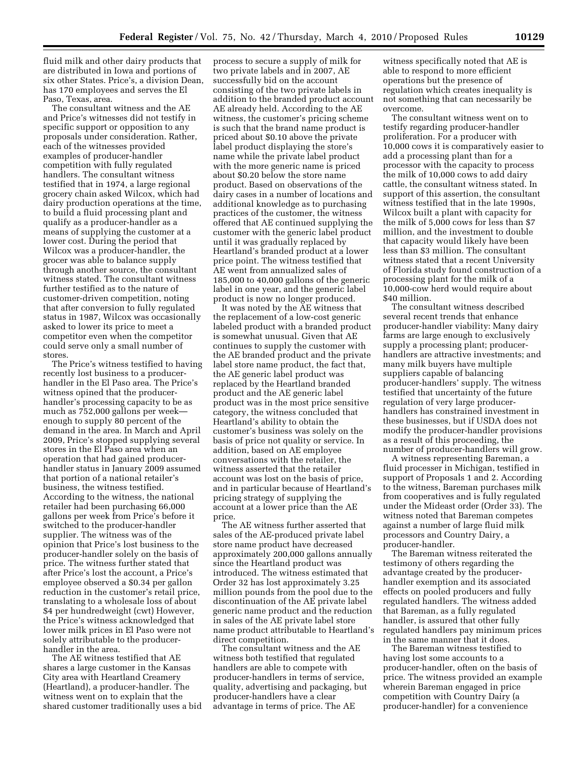fluid milk and other dairy products that are distributed in Iowa and portions of six other States. Price's, a division Dean, has 170 employees and serves the El Paso, Texas, area.

The consultant witness and the AE and Price's witnesses did not testify in specific support or opposition to any proposals under consideration. Rather, each of the witnesses provided examples of producer-handler competition with fully regulated handlers. The consultant witness testified that in 1974, a large regional grocery chain asked Wilcox, which had dairy production operations at the time, to build a fluid processing plant and qualify as a producer-handler as a means of supplying the customer at a lower cost. During the period that Wilcox was a producer-handler, the grocer was able to balance supply through another source, the consultant witness stated. The consultant witness further testified as to the nature of customer-driven competition, noting that after conversion to fully regulated status in 1987, Wilcox was occasionally asked to lower its price to meet a competitor even when the competitor could serve only a small number of stores.

The Price's witness testified to having recently lost business to a producerhandler in the El Paso area. The Price's witness opined that the producerhandler's processing capacity to be as much as 752,000 gallons per week enough to supply 80 percent of the demand in the area. In March and April 2009, Price's stopped supplying several stores in the El Paso area when an operation that had gained producerhandler status in January 2009 assumed that portion of a national retailer's business, the witness testified. According to the witness, the national retailer had been purchasing 66,000 gallons per week from Price's before it switched to the producer-handler supplier. The witness was of the opinion that Price's lost business to the producer-handler solely on the basis of price. The witness further stated that after Price's lost the account, a Price's employee observed a \$0.34 per gallon reduction in the customer's retail price, translating to a wholesale loss of about \$4 per hundredweight (cwt) However, the Price's witness acknowledged that lower milk prices in El Paso were not solely attributable to the producerhandler in the area.

The AE witness testified that AE shares a large customer in the Kansas City area with Heartland Creamery (Heartland), a producer-handler. The witness went on to explain that the shared customer traditionally uses a bid

process to secure a supply of milk for two private labels and in 2007, AE successfully bid on the account consisting of the two private labels in addition to the branded product account AE already held. According to the AE witness, the customer's pricing scheme is such that the brand name product is priced about \$0.10 above the private label product displaying the store's name while the private label product with the more generic name is priced about \$0.20 below the store name product. Based on observations of the dairy cases in a number of locations and additional knowledge as to purchasing practices of the customer, the witness offered that AE continued supplying the customer with the generic label product until it was gradually replaced by Heartland's branded product at a lower price point. The witness testified that AE went from annualized sales of 185,000 to 40,000 gallons of the generic label in one year, and the generic label product is now no longer produced.

It was noted by the AE witness that the replacement of a low-cost generic labeled product with a branded product is somewhat unusual. Given that AE continues to supply the customer with the AE branded product and the private label store name product, the fact that, the AE generic label product was replaced by the Heartland branded product and the AE generic label product was in the most price sensitive category, the witness concluded that Heartland's ability to obtain the customer's business was solely on the basis of price not quality or service. In addition, based on AE employee conversations with the retailer, the witness asserted that the retailer account was lost on the basis of price, and in particular because of Heartland's pricing strategy of supplying the account at a lower price than the AE price.

The AE witness further asserted that sales of the AE-produced private label store name product have decreased approximately 200,000 gallons annually since the Heartland product was introduced. The witness estimated that Order 32 has lost approximately 3.25 million pounds from the pool due to the discontinuation of the AE private label generic name product and the reduction in sales of the AE private label store name product attributable to Heartland's direct competition.

The consultant witness and the AE witness both testified that regulated handlers are able to compete with producer-handlers in terms of service, quality, advertising and packaging, but producer-handlers have a clear advantage in terms of price. The AE

witness specifically noted that AE is able to respond to more efficient operations but the presence of regulation which creates inequality is not something that can necessarily be overcome.

The consultant witness went on to testify regarding producer-handler proliferation. For a producer with 10,000 cows it is comparatively easier to add a processing plant than for a processor with the capacity to process the milk of 10,000 cows to add dairy cattle, the consultant witness stated. In support of this assertion, the consultant witness testified that in the late 1990s, Wilcox built a plant with capacity for the milk of 5,000 cows for less than \$7 million, and the investment to double that capacity would likely have been less than \$3 million. The consultant witness stated that a recent University of Florida study found construction of a processing plant for the milk of a 10,000-cow herd would require about \$40 million.

The consultant witness described several recent trends that enhance producer-handler viability: Many dairy farms are large enough to exclusively supply a processing plant; producerhandlers are attractive investments; and many milk buyers have multiple suppliers capable of balancing producer-handlers' supply. The witness testified that uncertainty of the future regulation of very large producerhandlers has constrained investment in these businesses, but if USDA does not modify the producer-handler provisions as a result of this proceeding, the number of producer-handlers will grow.

A witness representing Bareman, a fluid processer in Michigan, testified in support of Proposals 1 and 2. According to the witness, Bareman purchases milk from cooperatives and is fully regulated under the Mideast order (Order 33). The witness noted that Bareman competes against a number of large fluid milk processors and Country Dairy, a producer-handler.

The Bareman witness reiterated the testimony of others regarding the advantage created by the producerhandler exemption and its associated effects on pooled producers and fully regulated handlers. The witness added that Bareman, as a fully regulated handler, is assured that other fully regulated handlers pay minimum prices in the same manner that it does.

The Bareman witness testified to having lost some accounts to a producer-handler, often on the basis of price. The witness provided an example wherein Bareman engaged in price competition with Country Dairy (a producer-handler) for a convenience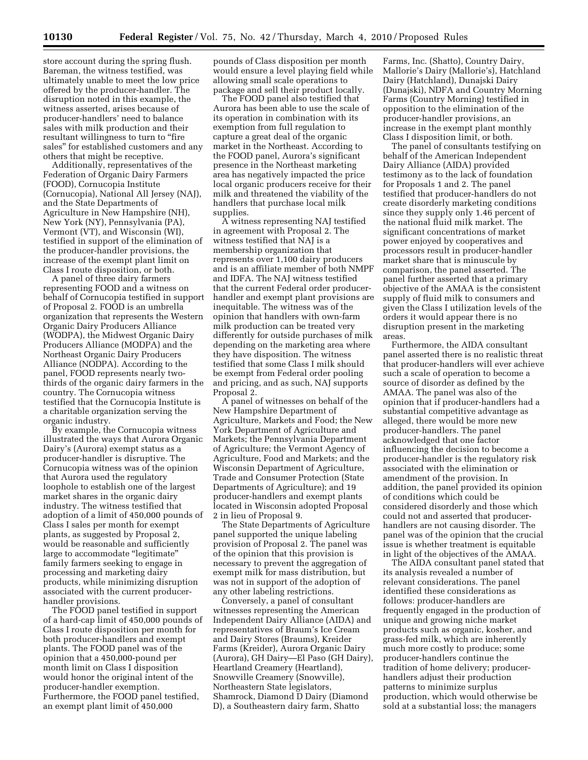store account during the spring flush. Bareman, the witness testified, was ultimately unable to meet the low price offered by the producer-handler. The disruption noted in this example, the witness asserted, arises because of producer-handlers' need to balance sales with milk production and their resultant willingness to turn to "fire sales'' for established customers and any others that might be receptive.

Additionally, representatives of the Federation of Organic Dairy Farmers (FOOD), Cornucopia Institute (Cornucopia), National All Jersey (NAJ), and the State Departments of Agriculture in New Hampshire (NH), New York (NY), Pennsylvania (PA), Vermont (VT), and Wisconsin (WI), testified in support of the elimination of the producer-handler provisions, the increase of the exempt plant limit on Class I route disposition, or both.

A panel of three dairy farmers representing FOOD and a witness on behalf of Cornucopia testified in support of Proposal 2. FOOD is an umbrella organization that represents the Western Organic Dairy Producers Alliance (WODPA), the Midwest Organic Dairy Producers Alliance (MODPA) and the Northeast Organic Dairy Producers Alliance (NODPA). According to the panel, FOOD represents nearly twothirds of the organic dairy farmers in the country. The Cornucopia witness testified that the Cornucopia Institute is a charitable organization serving the organic industry.

By example, the Cornucopia witness illustrated the ways that Aurora Organic Dairy's (Aurora) exempt status as a producer-handler is disruptive. The Cornucopia witness was of the opinion that Aurora used the regulatory loophole to establish one of the largest market shares in the organic dairy industry. The witness testified that adoption of a limit of 450,000 pounds of Class I sales per month for exempt plants, as suggested by Proposal 2, would be reasonable and sufficiently large to accommodate "legitimate" family farmers seeking to engage in processing and marketing dairy products, while minimizing disruption associated with the current producerhandler provisions.

The FOOD panel testified in support of a hard-cap limit of 450,000 pounds of Class I route disposition per month for both producer-handlers and exempt plants. The FOOD panel was of the opinion that a 450,000-pound per month limit on Class I disposition would honor the original intent of the producer-handler exemption. Furthermore, the FOOD panel testified, an exempt plant limit of 450,000

pounds of Class disposition per month would ensure a level playing field while allowing small scale operations to package and sell their product locally.

The FOOD panel also testified that Aurora has been able to use the scale of its operation in combination with its exemption from full regulation to capture a great deal of the organic market in the Northeast. According to the FOOD panel, Aurora's significant presence in the Northeast marketing area has negatively impacted the price local organic producers receive for their milk and threatened the viability of the handlers that purchase local milk supplies.

A witness representing NAJ testified in agreement with Proposal 2. The witness testified that NAJ is a membership organization that represents over 1,100 dairy producers and is an affiliate member of both NMPF and IDFA. The NAJ witness testified that the current Federal order producerhandler and exempt plant provisions are inequitable. The witness was of the opinion that handlers with own-farm milk production can be treated very differently for outside purchases of milk depending on the marketing area where they have disposition. The witness testified that some Class I milk should be exempt from Federal order pooling and pricing, and as such, NAJ supports Proposal 2.

A panel of witnesses on behalf of the New Hampshire Department of Agriculture, Markets and Food; the New York Department of Agriculture and Markets; the Pennsylvania Department of Agriculture; the Vermont Agency of Agriculture, Food and Markets; and the Wisconsin Department of Agriculture, Trade and Consumer Protection (State Departments of Agriculture); and 19 producer-handlers and exempt plants located in Wisconsin adopted Proposal 2 in lieu of Proposal 9.

The State Departments of Agriculture panel supported the unique labeling provision of Proposal 2. The panel was of the opinion that this provision is necessary to prevent the aggregation of exempt milk for mass distribution, but was not in support of the adoption of any other labeling restrictions.

Conversely, a panel of consultant witnesses representing the American Independent Dairy Alliance (AIDA) and representatives of Braum's Ice Cream and Dairy Stores (Braums), Kreider Farms (Kreider), Aurora Organic Dairy (Aurora), GH Dairy—El Paso (GH Dairy), Heartland Creamery (Heartland), Snowville Creamery (Snowville), Northeastern State legislators, Shamrock, Diamond D Dairy (Diamond D), a Southeastern dairy farm, Shatto

Farms, Inc. (Shatto), Country Dairy, Mallorie's Dairy (Mallorie's), Hatchland Dairy (Hatchland), Dunajski Dairy (Dunajski), NDFA and Country Morning Farms (Country Morning) testified in opposition to the elimination of the producer-handler provisions, an increase in the exempt plant monthly Class I disposition limit, or both.

The panel of consultants testifying on behalf of the American Independent Dairy Alliance (AIDA) provided testimony as to the lack of foundation for Proposals 1 and 2. The panel testified that producer-handlers do not create disorderly marketing conditions since they supply only 1.46 percent of the national fluid milk market. The significant concentrations of market power enjoyed by cooperatives and processors result in producer-handler market share that is minuscule by comparison, the panel asserted. The panel further asserted that a primary objective of the AMAA is the consistent supply of fluid milk to consumers and given the Class I utilization levels of the orders it would appear there is no disruption present in the marketing areas.

Furthermore, the AIDA consultant panel asserted there is no realistic threat that producer-handlers will ever achieve such a scale of operation to become a source of disorder as defined by the AMAA. The panel was also of the opinion that if producer-handlers had a substantial competitive advantage as alleged, there would be more new producer-handlers. The panel acknowledged that one factor influencing the decision to become a producer-handler is the regulatory risk associated with the elimination or amendment of the provision. In addition, the panel provided its opinion of conditions which could be considered disorderly and those which could not and asserted that producerhandlers are not causing disorder. The panel was of the opinion that the crucial issue is whether treatment is equitable in light of the objectives of the AMAA.

The AIDA consultant panel stated that its analysis revealed a number of relevant considerations. The panel identified these considerations as follows: producer-handlers are frequently engaged in the production of unique and growing niche market products such as organic, kosher, and grass-fed milk, which are inherently much more costly to produce; some producer-handlers continue the tradition of home delivery; producerhandlers adjust their production patterns to minimize surplus production, which would otherwise be sold at a substantial loss; the managers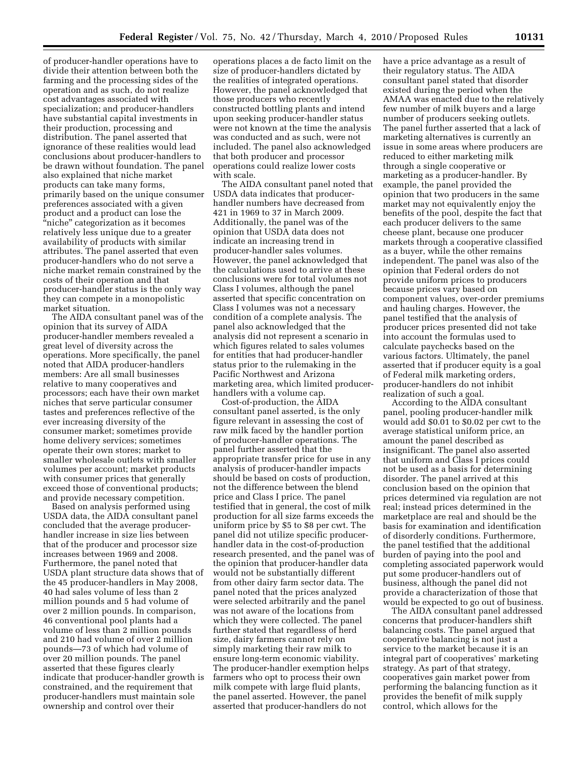of producer-handler operations have to divide their attention between both the farming and the processing sides of the operation and as such, do not realize cost advantages associated with specialization; and producer-handlers have substantial capital investments in their production, processing and distribution. The panel asserted that ignorance of these realities would lead conclusions about producer-handlers to be drawn without foundation. The panel also explained that niche market products can take many forms, primarily based on the unique consumer preferences associated with a given product and a product can lose the ''niche'' categorization as it becomes relatively less unique due to a greater availability of products with similar attributes. The panel asserted that even producer-handlers who do not serve a niche market remain constrained by the costs of their operation and that producer-handler status is the only way they can compete in a monopolistic market situation.

The AIDA consultant panel was of the opinion that its survey of AIDA producer-handler members revealed a great level of diversity across the operations. More specifically, the panel noted that AIDA producer-handlers members: Are all small businesses relative to many cooperatives and processors; each have their own market niches that serve particular consumer tastes and preferences reflective of the ever increasing diversity of the consumer market; sometimes provide home delivery services; sometimes operate their own stores; market to smaller wholesale outlets with smaller volumes per account; market products with consumer prices that generally exceed those of conventional products; and provide necessary competition.

Based on analysis performed using USDA data, the AIDA consultant panel concluded that the average producerhandler increase in size lies between that of the producer and processor size increases between 1969 and 2008. Furthermore, the panel noted that USDA plant structure data shows that of the 45 producer-handlers in May 2008, 40 had sales volume of less than 2 million pounds and 5 had volume of over 2 million pounds. In comparison, 46 conventional pool plants had a volume of less than 2 million pounds and 210 had volume of over 2 million pounds—73 of which had volume of over 20 million pounds. The panel asserted that these figures clearly indicate that producer-handler growth is constrained, and the requirement that producer-handlers must maintain sole ownership and control over their

operations places a de facto limit on the size of producer-handlers dictated by the realities of integrated operations. However, the panel acknowledged that those producers who recently constructed bottling plants and intend upon seeking producer-handler status were not known at the time the analysis was conducted and as such, were not included. The panel also acknowledged that both producer and processor operations could realize lower costs with scale.

The AIDA consultant panel noted that USDA data indicates that producerhandler numbers have decreased from 421 in 1969 to 37 in March 2009. Additionally, the panel was of the opinion that USDA data does not indicate an increasing trend in producer-handler sales volumes. However, the panel acknowledged that the calculations used to arrive at these conclusions were for total volumes not Class I volumes, although the panel asserted that specific concentration on Class I volumes was not a necessary condition of a complete analysis. The panel also acknowledged that the analysis did not represent a scenario in which figures related to sales volumes for entities that had producer-handler status prior to the rulemaking in the Pacific Northwest and Arizona marketing area, which limited producerhandlers with a volume cap.

Cost-of-production, the AIDA consultant panel asserted, is the only figure relevant in assessing the cost of raw milk faced by the handler portion of producer-handler operations. The panel further asserted that the appropriate transfer price for use in any analysis of producer-handler impacts should be based on costs of production, not the difference between the blend price and Class I price. The panel testified that in general, the cost of milk production for all size farms exceeds the uniform price by \$5 to \$8 per cwt. The panel did not utilize specific producerhandler data in the cost-of-production research presented, and the panel was of the opinion that producer-handler data would not be substantially different from other dairy farm sector data. The panel noted that the prices analyzed were selected arbitrarily and the panel was not aware of the locations from which they were collected. The panel further stated that regardless of herd size, dairy farmers cannot rely on simply marketing their raw milk to ensure long-term economic viability. The producer-handler exemption helps farmers who opt to process their own milk compete with large fluid plants, the panel asserted. However, the panel asserted that producer-handlers do not

have a price advantage as a result of their regulatory status. The AIDA consultant panel stated that disorder existed during the period when the AMAA was enacted due to the relatively few number of milk buyers and a large number of producers seeking outlets. The panel further asserted that a lack of marketing alternatives is currently an issue in some areas where producers are reduced to either marketing milk through a single cooperative or marketing as a producer-handler. By example, the panel provided the opinion that two producers in the same market may not equivalently enjoy the benefits of the pool, despite the fact that each producer delivers to the same cheese plant, because one producer markets through a cooperative classified as a buyer, while the other remains independent. The panel was also of the opinion that Federal orders do not provide uniform prices to producers because prices vary based on component values, over-order premiums and hauling charges. However, the panel testified that the analysis of producer prices presented did not take into account the formulas used to calculate paychecks based on the various factors. Ultimately, the panel asserted that if producer equity is a goal of Federal milk marketing orders, producer-handlers do not inhibit realization of such a goal.

According to the AIDA consultant panel, pooling producer-handler milk would add \$0.01 to \$0.02 per cwt to the average statistical uniform price, an amount the panel described as insignificant. The panel also asserted that uniform and Class I prices could not be used as a basis for determining disorder. The panel arrived at this conclusion based on the opinion that prices determined via regulation are not real; instead prices determined in the marketplace are real and should be the basis for examination and identification of disorderly conditions. Furthermore, the panel testified that the additional burden of paying into the pool and completing associated paperwork would put some producer-handlers out of business, although the panel did not provide a characterization of those that would be expected to go out of business.

The AIDA consultant panel addressed concerns that producer-handlers shift balancing costs. The panel argued that cooperative balancing is not just a service to the market because it is an integral part of cooperatives' marketing strategy. As part of that strategy, cooperatives gain market power from performing the balancing function as it provides the benefit of milk supply control, which allows for the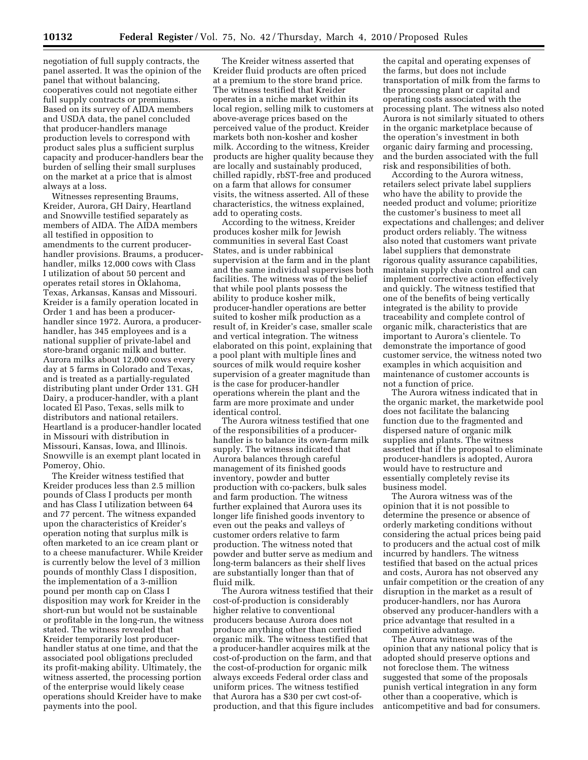negotiation of full supply contracts, the panel asserted. It was the opinion of the panel that without balancing, cooperatives could not negotiate either full supply contracts or premiums. Based on its survey of AIDA members and USDA data, the panel concluded that producer-handlers manage production levels to correspond with product sales plus a sufficient surplus capacity and producer-handlers bear the burden of selling their small surpluses on the market at a price that is almost always at a loss.

Witnesses representing Braums, Kreider, Aurora, GH Dairy, Heartland and Snowville testified separately as members of AIDA. The AIDA members all testified in opposition to amendments to the current producerhandler provisions. Braums, a producerhandler, milks 12,000 cows with Class I utilization of about 50 percent and operates retail stores in Oklahoma, Texas, Arkansas, Kansas and Missouri. Kreider is a family operation located in Order 1 and has been a producerhandler since 1972. Aurora, a producerhandler, has 345 employees and is a national supplier of private-label and store-brand organic milk and butter. Aurora milks about 12,000 cows every day at 5 farms in Colorado and Texas, and is treated as a partially-regulated distributing plant under Order 131. GH Dairy, a producer-handler, with a plant located El Paso, Texas, sells milk to distributors and national retailers. Heartland is a producer-handler located in Missouri with distribution in Missouri, Kansas, Iowa, and Illinois. Snowville is an exempt plant located in Pomeroy, Ohio.

The Kreider witness testified that Kreider produces less than 2.5 million pounds of Class I products per month and has Class I utilization between 64 and 77 percent. The witness expanded upon the characteristics of Kreider's operation noting that surplus milk is often marketed to an ice cream plant or to a cheese manufacturer. While Kreider is currently below the level of 3 million pounds of monthly Class I disposition, the implementation of a 3-million pound per month cap on Class I disposition may work for Kreider in the short-run but would not be sustainable or profitable in the long-run, the witness stated. The witness revealed that Kreider temporarily lost producerhandler status at one time, and that the associated pool obligations precluded its profit-making ability. Ultimately, the witness asserted, the processing portion of the enterprise would likely cease operations should Kreider have to make payments into the pool.

The Kreider witness asserted that Kreider fluid products are often priced at a premium to the store brand price. The witness testified that Kreider operates in a niche market within its local region, selling milk to customers at above-average prices based on the perceived value of the product. Kreider markets both non-kosher and kosher milk. According to the witness, Kreider products are higher quality because they are locally and sustainably produced, chilled rapidly, rbST-free and produced on a farm that allows for consumer visits, the witness asserted. All of these characteristics, the witness explained, add to operating costs.

According to the witness, Kreider produces kosher milk for Jewish communities in several East Coast States, and is under rabbinical supervision at the farm and in the plant and the same individual supervises both facilities. The witness was of the belief that while pool plants possess the ability to produce kosher milk, producer-handler operations are better suited to kosher milk production as a result of, in Kreider's case, smaller scale and vertical integration. The witness elaborated on this point, explaining that a pool plant with multiple lines and sources of milk would require kosher supervision of a greater magnitude than is the case for producer-handler operations wherein the plant and the farm are more proximate and under identical control.

The Aurora witness testified that one of the responsibilities of a producerhandler is to balance its own-farm milk supply. The witness indicated that Aurora balances through careful management of its finished goods inventory, powder and butter production with co-packers, bulk sales and farm production. The witness further explained that Aurora uses its longer life finished goods inventory to even out the peaks and valleys of customer orders relative to farm production. The witness noted that powder and butter serve as medium and long-term balancers as their shelf lives are substantially longer than that of fluid milk.

The Aurora witness testified that their cost-of-production is considerably higher relative to conventional producers because Aurora does not produce anything other than certified organic milk. The witness testified that a producer-handler acquires milk at the cost-of-production on the farm, and that the cost-of-production for organic milk always exceeds Federal order class and uniform prices. The witness testified that Aurora has a \$30 per cwt cost-ofproduction, and that this figure includes

the capital and operating expenses of the farms, but does not include transportation of milk from the farms to the processing plant or capital and operating costs associated with the processing plant. The witness also noted Aurora is not similarly situated to others in the organic marketplace because of the operation's investment in both organic dairy farming and processing, and the burden associated with the full risk and responsibilities of both.

According to the Aurora witness, retailers select private label suppliers who have the ability to provide the needed product and volume; prioritize the customer's business to meet all expectations and challenges; and deliver product orders reliably. The witness also noted that customers want private label suppliers that demonstrate rigorous quality assurance capabilities, maintain supply chain control and can implement corrective action effectively and quickly. The witness testified that one of the benefits of being vertically integrated is the ability to provide traceability and complete control of organic milk, characteristics that are important to Aurora's clientele. To demonstrate the importance of good customer service, the witness noted two examples in which acquisition and maintenance of customer accounts is not a function of price.

The Aurora witness indicated that in the organic market, the marketwide pool does not facilitate the balancing function due to the fragmented and dispersed nature of organic milk supplies and plants. The witness asserted that if the proposal to eliminate producer-handlers is adopted, Aurora would have to restructure and essentially completely revise its business model.

The Aurora witness was of the opinion that it is not possible to determine the presence or absence of orderly marketing conditions without considering the actual prices being paid to producers and the actual cost of milk incurred by handlers. The witness testified that based on the actual prices and costs, Aurora has not observed any unfair competition or the creation of any disruption in the market as a result of producer-handlers, nor has Aurora observed any producer-handlers with a price advantage that resulted in a competitive advantage.

The Aurora witness was of the opinion that any national policy that is adopted should preserve options and not foreclose them. The witness suggested that some of the proposals punish vertical integration in any form other than a cooperative, which is anticompetitive and bad for consumers.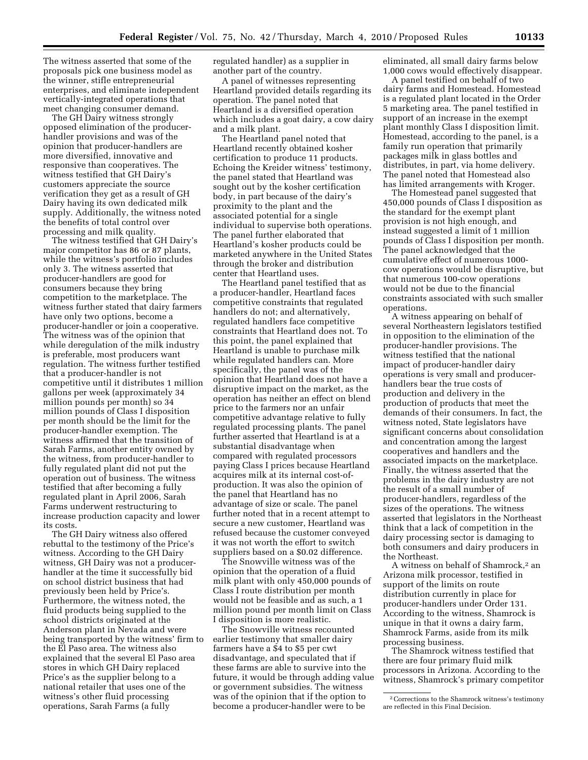The witness asserted that some of the proposals pick one business model as the winner, stifle entrepreneurial enterprises, and eliminate independent vertically-integrated operations that meet changing consumer demand.

The GH Dairy witness strongly opposed elimination of the producerhandler provisions and was of the opinion that producer-handlers are more diversified, innovative and responsive than cooperatives. The witness testified that GH Dairy's customers appreciate the source verification they get as a result of GH Dairy having its own dedicated milk supply. Additionally, the witness noted the benefits of total control over processing and milk quality.

The witness testified that GH Dairy's major competitor has 86 or 87 plants, while the witness's portfolio includes only 3. The witness asserted that producer-handlers are good for consumers because they bring competition to the marketplace. The witness further stated that dairy farmers have only two options, become a producer-handler or join a cooperative. The witness was of the opinion that while deregulation of the milk industry is preferable, most producers want regulation. The witness further testified that a producer-handler is not competitive until it distributes 1 million gallons per week (approximately 34 million pounds per month) so 34 million pounds of Class I disposition per month should be the limit for the producer-handler exemption. The witness affirmed that the transition of Sarah Farms, another entity owned by the witness, from producer-handler to fully regulated plant did not put the operation out of business. The witness testified that after becoming a fully regulated plant in April 2006, Sarah Farms underwent restructuring to increase production capacity and lower its costs.

The GH Dairy witness also offered rebuttal to the testimony of the Price's witness. According to the GH Dairy witness, GH Dairy was not a producerhandler at the time it successfully bid on school district business that had previously been held by Price's. Furthermore, the witness noted, the fluid products being supplied to the school districts originated at the Anderson plant in Nevada and were being transported by the witness' firm to the El Paso area. The witness also explained that the several El Paso area stores in which GH Dairy replaced Price's as the supplier belong to a national retailer that uses one of the witness's other fluid processing operations, Sarah Farms (a fully

regulated handler) as a supplier in another part of the country.

A panel of witnesses representing Heartland provided details regarding its operation. The panel noted that Heartland is a diversified operation which includes a goat dairy, a cow dairy and a milk plant.

The Heartland panel noted that Heartland recently obtained kosher certification to produce 11 products. Echoing the Kreider witness' testimony, the panel stated that Heartland was sought out by the kosher certification body, in part because of the dairy's proximity to the plant and the associated potential for a single individual to supervise both operations. The panel further elaborated that Heartland's kosher products could be marketed anywhere in the United States through the broker and distribution center that Heartland uses.

The Heartland panel testified that as a producer-handler, Heartland faces competitive constraints that regulated handlers do not; and alternatively, regulated handlers face competitive constraints that Heartland does not. To this point, the panel explained that Heartland is unable to purchase milk while regulated handlers can. More specifically, the panel was of the opinion that Heartland does not have a disruptive impact on the market, as the operation has neither an effect on blend price to the farmers nor an unfair competitive advantage relative to fully regulated processing plants. The panel further asserted that Heartland is at a substantial disadvantage when compared with regulated processors paying Class I prices because Heartland acquires milk at its internal cost-ofproduction. It was also the opinion of the panel that Heartland has no advantage of size or scale. The panel further noted that in a recent attempt to secure a new customer, Heartland was refused because the customer conveyed it was not worth the effort to switch suppliers based on a \$0.02 difference.

The Snowville witness was of the opinion that the operation of a fluid milk plant with only 450,000 pounds of Class I route distribution per month would not be feasible and as such, a 1 million pound per month limit on Class I disposition is more realistic.

The Snowville witness recounted earlier testimony that smaller dairy farmers have a \$4 to \$5 per cwt disadvantage, and speculated that if these farms are able to survive into the future, it would be through adding value or government subsidies. The witness was of the opinion that if the option to become a producer-handler were to be

eliminated, all small dairy farms below 1,000 cows would effectively disappear.

A panel testified on behalf of two dairy farms and Homestead. Homestead is a regulated plant located in the Order 5 marketing area. The panel testified in support of an increase in the exempt plant monthly Class I disposition limit. Homestead, according to the panel, is a family run operation that primarily packages milk in glass bottles and distributes, in part, via home delivery. The panel noted that Homestead also has limited arrangements with Kroger.

The Homestead panel suggested that 450,000 pounds of Class I disposition as the standard for the exempt plant provision is not high enough, and instead suggested a limit of 1 million pounds of Class I disposition per month. The panel acknowledged that the cumulative effect of numerous 1000 cow operations would be disruptive, but that numerous 100-cow operations would not be due to the financial constraints associated with such smaller operations.

A witness appearing on behalf of several Northeastern legislators testified in opposition to the elimination of the producer-handler provisions. The witness testified that the national impact of producer-handler dairy operations is very small and producerhandlers bear the true costs of production and delivery in the production of products that meet the demands of their consumers. In fact, the witness noted, State legislators have significant concerns about consolidation and concentration among the largest cooperatives and handlers and the associated impacts on the marketplace. Finally, the witness asserted that the problems in the dairy industry are not the result of a small number of producer-handlers, regardless of the sizes of the operations. The witness asserted that legislators in the Northeast think that a lack of competition in the dairy processing sector is damaging to both consumers and dairy producers in the Northeast.

A witness on behalf of Shamrock,2 an Arizona milk processor, testified in support of the limits on route distribution currently in place for producer-handlers under Order 131. According to the witness, Shamrock is unique in that it owns a dairy farm, Shamrock Farms, aside from its milk processing business.

The Shamrock witness testified that there are four primary fluid milk processors in Arizona. According to the witness, Shamrock's primary competitor

<sup>2</sup>Corrections to the Shamrock witness's testimony are reflected in this Final Decision.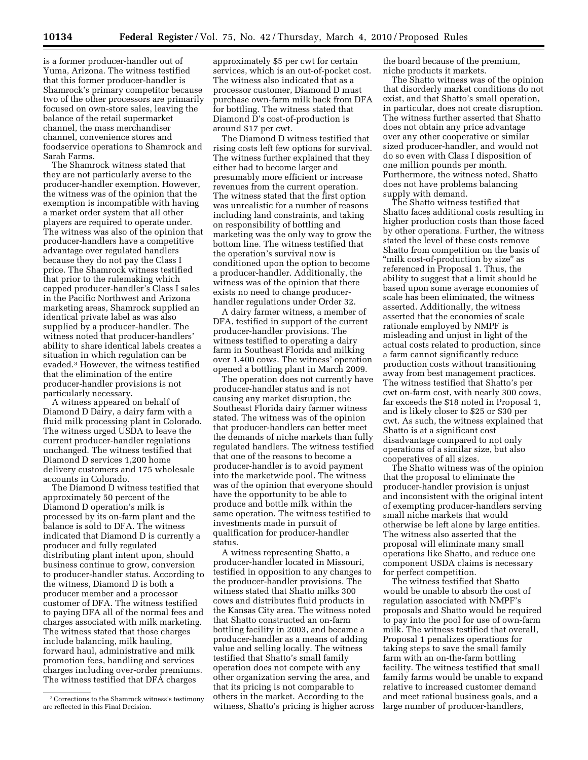is a former producer-handler out of Yuma, Arizona. The witness testified that this former producer-handler is Shamrock's primary competitor because two of the other processors are primarily focused on own-store sales, leaving the balance of the retail supermarket channel, the mass merchandiser channel, convenience stores and foodservice operations to Shamrock and Sarah Farms.

The Shamrock witness stated that they are not particularly averse to the producer-handler exemption. However, the witness was of the opinion that the exemption is incompatible with having a market order system that all other players are required to operate under. The witness was also of the opinion that producer-handlers have a competitive advantage over regulated handlers because they do not pay the Class I price. The Shamrock witness testified that prior to the rulemaking which capped producer-handler's Class I sales in the Pacific Northwest and Arizona marketing areas, Shamrock supplied an identical private label as was also supplied by a producer-handler. The witness noted that producer-handlers' ability to share identical labels creates a situation in which regulation can be evaded.3 However, the witness testified that the elimination of the entire producer-handler provisions is not particularly necessary.

A witness appeared on behalf of Diamond D Dairy, a dairy farm with a fluid milk processing plant in Colorado. The witness urged USDA to leave the current producer-handler regulations unchanged. The witness testified that Diamond D services 1,200 home delivery customers and 175 wholesale accounts in Colorado.

The Diamond D witness testified that approximately 50 percent of the Diamond D operation's milk is processed by its on-farm plant and the balance is sold to DFA. The witness indicated that Diamond D is currently a producer and fully regulated distributing plant intent upon, should business continue to grow, conversion to producer-handler status. According to the witness, Diamond D is both a producer member and a processor customer of DFA. The witness testified to paying DFA all of the normal fees and charges associated with milk marketing. The witness stated that those charges include balancing, milk hauling, forward haul, administrative and milk promotion fees, handling and services charges including over-order premiums. The witness testified that DFA charges

approximately \$5 per cwt for certain services, which is an out-of-pocket cost. The witness also indicated that as a processor customer, Diamond D must purchase own-farm milk back from DFA for bottling. The witness stated that Diamond D's cost-of-production is around \$17 per cwt.

The Diamond D witness testified that rising costs left few options for survival. The witness further explained that they either had to become larger and presumably more efficient or increase revenues from the current operation. The witness stated that the first option was unrealistic for a number of reasons including land constraints, and taking on responsibility of bottling and marketing was the only way to grow the bottom line. The witness testified that the operation's survival now is conditioned upon the option to become a producer-handler. Additionally, the witness was of the opinion that there exists no need to change producerhandler regulations under Order 32.

A dairy farmer witness, a member of DFA, testified in support of the current producer-handler provisions. The witness testified to operating a dairy farm in Southeast Florida and milking over 1,400 cows. The witness' operation opened a bottling plant in March 2009.

The operation does not currently have producer-handler status and is not causing any market disruption, the Southeast Florida dairy farmer witness stated. The witness was of the opinion that producer-handlers can better meet the demands of niche markets than fully regulated handlers. The witness testified that one of the reasons to become a producer-handler is to avoid payment into the marketwide pool. The witness was of the opinion that everyone should have the opportunity to be able to produce and bottle milk within the same operation. The witness testified to investments made in pursuit of qualification for producer-handler status.

A witness representing Shatto, a producer-handler located in Missouri, testified in opposition to any changes to the producer-handler provisions. The witness stated that Shatto milks 300 cows and distributes fluid products in the Kansas City area. The witness noted that Shatto constructed an on-farm bottling facility in 2003, and became a producer-handler as a means of adding value and selling locally. The witness testified that Shatto's small family operation does not compete with any other organization serving the area, and that its pricing is not comparable to others in the market. According to the witness, Shatto's pricing is higher across the board because of the premium, niche products it markets.

The Shatto witness was of the opinion that disorderly market conditions do not exist, and that Shatto's small operation, in particular, does not create disruption. The witness further asserted that Shatto does not obtain any price advantage over any other cooperative or similar sized producer-handler, and would not do so even with Class I disposition of one million pounds per month. Furthermore, the witness noted, Shatto does not have problems balancing supply with demand.

The Shatto witness testified that Shatto faces additional costs resulting in higher production costs than those faced by other operations. Further, the witness stated the level of these costs remove Shatto from competition on the basis of "milk cost-of-production by size" as referenced in Proposal 1. Thus, the ability to suggest that a limit should be based upon some average economies of scale has been eliminated, the witness asserted. Additionally, the witness asserted that the economies of scale rationale employed by NMPF is misleading and unjust in light of the actual costs related to production, since a farm cannot significantly reduce production costs without transitioning away from best management practices. The witness testified that Shatto's per cwt on-farm cost, with nearly 300 cows, far exceeds the \$18 noted in Proposal 1, and is likely closer to \$25 or \$30 per cwt. As such, the witness explained that Shatto is at a significant cost disadvantage compared to not only operations of a similar size, but also cooperatives of all sizes.

The Shatto witness was of the opinion that the proposal to eliminate the producer-handler provision is unjust and inconsistent with the original intent of exempting producer-handlers serving small niche markets that would otherwise be left alone by large entities. The witness also asserted that the proposal will eliminate many small operations like Shatto, and reduce one component USDA claims is necessary for perfect competition.

The witness testified that Shatto would be unable to absorb the cost of regulation associated with NMPF's proposals and Shatto would be required to pay into the pool for use of own-farm milk. The witness testified that overall, Proposal 1 penalizes operations for taking steps to save the small family farm with an on-the-farm bottling facility. The witness testified that small family farms would be unable to expand relative to increased customer demand and meet rational business goals, and a large number of producer-handlers,

<sup>3</sup>Corrections to the Shamrock witness's testimony are reflected in this Final Decision.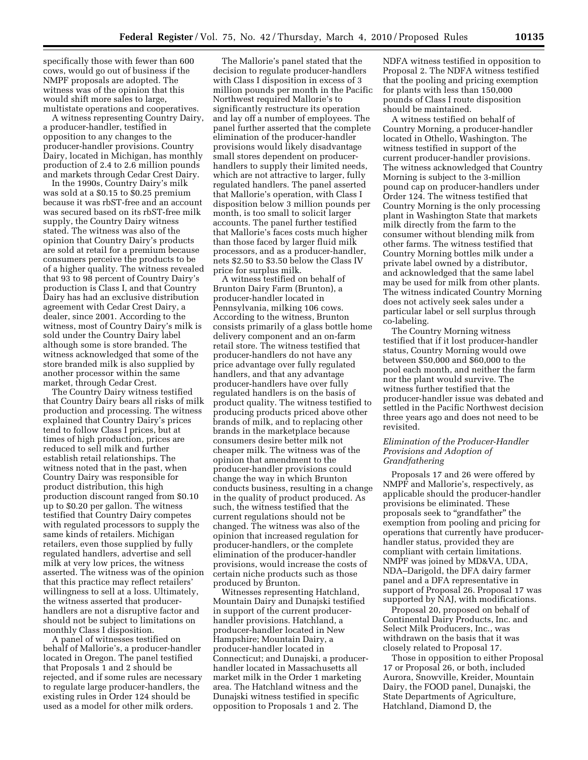specifically those with fewer than 600 cows, would go out of business if the NMPF proposals are adopted. The witness was of the opinion that this would shift more sales to large, multistate operations and cooperatives.

A witness representing Country Dairy, a producer-handler, testified in opposition to any changes to the producer-handler provisions. Country Dairy, located in Michigan, has monthly production of 2.4 to 2.6 million pounds and markets through Cedar Crest Dairy.

In the 1990s, Country Dairy's milk was sold at a \$0.15 to \$0.25 premium because it was rbST-free and an account was secured based on its rbST-free milk supply, the Country Dairy witness stated. The witness was also of the opinion that Country Dairy's products are sold at retail for a premium because consumers perceive the products to be of a higher quality. The witness revealed that 93 to 98 percent of Country Dairy's production is Class I, and that Country Dairy has had an exclusive distribution agreement with Cedar Crest Dairy, a dealer, since 2001. According to the witness, most of Country Dairy's milk is sold under the Country Dairy label although some is store branded. The witness acknowledged that some of the store branded milk is also supplied by another processor within the same market, through Cedar Crest.

The Country Dairy witness testified that Country Dairy bears all risks of milk production and processing. The witness explained that Country Dairy's prices tend to follow Class I prices, but at times of high production, prices are reduced to sell milk and further establish retail relationships. The witness noted that in the past, when Country Dairy was responsible for product distribution, this high production discount ranged from \$0.10 up to \$0.20 per gallon. The witness testified that Country Dairy competes with regulated processors to supply the same kinds of retailers. Michigan retailers, even those supplied by fully regulated handlers, advertise and sell milk at very low prices, the witness asserted. The witness was of the opinion that this practice may reflect retailers' willingness to sell at a loss. Ultimately, the witness asserted that producerhandlers are not a disruptive factor and should not be subject to limitations on monthly Class I disposition.

A panel of witnesses testified on behalf of Mallorie's, a producer-handler located in Oregon. The panel testified that Proposals 1 and 2 should be rejected, and if some rules are necessary to regulate large producer-handlers, the existing rules in Order 124 should be used as a model for other milk orders.

The Mallorie's panel stated that the decision to regulate producer-handlers with Class I disposition in excess of 3 million pounds per month in the Pacific Northwest required Mallorie's to significantly restructure its operation and lay off a number of employees. The panel further asserted that the complete elimination of the producer-handler provisions would likely disadvantage small stores dependent on producerhandlers to supply their limited needs, which are not attractive to larger, fully regulated handlers. The panel asserted that Mallorie's operation, with Class I disposition below 3 million pounds per month, is too small to solicit larger accounts. The panel further testified that Mallorie's faces costs much higher than those faced by larger fluid milk processors, and as a producer-handler, nets \$2.50 to \$3.50 below the Class IV price for surplus milk.

A witness testified on behalf of Brunton Dairy Farm (Brunton), a producer-handler located in Pennsylvania, milking 106 cows. According to the witness, Brunton consists primarily of a glass bottle home delivery component and an on-farm retail store. The witness testified that producer-handlers do not have any price advantage over fully regulated handlers, and that any advantage producer-handlers have over fully regulated handlers is on the basis of product quality. The witness testified to producing products priced above other brands of milk, and to replacing other brands in the marketplace because consumers desire better milk not cheaper milk. The witness was of the opinion that amendment to the producer-handler provisions could change the way in which Brunton conducts business, resulting in a change in the quality of product produced. As such, the witness testified that the current regulations should not be changed. The witness was also of the opinion that increased regulation for producer-handlers, or the complete elimination of the producer-handler provisions, would increase the costs of certain niche products such as those produced by Brunton.

Witnesses representing Hatchland, Mountain Dairy and Dunajski testified in support of the current producerhandler provisions. Hatchland, a producer-handler located in New Hampshire; Mountain Dairy, a producer-handler located in Connecticut; and Dunajski, a producerhandler located in Massachusetts all market milk in the Order 1 marketing area. The Hatchland witness and the Dunajski witness testified in specific opposition to Proposals 1 and 2. The

NDFA witness testified in opposition to Proposal 2. The NDFA witness testified that the pooling and pricing exemption for plants with less than 150,000 pounds of Class I route disposition should be maintained.

A witness testified on behalf of Country Morning, a producer-handler located in Othello, Washington. The witness testified in support of the current producer-handler provisions. The witness acknowledged that Country Morning is subject to the 3-million pound cap on producer-handlers under Order 124. The witness testified that Country Morning is the only processing plant in Washington State that markets milk directly from the farm to the consumer without blending milk from other farms. The witness testified that Country Morning bottles milk under a private label owned by a distributor, and acknowledged that the same label may be used for milk from other plants. The witness indicated Country Morning does not actively seek sales under a particular label or sell surplus through co-labeling.

The Country Morning witness testified that if it lost producer-handler status, Country Morning would owe between \$50,000 and \$60,000 to the pool each month, and neither the farm nor the plant would survive. The witness further testified that the producer-handler issue was debated and settled in the Pacific Northwest decision three years ago and does not need to be revisited.

#### *Elimination of the Producer-Handler Provisions and Adoption of Grandfathering*

Proposals 17 and 26 were offered by NMPF and Mallorie's, respectively, as applicable should the producer-handler provisions be eliminated. These proposals seek to "grandfather" the exemption from pooling and pricing for operations that currently have producerhandler status, provided they are compliant with certain limitations. NMPF was joined by MD&VA, UDA, NDA–Darigold, the DFA dairy farmer panel and a DFA representative in support of Proposal 26. Proposal 17 was supported by NAJ, with modifications.

Proposal 20, proposed on behalf of Continental Dairy Products, Inc. and Select Milk Producers, Inc., was withdrawn on the basis that it was closely related to Proposal 17.

Those in opposition to either Proposal 17 or Proposal 26, or both, included Aurora, Snowville, Kreider, Mountain Dairy, the FOOD panel, Dunajski, the State Departments of Agriculture, Hatchland, Diamond D, the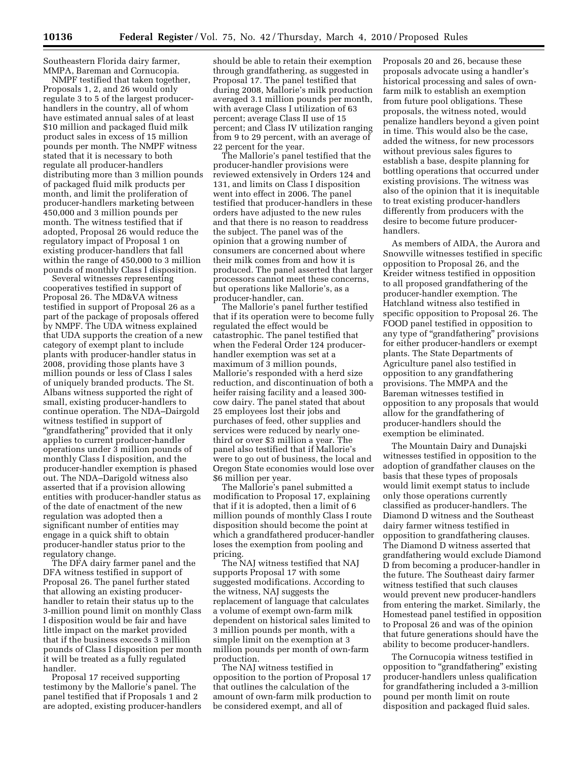Southeastern Florida dairy farmer, MMPA, Bareman and Cornucopia.

NMPF testified that taken together, Proposals 1, 2, and 26 would only regulate 3 to 5 of the largest producerhandlers in the country, all of whom have estimated annual sales of at least \$10 million and packaged fluid milk product sales in excess of 15 million pounds per month. The NMPF witness stated that it is necessary to both regulate all producer-handlers distributing more than 3 million pounds of packaged fluid milk products per month, and limit the proliferation of producer-handlers marketing between 450,000 and 3 million pounds per month. The witness testified that if adopted, Proposal 26 would reduce the regulatory impact of Proposal 1 on existing producer-handlers that fall within the range of 450,000 to 3 million pounds of monthly Class I disposition.

Several witnesses representing cooperatives testified in support of Proposal 26. The MD&VA witness testified in support of Proposal 26 as a part of the package of proposals offered by NMPF. The UDA witness explained that UDA supports the creation of a new category of exempt plant to include plants with producer-handler status in 2008, providing those plants have 3 million pounds or less of Class I sales of uniquely branded products. The St. Albans witness supported the right of small, existing producer-handlers to continue operation. The NDA–Dairgold witness testified in support of ''grandfathering'' provided that it only applies to current producer-handler operations under 3 million pounds of monthly Class I disposition, and the producer-handler exemption is phased out. The NDA–Darigold witness also asserted that if a provision allowing entities with producer-handler status as of the date of enactment of the new regulation was adopted then a significant number of entities may engage in a quick shift to obtain producer-handler status prior to the regulatory change.

The DFA dairy farmer panel and the DFA witness testified in support of Proposal 26. The panel further stated that allowing an existing producerhandler to retain their status up to the 3-million pound limit on monthly Class I disposition would be fair and have little impact on the market provided that if the business exceeds 3 million pounds of Class I disposition per month it will be treated as a fully regulated handler.

Proposal 17 received supporting testimony by the Mallorie's panel. The panel testified that if Proposals 1 and 2 are adopted, existing producer-handlers should be able to retain their exemption through grandfathering, as suggested in Proposal 17. The panel testified that during 2008, Mallorie's milk production averaged 3.1 million pounds per month, with average Class I utilization of 63 percent; average Class II use of 15 percent; and Class IV utilization ranging from 9 to 29 percent, with an average of 22 percent for the year.

The Mallorie's panel testified that the producer-handler provisions were reviewed extensively in Orders 124 and 131, and limits on Class I disposition went into effect in 2006. The panel testified that producer-handlers in these orders have adjusted to the new rules and that there is no reason to readdress the subject. The panel was of the opinion that a growing number of consumers are concerned about where their milk comes from and how it is produced. The panel asserted that larger processors cannot meet these concerns, but operations like Mallorie's, as a producer-handler, can.

The Mallorie's panel further testified that if its operation were to become fully regulated the effect would be catastrophic. The panel testified that when the Federal Order 124 producerhandler exemption was set at a maximum of 3 million pounds, Mallorie's responded with a herd size reduction, and discontinuation of both a heifer raising facility and a leased 300 cow dairy. The panel stated that about 25 employees lost their jobs and purchases of feed, other supplies and services were reduced by nearly onethird or over \$3 million a year. The panel also testified that if Mallorie's were to go out of business, the local and Oregon State economies would lose over \$6 million per year.

The Mallorie's panel submitted a modification to Proposal 17, explaining that if it is adopted, then a limit of 6 million pounds of monthly Class I route disposition should become the point at which a grandfathered producer-handler loses the exemption from pooling and pricing.

The NAJ witness testified that NAJ supports Proposal 17 with some suggested modifications. According to the witness, NAJ suggests the replacement of language that calculates a volume of exempt own-farm milk dependent on historical sales limited to 3 million pounds per month, with a simple limit on the exemption at 3 million pounds per month of own-farm production.

The NAJ witness testified in opposition to the portion of Proposal 17 that outlines the calculation of the amount of own-farm milk production to be considered exempt, and all of

Proposals 20 and 26, because these proposals advocate using a handler's historical processing and sales of ownfarm milk to establish an exemption from future pool obligations. These proposals, the witness noted, would penalize handlers beyond a given point in time. This would also be the case, added the witness, for new processors without previous sales figures to establish a base, despite planning for bottling operations that occurred under existing provisions. The witness was also of the opinion that it is inequitable to treat existing producer-handlers differently from producers with the desire to become future producerhandlers.

As members of AIDA, the Aurora and Snowville witnesses testified in specific opposition to Proposal 26, and the Kreider witness testified in opposition to all proposed grandfathering of the producer-handler exemption. The Hatchland witness also testified in specific opposition to Proposal 26. The FOOD panel testified in opposition to any type of ''grandfathering'' provisions for either producer-handlers or exempt plants. The State Departments of Agriculture panel also testified in opposition to any grandfathering provisions. The MMPA and the Bareman witnesses testified in opposition to any proposals that would allow for the grandfathering of producer-handlers should the exemption be eliminated.

The Mountain Dairy and Dunajski witnesses testified in opposition to the adoption of grandfather clauses on the basis that these types of proposals would limit exempt status to include only those operations currently classified as producer-handlers. The Diamond D witness and the Southeast dairy farmer witness testified in opposition to grandfathering clauses. The Diamond D witness asserted that grandfathering would exclude Diamond D from becoming a producer-handler in the future. The Southeast dairy farmer witness testified that such clauses would prevent new producer-handlers from entering the market. Similarly, the Homestead panel testified in opposition to Proposal 26 and was of the opinion that future generations should have the ability to become producer-handlers.

The Cornucopia witness testified in opposition to ''grandfathering'' existing producer-handlers unless qualification for grandfathering included a 3-million pound per month limit on route disposition and packaged fluid sales.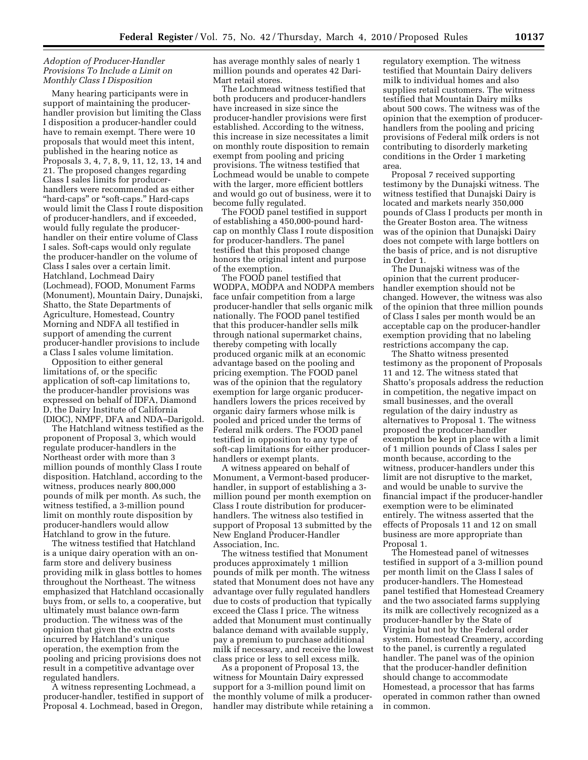# *Adoption of Producer-Handler Provisions To Include a Limit on Monthly Class I Disposition*

Many hearing participants were in support of maintaining the producerhandler provision but limiting the Class I disposition a producer-handler could have to remain exempt. There were 10 proposals that would meet this intent, published in the hearing notice as Proposals 3, 4, 7, 8, 9, 11, 12, 13, 14 and 21. The proposed changes regarding Class I sales limits for producerhandlers were recommended as either ''hard-caps'' or ''soft-caps.'' Hard-caps would limit the Class I route disposition of producer-handlers, and if exceeded, would fully regulate the producerhandler on their entire volume of Class I sales. Soft-caps would only regulate the producer-handler on the volume of Class I sales over a certain limit. Hatchland, Lochmead Dairy (Lochmead), FOOD, Monument Farms (Monument), Mountain Dairy, Dunajski, Shatto, the State Departments of Agriculture, Homestead, Country Morning and NDFA all testified in support of amending the current producer-handler provisions to include a Class I sales volume limitation.

Opposition to either general limitations of, or the specific application of soft-cap limitations to, the producer-handler provisions was expressed on behalf of IDFA, Diamond D, the Dairy Institute of California (DIOC), NMPF, DFA and NDA–Darigold.

The Hatchland witness testified as the proponent of Proposal 3, which would regulate producer-handlers in the Northeast order with more than 3 million pounds of monthly Class I route disposition. Hatchland, according to the witness, produces nearly 800,000 pounds of milk per month. As such, the witness testified, a 3-million pound limit on monthly route disposition by producer-handlers would allow Hatchland to grow in the future.

The witness testified that Hatchland is a unique dairy operation with an onfarm store and delivery business providing milk in glass bottles to homes throughout the Northeast. The witness emphasized that Hatchland occasionally buys from, or sells to, a cooperative, but ultimately must balance own-farm production. The witness was of the opinion that given the extra costs incurred by Hatchland's unique operation, the exemption from the pooling and pricing provisions does not result in a competitive advantage over regulated handlers.

A witness representing Lochmead, a producer-handler, testified in support of Proposal 4. Lochmead, based in Oregon,

has average monthly sales of nearly 1 million pounds and operates 42 Dari-Mart retail stores.

The Lochmead witness testified that both producers and producer-handlers have increased in size since the producer-handler provisions were first established. According to the witness, this increase in size necessitates a limit on monthly route disposition to remain exempt from pooling and pricing provisions. The witness testified that Lochmead would be unable to compete with the larger, more efficient bottlers and would go out of business, were it to become fully regulated.

The FOOD panel testified in support of establishing a 450,000-pound hardcap on monthly Class I route disposition for producer-handlers. The panel testified that this proposed change honors the original intent and purpose of the exemption.

The FOOD panel testified that WODPA, MODPA and NODPA members face unfair competition from a large producer-handler that sells organic milk nationally. The FOOD panel testified that this producer-handler sells milk through national supermarket chains, thereby competing with locally produced organic milk at an economic advantage based on the pooling and pricing exemption. The FOOD panel was of the opinion that the regulatory exemption for large organic producerhandlers lowers the prices received by organic dairy farmers whose milk is pooled and priced under the terms of Federal milk orders. The FOOD panel testified in opposition to any type of soft-cap limitations for either producerhandlers or exempt plants.

A witness appeared on behalf of Monument, a Vermont-based producerhandler, in support of establishing a 3 million pound per month exemption on Class I route distribution for producerhandlers. The witness also testified in support of Proposal 13 submitted by the New England Producer-Handler Association, Inc.

The witness testified that Monument produces approximately 1 million pounds of milk per month. The witness stated that Monument does not have any advantage over fully regulated handlers due to costs of production that typically exceed the Class I price. The witness added that Monument must continually balance demand with available supply, pay a premium to purchase additional milk if necessary, and receive the lowest class price or less to sell excess milk.

As a proponent of Proposal 13, the witness for Mountain Dairy expressed support for a 3-million pound limit on the monthly volume of milk a producerhandler may distribute while retaining a regulatory exemption. The witness testified that Mountain Dairy delivers milk to individual homes and also supplies retail customers. The witness testified that Mountain Dairy milks about 500 cows. The witness was of the opinion that the exemption of producerhandlers from the pooling and pricing provisions of Federal milk orders is not contributing to disorderly marketing conditions in the Order 1 marketing area.

Proposal 7 received supporting testimony by the Dunajski witness. The witness testified that Dunajski Dairy is located and markets nearly 350,000 pounds of Class I products per month in the Greater Boston area. The witness was of the opinion that Dunajski Dairy does not compete with large bottlers on the basis of price, and is not disruptive in Order 1.

The Dunajski witness was of the opinion that the current producerhandler exemption should not be changed. However, the witness was also of the opinion that three million pounds of Class I sales per month would be an acceptable cap on the producer-handler exemption providing that no labeling restrictions accompany the cap.

The Shatto witness presented testimony as the proponent of Proposals 11 and 12. The witness stated that Shatto's proposals address the reduction in competition, the negative impact on small businesses, and the overall regulation of the dairy industry as alternatives to Proposal 1. The witness proposed the producer-handler exemption be kept in place with a limit of 1 million pounds of Class I sales per month because, according to the witness, producer-handlers under this limit are not disruptive to the market, and would be unable to survive the financial impact if the producer-handler exemption were to be eliminated entirely. The witness asserted that the effects of Proposals 11 and 12 on small business are more appropriate than Proposal 1.

The Homestead panel of witnesses testified in support of a 3-million pound per month limit on the Class I sales of producer-handlers. The Homestead panel testified that Homestead Creamery and the two associated farms supplying its milk are collectively recognized as a producer-handler by the State of Virginia but not by the Federal order system. Homestead Creamery, according to the panel, is currently a regulated handler. The panel was of the opinion that the producer-handler definition should change to accommodate Homestead, a processor that has farms operated in common rather than owned in common.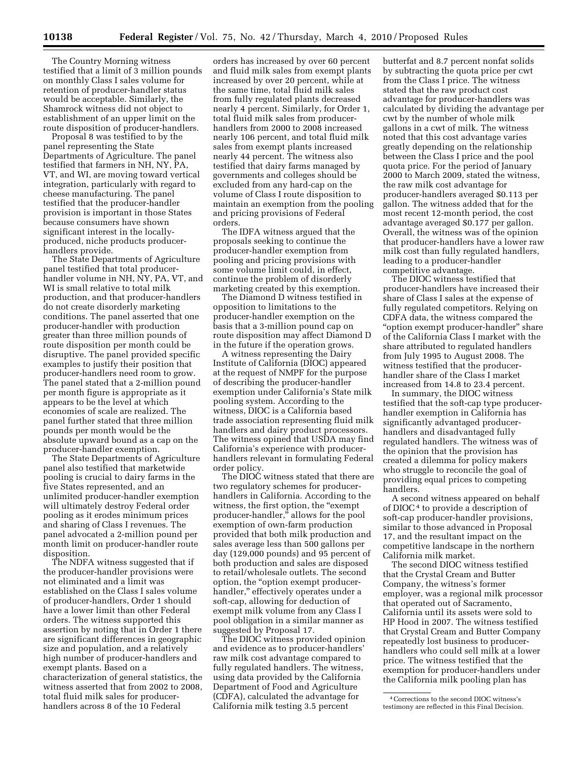The Country Morning witness testified that a limit of 3 million pounds on monthly Class I sales volume for retention of producer-handler status would be acceptable. Similarly, the Shamrock witness did not object to establishment of an upper limit on the route disposition of producer-handlers.

Proposal 8 was testified to by the panel representing the State Departments of Agriculture. The panel testified that farmers in NH, NY, PA, VT, and WI, are moving toward vertical integration, particularly with regard to cheese manufacturing. The panel testified that the producer-handler provision is important in those States because consumers have shown significant interest in the locallyproduced, niche products producerhandlers provide.

The State Departments of Agriculture panel testified that total producerhandler volume in NH, NY, PA, VT, and WI is small relative to total milk production, and that producer-handlers do not create disorderly marketing conditions. The panel asserted that one producer-handler with production greater than three million pounds of route disposition per month could be disruptive. The panel provided specific examples to justify their position that producer-handlers need room to grow. The panel stated that a 2-million pound per month figure is appropriate as it appears to be the level at which economies of scale are realized. The panel further stated that three million pounds per month would be the absolute upward bound as a cap on the producer-handler exemption.

The State Departments of Agriculture panel also testified that marketwide pooling is crucial to dairy farms in the five States represented, and an unlimited producer-handler exemption will ultimately destroy Federal order pooling as it erodes minimum prices and sharing of Class I revenues. The panel advocated a 2-million pound per month limit on producer-handler route disposition.

The NDFA witness suggested that if the producer-handler provisions were not eliminated and a limit was established on the Class I sales volume of producer-handlers, Order 1 should have a lower limit than other Federal orders. The witness supported this assertion by noting that in Order 1 there are significant differences in geographic size and population, and a relatively high number of producer-handlers and exempt plants. Based on a characterization of general statistics, the witness asserted that from 2002 to 2008, total fluid milk sales for producerhandlers across 8 of the 10 Federal

orders has increased by over 60 percent and fluid milk sales from exempt plants increased by over 20 percent, while at the same time, total fluid milk sales from fully regulated plants decreased nearly 4 percent. Similarly, for Order 1, total fluid milk sales from producerhandlers from 2000 to 2008 increased nearly 106 percent, and total fluid milk sales from exempt plants increased nearly 44 percent. The witness also testified that dairy farms managed by governments and colleges should be excluded from any hard-cap on the volume of Class I route disposition to maintain an exemption from the pooling and pricing provisions of Federal orders.

The IDFA witness argued that the proposals seeking to continue the producer-handler exemption from pooling and pricing provisions with some volume limit could, in effect, continue the problem of disorderly marketing created by this exemption.

The Diamond D witness testified in opposition to limitations to the producer-handler exemption on the basis that a 3-million pound cap on route disposition may affect Diamond D in the future if the operation grows.

A witness representing the Dairy Institute of California (DIOC) appeared at the request of NMPF for the purpose of describing the producer-handler exemption under California's State milk pooling system. According to the witness, DIOC is a California based trade association representing fluid milk handlers and dairy product processors. The witness opined that USDA may find California's experience with producerhandlers relevant in formulating Federal order policy.

The DIOC witness stated that there are two regulatory schemes for producerhandlers in California. According to the witness, the first option, the "exempt" producer-handler,'' allows for the pool exemption of own-farm production provided that both milk production and sales average less than 500 gallons per day (129,000 pounds) and 95 percent of both production and sales are disposed to retail/wholesale outlets. The second option, the ''option exempt producerhandler," effectively operates under a soft-cap, allowing for deduction of exempt milk volume from any Class I pool obligation in a similar manner as suggested by Proposal 17.

The DIOC witness provided opinion and evidence as to producer-handlers' raw milk cost advantage compared to fully regulated handlers. The witness, using data provided by the California Department of Food and Agriculture (CDFA), calculated the advantage for California milk testing 3.5 percent

butterfat and 8.7 percent nonfat solids by subtracting the quota price per cwt from the Class I price. The witness stated that the raw product cost advantage for producer-handlers was calculated by dividing the advantage per cwt by the number of whole milk gallons in a cwt of milk. The witness noted that this cost advantage varies greatly depending on the relationship between the Class I price and the pool quota price. For the period of January 2000 to March 2009, stated the witness, the raw milk cost advantage for producer-handlers averaged \$0.113 per gallon. The witness added that for the most recent 12-month period, the cost advantage averaged \$0.177 per gallon. Overall, the witness was of the opinion that producer-handlers have a lower raw milk cost than fully regulated handlers, leading to a producer-handler competitive advantage.

The DIOC witness testified that producer-handlers have increased their share of Class I sales at the expense of fully regulated competitors. Relying on CDFA data, the witness compared the "option exempt producer-handler" share of the California Class I market with the share attributed to regulated handlers from July 1995 to August 2008. The witness testified that the producerhandler share of the Class I market increased from 14.8 to 23.4 percent.

In summary, the DIOC witness testified that the soft-cap type producerhandler exemption in California has significantly advantaged producerhandlers and disadvantaged fully regulated handlers. The witness was of the opinion that the provision has created a dilemma for policy makers who struggle to reconcile the goal of providing equal prices to competing handlers.

A second witness appeared on behalf of DIOC<sup>4</sup> to provide a description of soft-cap producer-handler provisions, similar to those advanced in Proposal 17, and the resultant impact on the competitive landscape in the northern California milk market.

The second DIOC witness testified that the Crystal Cream and Butter Company, the witness's former employer, was a regional milk processor that operated out of Sacramento, California until its assets were sold to HP Hood in 2007. The witness testified that Crystal Cream and Butter Company repeatedly lost business to producerhandlers who could sell milk at a lower price. The witness testified that the exemption for producer-handlers under the California milk pooling plan has

<sup>4</sup>Corrections to the second DIOC witness's testimony are reflected in this Final Decision.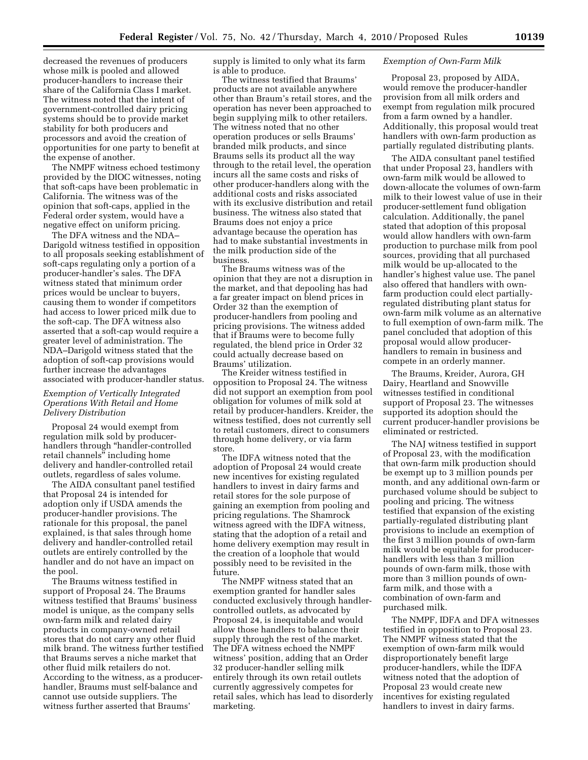decreased the revenues of producers whose milk is pooled and allowed producer-handlers to increase their share of the California Class I market. The witness noted that the intent of government-controlled dairy pricing systems should be to provide market stability for both producers and processors and avoid the creation of opportunities for one party to benefit at the expense of another.

The NMPF witness echoed testimony provided by the DIOC witnesses, noting that soft-caps have been problematic in California. The witness was of the opinion that soft-caps, applied in the Federal order system, would have a negative effect on uniform pricing.

The DFA witness and the NDA– Darigold witness testified in opposition to all proposals seeking establishment of soft-caps regulating only a portion of a producer-handler's sales. The DFA witness stated that minimum order prices would be unclear to buyers, causing them to wonder if competitors had access to lower priced milk due to the soft-cap. The DFA witness also asserted that a soft-cap would require a greater level of administration. The NDA–Darigold witness stated that the adoption of soft-cap provisions would further increase the advantages associated with producer-handler status.

# *Exemption of Vertically Integrated Operations With Retail and Home Delivery Distribution*

Proposal 24 would exempt from regulation milk sold by producerhandlers through ''handler-controlled retail channels'' including home delivery and handler-controlled retail outlets, regardless of sales volume.

The AIDA consultant panel testified that Proposal 24 is intended for adoption only if USDA amends the producer-handler provisions. The rationale for this proposal, the panel explained, is that sales through home delivery and handler-controlled retail outlets are entirely controlled by the handler and do not have an impact on the pool.

The Braums witness testified in support of Proposal 24. The Braums witness testified that Braums' business model is unique, as the company sells own-farm milk and related dairy products in company-owned retail stores that do not carry any other fluid milk brand. The witness further testified that Braums serves a niche market that other fluid milk retailers do not. According to the witness, as a producerhandler, Braums must self-balance and cannot use outside suppliers. The witness further asserted that Braums'

supply is limited to only what its farm is able to produce.

The witness testified that Braums' products are not available anywhere other than Braum's retail stores, and the operation has never been approached to begin supplying milk to other retailers. The witness noted that no other operation produces or sells Braums' branded milk products, and since Braums sells its product all the way through to the retail level, the operation incurs all the same costs and risks of other producer-handlers along with the additional costs and risks associated with its exclusive distribution and retail business. The witness also stated that Braums does not enjoy a price advantage because the operation has had to make substantial investments in the milk production side of the business.

The Braums witness was of the opinion that they are not a disruption in the market, and that depooling has had a far greater impact on blend prices in Order 32 than the exemption of producer-handlers from pooling and pricing provisions. The witness added that if Braums were to become fully regulated, the blend price in Order 32 could actually decrease based on Braums' utilization.

The Kreider witness testified in opposition to Proposal 24. The witness did not support an exemption from pool obligation for volumes of milk sold at retail by producer-handlers. Kreider, the witness testified, does not currently sell to retail customers, direct to consumers through home delivery, or via farm store.

The IDFA witness noted that the adoption of Proposal 24 would create new incentives for existing regulated handlers to invest in dairy farms and retail stores for the sole purpose of gaining an exemption from pooling and pricing regulations. The Shamrock witness agreed with the IDFA witness, stating that the adoption of a retail and home delivery exemption may result in the creation of a loophole that would possibly need to be revisited in the future.

The NMPF witness stated that an exemption granted for handler sales conducted exclusively through handlercontrolled outlets, as advocated by Proposal 24, is inequitable and would allow those handlers to balance their supply through the rest of the market. The DFA witness echoed the NMPF witness' position, adding that an Order 32 producer-handler selling milk entirely through its own retail outlets currently aggressively competes for retail sales, which has lead to disorderly marketing.

#### *Exemption of Own-Farm Milk*

Proposal 23, proposed by AIDA, would remove the producer-handler provision from all milk orders and exempt from regulation milk procured from a farm owned by a handler. Additionally, this proposal would treat handlers with own-farm production as partially regulated distributing plants.

The AIDA consultant panel testified that under Proposal 23, handlers with own-farm milk would be allowed to down-allocate the volumes of own-farm milk to their lowest value of use in their producer-settlement fund obligation calculation. Additionally, the panel stated that adoption of this proposal would allow handlers with own-farm production to purchase milk from pool sources, providing that all purchased milk would be up-allocated to the handler's highest value use. The panel also offered that handlers with ownfarm production could elect partiallyregulated distributing plant status for own-farm milk volume as an alternative to full exemption of own-farm milk. The panel concluded that adoption of this proposal would allow producerhandlers to remain in business and compete in an orderly manner.

The Braums, Kreider, Aurora, GH Dairy, Heartland and Snowville witnesses testified in conditional support of Proposal 23. The witnesses supported its adoption should the current producer-handler provisions be eliminated or restricted.

The NAJ witness testified in support of Proposal 23, with the modification that own-farm milk production should be exempt up to 3 million pounds per month, and any additional own-farm or purchased volume should be subject to pooling and pricing. The witness testified that expansion of the existing partially-regulated distributing plant provisions to include an exemption of the first 3 million pounds of own-farm milk would be equitable for producerhandlers with less than 3 million pounds of own-farm milk, those with more than 3 million pounds of ownfarm milk, and those with a combination of own-farm and purchased milk.

The NMPF, IDFA and DFA witnesses testified in opposition to Proposal 23. The NMPF witness stated that the exemption of own-farm milk would disproportionately benefit large producer-handlers, while the IDFA witness noted that the adoption of Proposal 23 would create new incentives for existing regulated handlers to invest in dairy farms.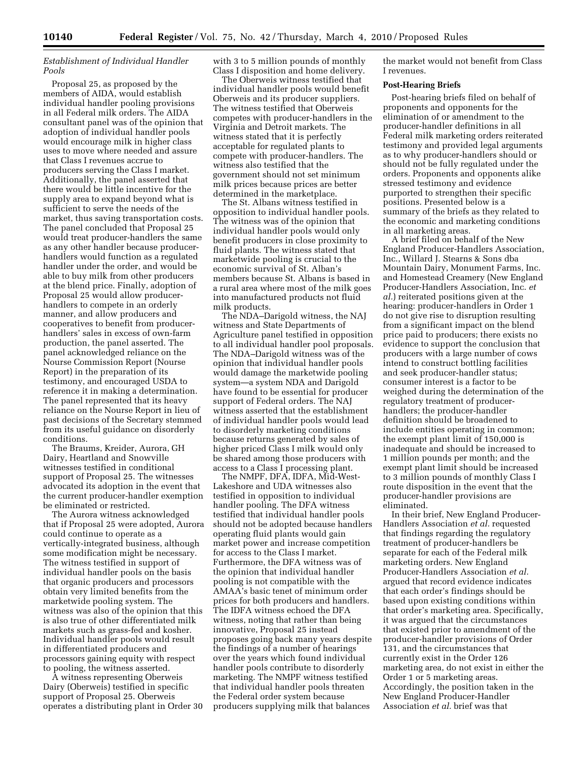# *Establishment of Individual Handler Pools*

Proposal 25, as proposed by the members of AIDA, would establish individual handler pooling provisions in all Federal milk orders. The AIDA consultant panel was of the opinion that adoption of individual handler pools would encourage milk in higher class uses to move where needed and assure that Class I revenues accrue to producers serving the Class I market. Additionally, the panel asserted that there would be little incentive for the supply area to expand beyond what is sufficient to serve the needs of the market, thus saving transportation costs. The panel concluded that Proposal 25 would treat producer-handlers the same as any other handler because producerhandlers would function as a regulated handler under the order, and would be able to buy milk from other producers at the blend price. Finally, adoption of Proposal 25 would allow producerhandlers to compete in an orderly manner, and allow producers and cooperatives to benefit from producerhandlers' sales in excess of own-farm production, the panel asserted. The panel acknowledged reliance on the Nourse Commission Report (Nourse Report) in the preparation of its testimony, and encouraged USDA to reference it in making a determination. The panel represented that its heavy reliance on the Nourse Report in lieu of past decisions of the Secretary stemmed from its useful guidance on disorderly conditions.

The Braums, Kreider, Aurora, GH Dairy, Heartland and Snowville witnesses testified in conditional support of Proposal 25. The witnesses advocated its adoption in the event that the current producer-handler exemption be eliminated or restricted.

The Aurora witness acknowledged that if Proposal 25 were adopted, Aurora could continue to operate as a vertically-integrated business, although some modification might be necessary. The witness testified in support of individual handler pools on the basis that organic producers and processors obtain very limited benefits from the marketwide pooling system. The witness was also of the opinion that this is also true of other differentiated milk markets such as grass-fed and kosher. Individual handler pools would result in differentiated producers and processors gaining equity with respect to pooling, the witness asserted.

A witness representing Oberweis Dairy (Oberweis) testified in specific support of Proposal 25. Oberweis operates a distributing plant in Order 30 with 3 to 5 million pounds of monthly Class I disposition and home delivery.

The Oberweis witness testified that individual handler pools would benefit Oberweis and its producer suppliers. The witness testified that Oberweis competes with producer-handlers in the Virginia and Detroit markets. The witness stated that it is perfectly acceptable for regulated plants to compete with producer-handlers. The witness also testified that the government should not set minimum milk prices because prices are better determined in the marketplace.

The St. Albans witness testified in opposition to individual handler pools. The witness was of the opinion that individual handler pools would only benefit producers in close proximity to fluid plants. The witness stated that marketwide pooling is crucial to the economic survival of St. Alban's members because St. Albans is based in a rural area where most of the milk goes into manufactured products not fluid milk products.

The NDA–Darigold witness, the NAJ witness and State Departments of Agriculture panel testified in opposition to all individual handler pool proposals. The NDA–Darigold witness was of the opinion that individual handler pools would damage the marketwide pooling system—a system NDA and Darigold have found to be essential for producer support of Federal orders. The NAJ witness asserted that the establishment of individual handler pools would lead to disorderly marketing conditions because returns generated by sales of higher priced Class I milk would only be shared among those producers with access to a Class I processing plant.

The NMPF, DFA, IDFA, Mid-West-Lakeshore and UDA witnesses also testified in opposition to individual handler pooling. The DFA witness testified that individual handler pools should not be adopted because handlers operating fluid plants would gain market power and increase competition for access to the Class I market. Furthermore, the DFA witness was of the opinion that individual handler pooling is not compatible with the AMAA's basic tenet of minimum order prices for both producers and handlers. The IDFA witness echoed the DFA witness, noting that rather than being innovative, Proposal 25 instead proposes going back many years despite the findings of a number of hearings over the years which found individual handler pools contribute to disorderly marketing. The NMPF witness testified that individual handler pools threaten the Federal order system because producers supplying milk that balances

the market would not benefit from Class I revenues.

#### **Post-Hearing Briefs**

Post-hearing briefs filed on behalf of proponents and opponents for the elimination of or amendment to the producer-handler definitions in all Federal milk marketing orders reiterated testimony and provided legal arguments as to why producer-handlers should or should not be fully regulated under the orders. Proponents and opponents alike stressed testimony and evidence purported to strengthen their specific positions. Presented below is a summary of the briefs as they related to the economic and marketing conditions in all marketing areas.

A brief filed on behalf of the New England Producer-Handlers Association, Inc., Willard J. Stearns & Sons dba Mountain Dairy, Monument Farms, Inc. and Homestead Creamery (New England Producer-Handlers Association, Inc. *et al.*) reiterated positions given at the hearing: producer-handlers in Order 1 do not give rise to disruption resulting from a significant impact on the blend price paid to producers; there exists no evidence to support the conclusion that producers with a large number of cows intend to construct bottling facilities and seek producer-handler status; consumer interest is a factor to be weighed during the determination of the regulatory treatment of producerhandlers; the producer-handler definition should be broadened to include entities operating in common; the exempt plant limit of 150,000 is inadequate and should be increased to 1 million pounds per month; and the exempt plant limit should be increased to 3 million pounds of monthly Class I route disposition in the event that the producer-handler provisions are eliminated.

In their brief, New England Producer-Handlers Association *et al.* requested that findings regarding the regulatory treatment of producer-handlers be separate for each of the Federal milk marketing orders. New England Producer-Handlers Association *et al.*  argued that record evidence indicates that each order's findings should be based upon existing conditions within that order's marketing area. Specifically, it was argued that the circumstances that existed prior to amendment of the producer-handler provisions of Order 131, and the circumstances that currently exist in the Order 126 marketing area, do not exist in either the Order 1 or 5 marketing areas. Accordingly, the position taken in the New England Producer-Handler Association *et al.* brief was that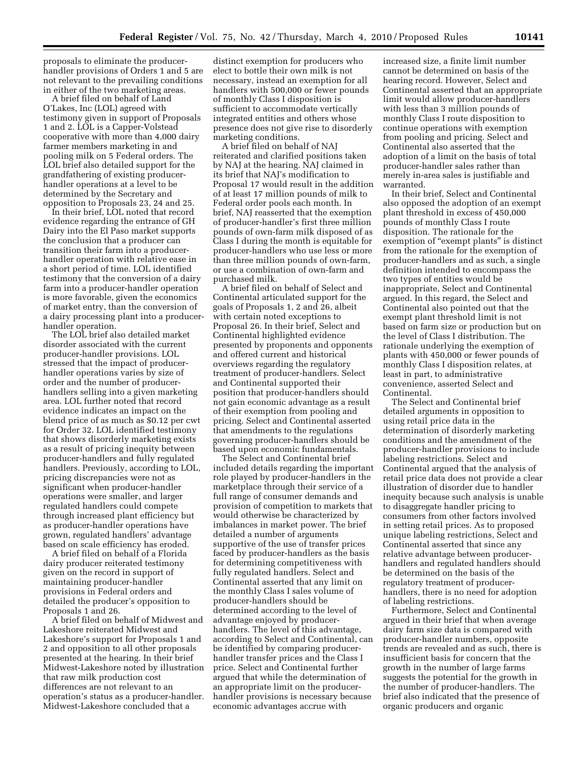proposals to eliminate the producerhandler provisions of Orders 1 and 5 are not relevant to the prevailing conditions in either of the two marketing areas.

A brief filed on behalf of Land O'Lakes, Inc (LOL) agreed with testimony given in support of Proposals 1 and 2. LOL is a Capper-Volstead cooperative with more than 4,000 dairy farmer members marketing in and pooling milk on 5 Federal orders. The LOL brief also detailed support for the grandfathering of existing producerhandler operations at a level to be determined by the Secretary and opposition to Proposals 23, 24 and 25.

In their brief, LOL noted that record evidence regarding the entrance of GH Dairy into the El Paso market supports the conclusion that a producer can transition their farm into a producerhandler operation with relative ease in a short period of time. LOL identified testimony that the conversion of a dairy farm into a producer-handler operation is more favorable, given the economics of market entry, than the conversion of a dairy processing plant into a producerhandler operation.

The LOL brief also detailed market disorder associated with the current producer-handler provisions. LOL stressed that the impact of producerhandler operations varies by size of order and the number of producerhandlers selling into a given marketing area. LOL further noted that record evidence indicates an impact on the blend price of as much as \$0.12 per cwt for Order 32. LOL identified testimony that shows disorderly marketing exists as a result of pricing inequity between producer-handlers and fully regulated handlers. Previously, according to LOL, pricing discrepancies were not as significant when producer-handler operations were smaller, and larger regulated handlers could compete through increased plant efficiency but as producer-handler operations have grown, regulated handlers' advantage based on scale efficiency has eroded.

A brief filed on behalf of a Florida dairy producer reiterated testimony given on the record in support of maintaining producer-handler provisions in Federal orders and detailed the producer's opposition to Proposals 1 and 26.

A brief filed on behalf of Midwest and Lakeshore reiterated Midwest and Lakeshore's support for Proposals 1 and 2 and opposition to all other proposals presented at the hearing. In their brief Midwest-Lakeshore noted by illustration that raw milk production cost differences are not relevant to an operation's status as a producer-handler. Midwest-Lakeshore concluded that a

distinct exemption for producers who elect to bottle their own milk is not necessary, instead an exemption for all handlers with 500,000 or fewer pounds of monthly Class I disposition is sufficient to accommodate vertically integrated entities and others whose presence does not give rise to disorderly marketing conditions.

A brief filed on behalf of NAJ reiterated and clarified positions taken by NAJ at the hearing. NAJ claimed in its brief that NAJ's modification to Proposal 17 would result in the addition of at least 17 million pounds of milk to Federal order pools each month. In brief, NAJ reasserted that the exemption of producer-handler's first three million pounds of own-farm milk disposed of as Class I during the month is equitable for producer-handlers who use less or more than three million pounds of own-farm, or use a combination of own-farm and purchased milk.

A brief filed on behalf of Select and Continental articulated support for the goals of Proposals 1, 2 and 26, albeit with certain noted exceptions to Proposal 26. In their brief, Select and Continental highlighted evidence presented by proponents and opponents and offered current and historical overviews regarding the regulatory treatment of producer-handlers. Select and Continental supported their position that producer-handlers should not gain economic advantage as a result of their exemption from pooling and pricing. Select and Continental asserted that amendments to the regulations governing producer-handlers should be based upon economic fundamentals.

The Select and Continental brief included details regarding the important role played by producer-handlers in the marketplace through their service of a full range of consumer demands and provision of competition to markets that would otherwise be characterized by imbalances in market power. The brief detailed a number of arguments supportive of the use of transfer prices faced by producer-handlers as the basis for determining competitiveness with fully regulated handlers. Select and Continental asserted that any limit on the monthly Class I sales volume of producer-handlers should be determined according to the level of advantage enjoyed by producerhandlers. The level of this advantage, according to Select and Continental, can be identified by comparing producerhandler transfer prices and the Class I price. Select and Continental further argued that while the determination of an appropriate limit on the producerhandler provisions is necessary because economic advantages accrue with

increased size, a finite limit number cannot be determined on basis of the hearing record. However, Select and Continental asserted that an appropriate limit would allow producer-handlers with less than 3 million pounds of monthly Class I route disposition to continue operations with exemption from pooling and pricing. Select and Continental also asserted that the adoption of a limit on the basis of total producer-handler sales rather than merely in-area sales is justifiable and warranted.

In their brief, Select and Continental also opposed the adoption of an exempt plant threshold in excess of 450,000 pounds of monthly Class I route disposition. The rationale for the exemption of "exempt plants" is distinct from the rationale for the exemption of producer-handlers and as such, a single definition intended to encompass the two types of entities would be inappropriate, Select and Continental argued. In this regard, the Select and Continental also pointed out that the exempt plant threshold limit is not based on farm size or production but on the level of Class I distribution. The rationale underlying the exemption of plants with 450,000 or fewer pounds of monthly Class I disposition relates, at least in part, to administrative convenience, asserted Select and Continental.

The Select and Continental brief detailed arguments in opposition to using retail price data in the determination of disorderly marketing conditions and the amendment of the producer-handler provisions to include labeling restrictions. Select and Continental argued that the analysis of retail price data does not provide a clear illustration of disorder due to handler inequity because such analysis is unable to disaggregate handler pricing to consumers from other factors involved in setting retail prices. As to proposed unique labeling restrictions, Select and Continental asserted that since any relative advantage between producerhandlers and regulated handlers should be determined on the basis of the regulatory treatment of producerhandlers, there is no need for adoption of labeling restrictions.

Furthermore, Select and Continental argued in their brief that when average dairy farm size data is compared with producer-handler numbers, opposite trends are revealed and as such, there is insufficient basis for concern that the growth in the number of large farms suggests the potential for the growth in the number of producer-handlers. The brief also indicated that the presence of organic producers and organic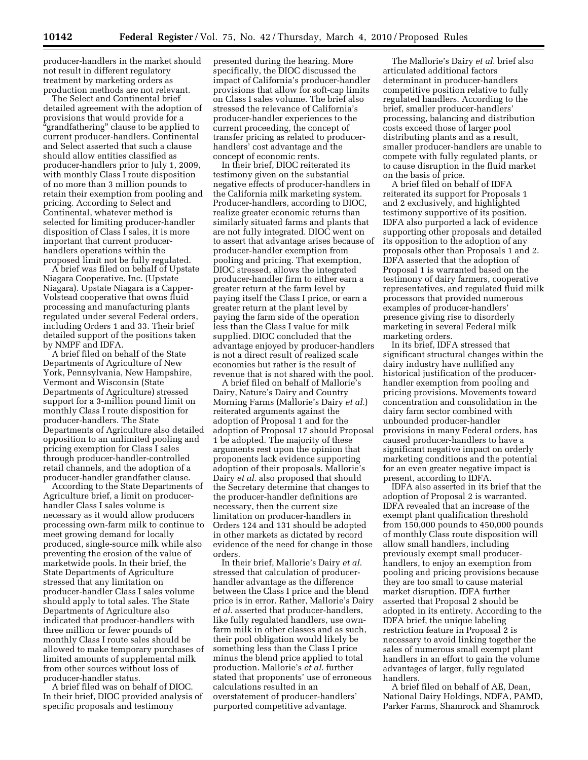producer-handlers in the market should not result in different regulatory treatment by marketing orders as production methods are not relevant.

The Select and Continental brief detailed agreement with the adoption of provisions that would provide for a ''grandfathering'' clause to be applied to current producer-handlers. Continental and Select asserted that such a clause should allow entities classified as producer-handlers prior to July 1, 2009, with monthly Class I route disposition of no more than 3 million pounds to retain their exemption from pooling and pricing. According to Select and Continental, whatever method is selected for limiting producer-handler disposition of Class I sales, it is more important that current producerhandlers operations within the proposed limit not be fully regulated.

A brief was filed on behalf of Upstate Niagara Cooperative, Inc. (Upstate Niagara). Upstate Niagara is a Capper-Volstead cooperative that owns fluid processing and manufacturing plants regulated under several Federal orders, including Orders 1 and 33. Their brief detailed support of the positions taken by NMPF and IDFA.

A brief filed on behalf of the State Departments of Agriculture of New York, Pennsylvania, New Hampshire, Vermont and Wisconsin (State Departments of Agriculture) stressed support for a 3-million pound limit on monthly Class I route disposition for producer-handlers. The State Departments of Agriculture also detailed opposition to an unlimited pooling and pricing exemption for Class I sales through producer-handler-controlled retail channels, and the adoption of a producer-handler grandfather clause.

According to the State Departments of Agriculture brief, a limit on producerhandler Class I sales volume is necessary as it would allow producers processing own-farm milk to continue to meet growing demand for locally produced, single-source milk while also preventing the erosion of the value of marketwide pools. In their brief, the State Departments of Agriculture stressed that any limitation on producer-handler Class I sales volume should apply to total sales. The State Departments of Agriculture also indicated that producer-handlers with three million or fewer pounds of monthly Class I route sales should be allowed to make temporary purchases of limited amounts of supplemental milk from other sources without loss of producer-handler status.

A brief filed was on behalf of DIOC. In their brief, DIOC provided analysis of specific proposals and testimony

presented during the hearing. More specifically, the DIOC discussed the impact of California's producer-handler provisions that allow for soft-cap limits on Class I sales volume. The brief also stressed the relevance of California's producer-handler experiences to the current proceeding, the concept of transfer pricing as related to producerhandlers' cost advantage and the concept of economic rents.

In their brief, DIOC reiterated its testimony given on the substantial negative effects of producer-handlers in the California milk marketing system. Producer-handlers, according to DIOC, realize greater economic returns than similarly situated farms and plants that are not fully integrated. DIOC went on to assert that advantage arises because of producer-handler exemption from pooling and pricing. That exemption, DIOC stressed, allows the integrated producer-handler firm to either earn a greater return at the farm level by paying itself the Class I price, or earn a greater return at the plant level by paying the farm side of the operation less than the Class I value for milk supplied. DIOC concluded that the advantage enjoyed by producer-handlers is not a direct result of realized scale economies but rather is the result of revenue that is not shared with the pool.

A brief filed on behalf of Mallorie's Dairy, Nature's Dairy and Country Morning Farms (Mallorie's Dairy *et al.*) reiterated arguments against the adoption of Proposal 1 and for the adoption of Proposal 17 should Proposal 1 be adopted. The majority of these arguments rest upon the opinion that proponents lack evidence supporting adoption of their proposals. Mallorie's Dairy *et al.* also proposed that should the Secretary determine that changes to the producer-handler definitions are necessary, then the current size limitation on producer-handlers in Orders 124 and 131 should be adopted in other markets as dictated by record evidence of the need for change in those orders.

In their brief, Mallorie's Dairy *et al.*  stressed that calculation of producerhandler advantage as the difference between the Class I price and the blend price is in error. Rather, Mallorie's Dairy *et al.* asserted that producer-handlers, like fully regulated handlers, use ownfarm milk in other classes and as such, their pool obligation would likely be something less than the Class I price minus the blend price applied to total production. Mallorie's *et al.* further stated that proponents' use of erroneous calculations resulted in an overstatement of producer-handlers' purported competitive advantage.

The Mallorie's Dairy *et al.* brief also articulated additional factors determinant in producer-handlers competitive position relative to fully regulated handlers. According to the brief, smaller producer-handlers' processing, balancing and distribution costs exceed those of larger pool distributing plants and as a result, smaller producer-handlers are unable to compete with fully regulated plants, or to cause disruption in the fluid market on the basis of price.

A brief filed on behalf of IDFA reiterated its support for Proposals 1 and 2 exclusively, and highlighted testimony supportive of its position. IDFA also purported a lack of evidence supporting other proposals and detailed its opposition to the adoption of any proposals other than Proposals 1 and 2. IDFA asserted that the adoption of Proposal 1 is warranted based on the testimony of dairy farmers, cooperative representatives, and regulated fluid milk processors that provided numerous examples of producer-handlers' presence giving rise to disorderly marketing in several Federal milk marketing orders.

In its brief, IDFA stressed that significant structural changes within the dairy industry have nullified any historical justification of the producerhandler exemption from pooling and pricing provisions. Movements toward concentration and consolidation in the dairy farm sector combined with unbounded producer-handler provisions in many Federal orders, has caused producer-handlers to have a significant negative impact on orderly marketing conditions and the potential for an even greater negative impact is present, according to IDFA.

IDFA also asserted in its brief that the adoption of Proposal 2 is warranted. IDFA revealed that an increase of the exempt plant qualification threshold from 150,000 pounds to 450,000 pounds of monthly Class route disposition will allow small handlers, including previously exempt small producerhandlers, to enjoy an exemption from pooling and pricing provisions because they are too small to cause material market disruption. IDFA further asserted that Proposal 2 should be adopted in its entirety. According to the IDFA brief, the unique labeling restriction feature in Proposal 2 is necessary to avoid linking together the sales of numerous small exempt plant handlers in an effort to gain the volume advantages of larger, fully regulated handlers.

A brief filed on behalf of AE, Dean, National Dairy Holdings, NDFA, PAMD, Parker Farms, Shamrock and Shamrock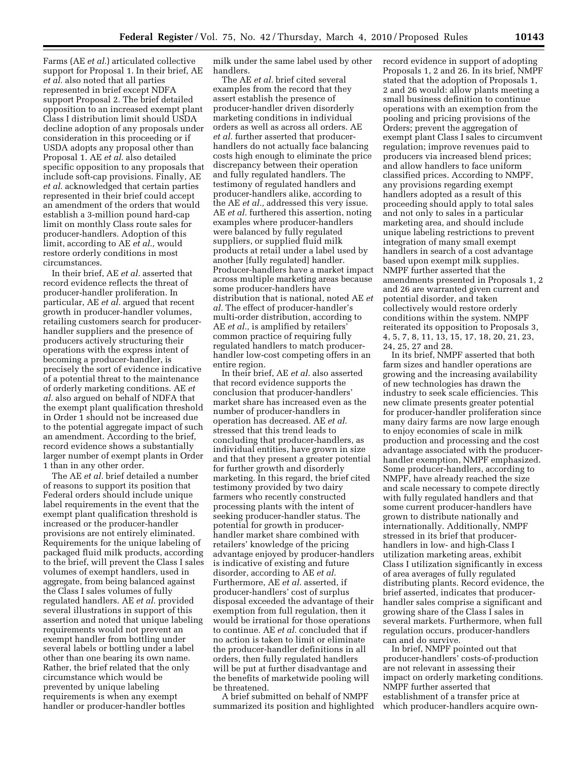Farms (AE *et al.*) articulated collective support for Proposal 1. In their brief, AE *et al.* also noted that all parties represented in brief except NDFA support Proposal 2. The brief detailed opposition to an increased exempt plant Class I distribution limit should USDA decline adoption of any proposals under consideration in this proceeding or if USDA adopts any proposal other than Proposal 1. AE *et al.* also detailed specific opposition to any proposals that include soft-cap provisions. Finally, AE *et al.* acknowledged that certain parties represented in their brief could accept an amendment of the orders that would establish a 3-million pound hard-cap limit on monthly Class route sales for producer-handlers. Adoption of this limit, according to AE *et al.,* would restore orderly conditions in most circumstances.

In their brief, AE *et al.* asserted that record evidence reflects the threat of producer-handler proliferation. In particular, AE *et al.* argued that recent growth in producer-handler volumes, retailing customers search for producerhandler suppliers and the presence of producers actively structuring their operations with the express intent of becoming a producer-handler, is precisely the sort of evidence indicative of a potential threat to the maintenance of orderly marketing conditions. AE *et al.* also argued on behalf of NDFA that the exempt plant qualification threshold in Order 1 should not be increased due to the potential aggregate impact of such an amendment. According to the brief, record evidence shows a substantially larger number of exempt plants in Order 1 than in any other order.

The AE *et al.* brief detailed a number of reasons to support its position that Federal orders should include unique label requirements in the event that the exempt plant qualification threshold is increased or the producer-handler provisions are not entirely eliminated. Requirements for the unique labeling of packaged fluid milk products, according to the brief, will prevent the Class I sales volumes of exempt handlers, used in aggregate, from being balanced against the Class I sales volumes of fully regulated handlers. AE *et al.* provided several illustrations in support of this assertion and noted that unique labeling requirements would not prevent an exempt handler from bottling under several labels or bottling under a label other than one bearing its own name. Rather, the brief related that the only circumstance which would be prevented by unique labeling requirements is when any exempt handler or producer-handler bottles

milk under the same label used by other handlers.

The AE *et al.* brief cited several examples from the record that they assert establish the presence of producer-handler driven disorderly marketing conditions in individual orders as well as across all orders. AE *et al.* further asserted that producerhandlers do not actually face balancing costs high enough to eliminate the price discrepancy between their operation and fully regulated handlers. The testimony of regulated handlers and producer-handlers alike, according to the AE *et al.,* addressed this very issue. AE *et al.* furthered this assertion, noting examples where producer-handlers were balanced by fully regulated suppliers, or supplied fluid milk products at retail under a label used by another [fully regulated] handler. Producer-handlers have a market impact across multiple marketing areas because some producer-handlers have distribution that is national, noted AE *et al.* The effect of producer-handler's multi-order distribution, according to AE *et al.,* is amplified by retailers' common practice of requiring fully regulated handlers to match producerhandler low-cost competing offers in an entire region.

In their brief, AE *et al.* also asserted that record evidence supports the conclusion that producer-handlers' market share has increased even as the number of producer-handlers in operation has decreased. AE *et al.*  stressed that this trend leads to concluding that producer-handlers, as individual entities, have grown in size and that they present a greater potential for further growth and disorderly marketing. In this regard, the brief cited testimony provided by two dairy farmers who recently constructed processing plants with the intent of seeking producer-handler status. The potential for growth in producerhandler market share combined with retailers' knowledge of the pricing advantage enjoyed by producer-handlers is indicative of existing and future disorder, according to AE *et al.*  Furthermore, AE *et al.* asserted, if producer-handlers' cost of surplus disposal exceeded the advantage of their exemption from full regulation, then it would be irrational for those operations to continue. AE *et al.* concluded that if no action is taken to limit or eliminate the producer-handler definitions in all orders, then fully regulated handlers will be put at further disadvantage and the benefits of marketwide pooling will be threatened.

A brief submitted on behalf of NMPF summarized its position and highlighted record evidence in support of adopting Proposals 1, 2 and 26. In its brief, NMPF stated that the adoption of Proposals 1, 2 and 26 would: allow plants meeting a small business definition to continue operations with an exemption from the pooling and pricing provisions of the Orders; prevent the aggregation of exempt plant Class I sales to circumvent regulation; improve revenues paid to producers via increased blend prices; and allow handlers to face uniform classified prices. According to NMPF, any provisions regarding exempt handlers adopted as a result of this proceeding should apply to total sales and not only to sales in a particular marketing area, and should include unique labeling restrictions to prevent integration of many small exempt handlers in search of a cost advantage based upon exempt milk supplies. NMPF further asserted that the amendments presented in Proposals 1, 2 and 26 are warranted given current and potential disorder, and taken collectively would restore orderly conditions within the system. NMPF reiterated its opposition to Proposals 3, 4, 5, 7, 8, 11, 13, 15, 17, 18, 20, 21, 23, 24, 25, 27 and 28.

In its brief, NMPF asserted that both farm sizes and handler operations are growing and the increasing availability of new technologies has drawn the industry to seek scale efficiencies. This new climate presents greater potential for producer-handler proliferation since many dairy farms are now large enough to enjoy economies of scale in milk production and processing and the cost advantage associated with the producerhandler exemption, NMPF emphasized. Some producer-handlers, according to NMPF, have already reached the size and scale necessary to compete directly with fully regulated handlers and that some current producer-handlers have grown to distribute nationally and internationally. Additionally, NMPF stressed in its brief that producerhandlers in low- and high-Class I utilization marketing areas, exhibit Class I utilization significantly in excess of area averages of fully regulated distributing plants. Record evidence, the brief asserted, indicates that producerhandler sales comprise a significant and growing share of the Class I sales in several markets. Furthermore, when full regulation occurs, producer-handlers can and do survive.

In brief, NMPF pointed out that producer-handlers' costs-of-production are not relevant in assessing their impact on orderly marketing conditions. NMPF further asserted that establishment of a transfer price at which producer-handlers acquire own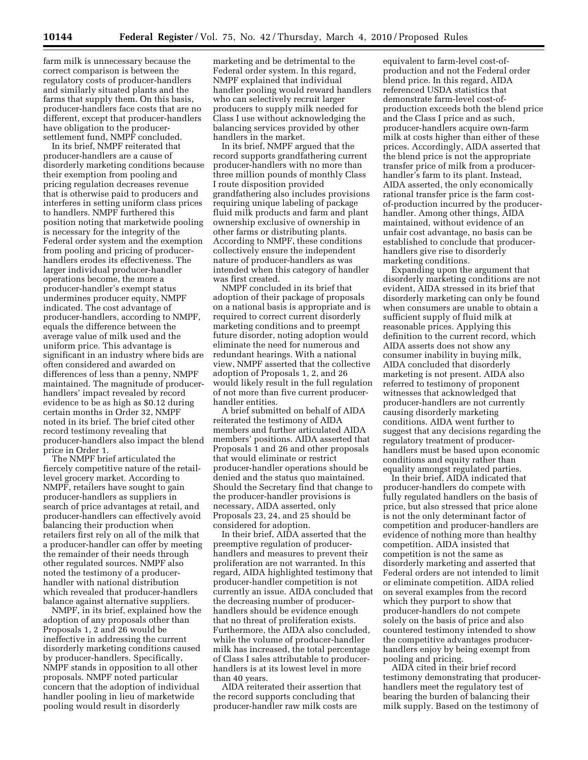farm milk is unnecessary because the correct comparison is between the regulatory costs of producer-handlers and similarly situated plants and the farms that supply them. On this basis, producer-handlers face costs that are no different, except that producer-handlers have obligation to the producersettlement fund, NMPF concluded.

In its brief, NMPF reiterated that producer-handlers are a cause of disorderly marketing conditions because their exemption from pooling and pricing regulation decreases revenue that is otherwise paid to producers and interferes in setting uniform class prices to handlers. NMPF furthered this position noting that marketwide pooling is necessary for the integrity of the Federal order system and the exemption from pooling and pricing of producerhandlers erodes its effectiveness. The larger individual producer-handler operations become, the more a producer-handler's exempt status undermines producer equity, NMPF indicated. The cost advantage of producer-handlers, according to NMPF, equals the difference between the average value of milk used and the uniform price. This advantage is significant in an industry where bids are often considered and awarded on differences of less than a penny, NMPF maintained. The magnitude of producerhandlers' impact revealed by record evidence to be as high as \$0.12 during certain months in Order 32, NMPF noted in its brief. The brief cited other record testimony revealing that producer-handlers also impact the blend price in Order 1.

The NMPF brief articulated the fiercely competitive nature of the retaillevel grocery market. According to NMPF, retailers have sought to gain producer-handlers as suppliers in search of price advantages at retail, and producer-handlers can effectively avoid balancing their production when retailers first rely on all of the milk that a producer-handler can offer by meeting the remainder of their needs through other regulated sources. NMPF also noted the testimony of a producerhandler with national distribution which revealed that producer-handlers balance against alternative suppliers.

NMPF, in its brief, explained how the adoption of any proposals other than Proposals 1, 2 and 26 would be ineffective in addressing the current disorderly marketing conditions caused by producer-handlers. Specifically, NMPF stands in opposition to all other proposals. NMPF noted particular concern that the adoption of individual handler pooling in lieu of marketwide pooling would result in disorderly

marketing and be detrimental to the Federal order system. In this regard, NMPF explained that individual handler pooling would reward handlers who can selectively recruit larger producers to supply milk needed for Class I use without acknowledging the balancing services provided by other handlers in the market.

In its brief, NMPF argued that the record supports grandfathering current producer-handlers with no more than three million pounds of monthly Class I route disposition provided grandfathering also includes provisions requiring unique labeling of package fluid milk products and farm and plant ownership exclusive of ownership in other farms or distributing plants. According to NMPF, these conditions collectively ensure the independent nature of producer-handlers as was intended when this category of handler was first created.

NMPF concluded in its brief that adoption of their package of proposals on a national basis is appropriate and is required to correct current disorderly marketing conditions and to preempt future disorder, noting adoption would eliminate the need for numerous and redundant hearings. With a national view, NMPF asserted that the collective adoption of Proposals 1, 2, and 26 would likely result in the full regulation of not more than five current producerhandler entities.

A brief submitted on behalf of AIDA reiterated the testimony of AIDA members and further articulated AIDA members' positions. AIDA asserted that Proposals 1 and 26 and other proposals that would eliminate or restrict producer-handler operations should be denied and the status quo maintained. Should the Secretary find that change to the producer-handler provisions is necessary, AIDA asserted, only Proposals 23, 24, and 25 should be considered for adoption.

In their brief, AIDA asserted that the preemptive regulation of producerhandlers and measures to prevent their proliferation are not warranted. In this regard, AIDA highlighted testimony that producer-handler competition is not currently an issue. AIDA concluded that the decreasing number of producerhandlers should be evidence enough that no threat of proliferation exists. Furthermore, the AIDA also concluded, while the volume of producer-handler milk has increased, the total percentage of Class I sales attributable to producerhandlers is at its lowest level in more than 40 years.

AIDA reiterated their assertion that the record supports concluding that producer-handler raw milk costs are

equivalent to farm-level cost-ofproduction and not the Federal order blend price. In this regard, AIDA referenced USDA statistics that demonstrate farm-level cost-ofproduction exceeds both the blend price and the Class I price and as such, producer-handlers acquire own-farm milk at costs higher than either of these prices. Accordingly, AIDA asserted that the blend price is not the appropriate transfer price of milk from a producerhandler's farm to its plant. Instead, AIDA asserted, the only economically rational transfer price is the farm costof-production incurred by the producerhandler. Among other things, AIDA maintained, without evidence of an unfair cost advantage, no basis can be established to conclude that producerhandlers give rise to disorderly marketing conditions.

Expanding upon the argument that disorderly marketing conditions are not evident, AIDA stressed in its brief that disorderly marketing can only be found when consumers are unable to obtain a sufficient supply of fluid milk at reasonable prices. Applying this definition to the current record, which AIDA asserts does not show any consumer inability in buying milk, AIDA concluded that disorderly marketing is not present. AIDA also referred to testimony of proponent witnesses that acknowledged that producer-handlers are not currently causing disorderly marketing conditions. AIDA went further to suggest that any decisions regarding the regulatory treatment of producerhandlers must be based upon economic conditions and equity rather than equality amongst regulated parties.

In their brief, AIDA indicated that producer-handlers do compete with fully regulated handlers on the basis of price, but also stressed that price alone is not the only determinant factor of competition and producer-handlers are evidence of nothing more than healthy competition. AIDA insisted that competition is not the same as disorderly marketing and asserted that Federal orders are not intended to limit or eliminate competition. AIDA relied on several examples from the record which they purport to show that producer-handlers do not compete solely on the basis of price and also countered testimony intended to show the competitive advantages producerhandlers enjoy by being exempt from pooling and pricing.

AIDA cited in their brief record testimony demonstrating that producerhandlers meet the regulatory test of bearing the burden of balancing their milk supply. Based on the testimony of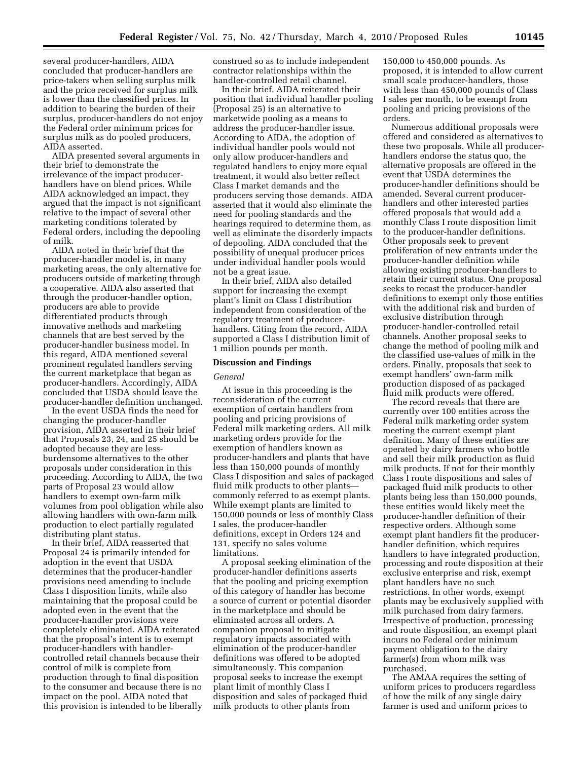several producer-handlers, AIDA concluded that producer-handlers are price-takers when selling surplus milk and the price received for surplus milk is lower than the classified prices. In addition to bearing the burden of their surplus, producer-handlers do not enjoy the Federal order minimum prices for surplus milk as do pooled producers, AIDA asserted.

AIDA presented several arguments in their brief to demonstrate the irrelevance of the impact producerhandlers have on blend prices. While AIDA acknowledged an impact, they argued that the impact is not significant relative to the impact of several other marketing conditions tolerated by Federal orders, including the depooling of milk.

AIDA noted in their brief that the producer-handler model is, in many marketing areas, the only alternative for producers outside of marketing through a cooperative. AIDA also asserted that through the producer-handler option, producers are able to provide differentiated products through innovative methods and marketing channels that are best served by the producer-handler business model. In this regard, AIDA mentioned several prominent regulated handlers serving the current marketplace that began as producer-handlers. Accordingly, AIDA concluded that USDA should leave the producer-handler definition unchanged.

In the event USDA finds the need for changing the producer-handler provision, AIDA asserted in their brief that Proposals 23, 24, and 25 should be adopted because they are lessburdensome alternatives to the other proposals under consideration in this proceeding. According to AIDA, the two parts of Proposal 23 would allow handlers to exempt own-farm milk volumes from pool obligation while also allowing handlers with own-farm milk production to elect partially regulated distributing plant status.

In their brief, AIDA reasserted that Proposal 24 is primarily intended for adoption in the event that USDA determines that the producer-handler provisions need amending to include Class I disposition limits, while also maintaining that the proposal could be adopted even in the event that the producer-handler provisions were completely eliminated. AIDA reiterated that the proposal's intent is to exempt producer-handlers with handlercontrolled retail channels because their control of milk is complete from production through to final disposition to the consumer and because there is no impact on the pool. AIDA noted that this provision is intended to be liberally construed so as to include independent contractor relationships within the handler-controlled retail channel.

In their brief, AIDA reiterated their position that individual handler pooling (Proposal 25) is an alternative to marketwide pooling as a means to address the producer-handler issue. According to AIDA, the adoption of individual handler pools would not only allow producer-handlers and regulated handlers to enjoy more equal treatment, it would also better reflect Class I market demands and the producers serving those demands. AIDA asserted that it would also eliminate the need for pooling standards and the hearings required to determine them, as well as eliminate the disorderly impacts of depooling. AIDA concluded that the possibility of unequal producer prices under individual handler pools would not be a great issue.

In their brief, AIDA also detailed support for increasing the exempt plant's limit on Class I distribution independent from consideration of the regulatory treatment of producerhandlers. Citing from the record, AIDA supported a Class I distribution limit of 1 million pounds per month.

#### **Discussion and Findings**

#### *General*

At issue in this proceeding is the reconsideration of the current exemption of certain handlers from pooling and pricing provisions of Federal milk marketing orders. All milk marketing orders provide for the exemption of handlers known as producer-handlers and plants that have less than 150,000 pounds of monthly Class I disposition and sales of packaged fluid milk products to other plants commonly referred to as exempt plants. While exempt plants are limited to 150,000 pounds or less of monthly Class I sales, the producer-handler definitions, except in Orders 124 and 131, specify no sales volume limitations.

A proposal seeking elimination of the producer-handler definitions asserts that the pooling and pricing exemption of this category of handler has become a source of current or potential disorder in the marketplace and should be eliminated across all orders. A companion proposal to mitigate regulatory impacts associated with elimination of the producer-handler definitions was offered to be adopted simultaneously. This companion proposal seeks to increase the exempt plant limit of monthly Class I disposition and sales of packaged fluid milk products to other plants from

150,000 to 450,000 pounds. As proposed, it is intended to allow current small scale producer-handlers, those with less than 450,000 pounds of Class I sales per month, to be exempt from pooling and pricing provisions of the orders.

Numerous additional proposals were offered and considered as alternatives to these two proposals. While all producerhandlers endorse the status quo, the alternative proposals are offered in the event that USDA determines the producer-handler definitions should be amended. Several current producerhandlers and other interested parties offered proposals that would add a monthly Class I route disposition limit to the producer-handler definitions. Other proposals seek to prevent proliferation of new entrants under the producer-handler definition while allowing existing producer-handlers to retain their current status. One proposal seeks to recast the producer-handler definitions to exempt only those entities with the additional risk and burden of exclusive distribution through producer-handler-controlled retail channels. Another proposal seeks to change the method of pooling milk and the classified use-values of milk in the orders. Finally, proposals that seek to exempt handlers' own-farm milk production disposed of as packaged fluid milk products were offered.

The record reveals that there are currently over 100 entities across the Federal milk marketing order system meeting the current exempt plant definition. Many of these entities are operated by dairy farmers who bottle and sell their milk production as fluid milk products. If not for their monthly Class I route dispositions and sales of packaged fluid milk products to other plants being less than 150,000 pounds, these entities would likely meet the producer-handler definition of their respective orders. Although some exempt plant handlers fit the producerhandler definition, which requires handlers to have integrated production, processing and route disposition at their exclusive enterprise and risk, exempt plant handlers have no such restrictions. In other words, exempt plants may be exclusively supplied with milk purchased from dairy farmers. Irrespective of production, processing and route disposition, an exempt plant incurs no Federal order minimum payment obligation to the dairy farmer(s) from whom milk was purchased.

The AMAA requires the setting of uniform prices to producers regardless of how the milk of any single dairy farmer is used and uniform prices to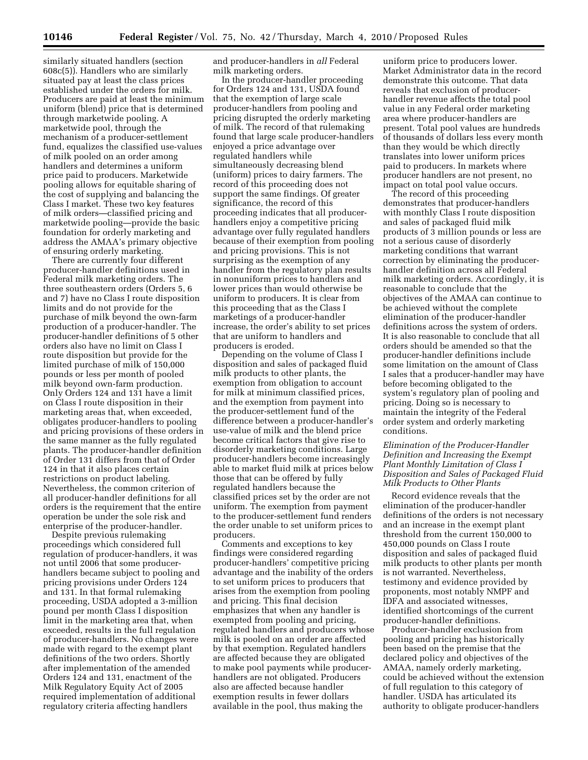similarly situated handlers (section 608c(5)). Handlers who are similarly situated pay at least the class prices established under the orders for milk. Producers are paid at least the minimum uniform (blend) price that is determined through marketwide pooling. A marketwide pool, through the mechanism of a producer-settlement fund, equalizes the classified use-values of milk pooled on an order among handlers and determines a uniform price paid to producers. Marketwide pooling allows for equitable sharing of the cost of supplying and balancing the Class I market. These two key features of milk orders—classified pricing and marketwide pooling—provide the basic foundation for orderly marketing and address the AMAA's primary objective of ensuring orderly marketing.

There are currently four different producer-handler definitions used in Federal milk marketing orders. The three southeastern orders (Orders 5, 6 and 7) have no Class I route disposition limits and do not provide for the purchase of milk beyond the own-farm production of a producer-handler. The producer-handler definitions of 5 other orders also have no limit on Class I route disposition but provide for the limited purchase of milk of 150,000 pounds or less per month of pooled milk beyond own-farm production. Only Orders 124 and 131 have a limit on Class I route disposition in their marketing areas that, when exceeded, obligates producer-handlers to pooling and pricing provisions of these orders in the same manner as the fully regulated plants. The producer-handler definition of Order 131 differs from that of Order 124 in that it also places certain restrictions on product labeling. Nevertheless, the common criterion of all producer-handler definitions for all orders is the requirement that the entire operation be under the sole risk and enterprise of the producer-handler.

Despite previous rulemaking proceedings which considered full regulation of producer-handlers, it was not until 2006 that some producerhandlers became subject to pooling and pricing provisions under Orders 124 and 131. In that formal rulemaking proceeding, USDA adopted a 3-million pound per month Class I disposition limit in the marketing area that, when exceeded, results in the full regulation of producer-handlers. No changes were made with regard to the exempt plant definitions of the two orders. Shortly after implementation of the amended Orders 124 and 131, enactment of the Milk Regulatory Equity Act of 2005 required implementation of additional regulatory criteria affecting handlers

and producer-handlers in *all* Federal milk marketing orders.

In the producer-handler proceeding for Orders 124 and 131, USDA found that the exemption of large scale producer-handlers from pooling and pricing disrupted the orderly marketing of milk. The record of that rulemaking found that large scale producer-handlers enjoyed a price advantage over regulated handlers while simultaneously decreasing blend (uniform) prices to dairy farmers. The record of this proceeding does not support the same findings. Of greater significance, the record of this proceeding indicates that all producerhandlers enjoy a competitive pricing advantage over fully regulated handlers because of their exemption from pooling and pricing provisions. This is not surprising as the exemption of any handler from the regulatory plan results in nonuniform prices to handlers and lower prices than would otherwise be uniform to producers. It is clear from this proceeding that as the Class I marketings of a producer-handler increase, the order's ability to set prices that are uniform to handlers and producers is eroded.

Depending on the volume of Class I disposition and sales of packaged fluid milk products to other plants, the exemption from obligation to account for milk at minimum classified prices, and the exemption from payment into the producer-settlement fund of the difference between a producer-handler's use-value of milk and the blend price become critical factors that give rise to disorderly marketing conditions. Large producer-handlers become increasingly able to market fluid milk at prices below those that can be offered by fully regulated handlers because the classified prices set by the order are not uniform. The exemption from payment to the producer-settlement fund renders the order unable to set uniform prices to producers.

Comments and exceptions to key findings were considered regarding producer-handlers' competitive pricing advantage and the inability of the orders to set uniform prices to producers that arises from the exemption from pooling and pricing. This final decision emphasizes that when any handler is exempted from pooling and pricing, regulated handlers and producers whose milk is pooled on an order are affected by that exemption. Regulated handlers are affected because they are obligated to make pool payments while producerhandlers are not obligated. Producers also are affected because handler exemption results in fewer dollars available in the pool, thus making the

uniform price to producers lower. Market Administrator data in the record demonstrate this outcome. That data reveals that exclusion of producerhandler revenue affects the total pool value in any Federal order marketing area where producer-handlers are present. Total pool values are hundreds of thousands of dollars less every month than they would be which directly translates into lower uniform prices paid to producers. In markets where producer handlers are not present, no impact on total pool value occurs.

The record of this proceeding demonstrates that producer-handlers with monthly Class I route disposition and sales of packaged fluid milk products of 3 million pounds or less are not a serious cause of disorderly marketing conditions that warrant correction by eliminating the producerhandler definition across all Federal milk marketing orders. Accordingly, it is reasonable to conclude that the objectives of the AMAA can continue to be achieved without the complete elimination of the producer-handler definitions across the system of orders. It is also reasonable to conclude that all orders should be amended so that the producer-handler definitions include some limitation on the amount of Class I sales that a producer-handler may have before becoming obligated to the system's regulatory plan of pooling and pricing. Doing so is necessary to maintain the integrity of the Federal order system and orderly marketing conditions.

# *Elimination of the Producer-Handler Definition and Increasing the Exempt Plant Monthly Limitation of Class I Disposition and Sales of Packaged Fluid Milk Products to Other Plants*

Record evidence reveals that the elimination of the producer-handler definitions of the orders is not necessary and an increase in the exempt plant threshold from the current 150,000 to 450,000 pounds on Class I route disposition and sales of packaged fluid milk products to other plants per month is not warranted. Nevertheless, testimony and evidence provided by proponents, most notably NMPF and IDFA and associated witnesses, identified shortcomings of the current producer-handler definitions.

Producer-handler exclusion from pooling and pricing has historically been based on the premise that the declared policy and objectives of the AMAA, namely orderly marketing, could be achieved without the extension of full regulation to this category of handler. USDA has articulated its authority to obligate producer-handlers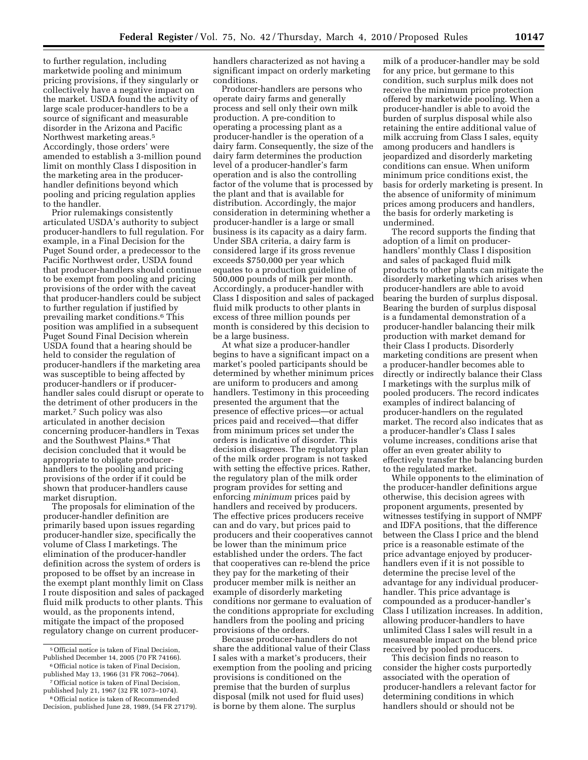to further regulation, including marketwide pooling and minimum pricing provisions, if they singularly or collectively have a negative impact on the market. USDA found the activity of large scale producer-handlers to be a source of significant and measurable disorder in the Arizona and Pacific Northwest marketing areas.5 Accordingly, those orders' were amended to establish a 3-million pound limit on monthly Class I disposition in the marketing area in the producerhandler definitions beyond which pooling and pricing regulation applies to the handler.

Prior rulemakings consistently articulated USDA's authority to subject producer-handlers to full regulation. For example, in a Final Decision for the Puget Sound order, a predecessor to the Pacific Northwest order, USDA found that producer-handlers should continue to be exempt from pooling and pricing provisions of the order with the caveat that producer-handlers could be subject to further regulation if justified by prevailing market conditions.6 This position was amplified in a subsequent Puget Sound Final Decision wherein USDA found that a hearing should be held to consider the regulation of producer-handlers if the marketing area was susceptible to being affected by producer-handlers or if producerhandler sales could disrupt or operate to the detriment of other producers in the market.7 Such policy was also articulated in another decision concerning producer-handlers in Texas and the Southwest Plains.8 That decision concluded that it would be appropriate to obligate producerhandlers to the pooling and pricing provisions of the order if it could be shown that producer-handlers cause market disruption.

The proposals for elimination of the producer-handler definition are primarily based upon issues regarding producer-handler size, specifically the volume of Class I marketings. The elimination of the producer-handler definition across the system of orders is proposed to be offset by an increase in the exempt plant monthly limit on Class I route disposition and sales of packaged fluid milk products to other plants. This would, as the proponents intend, mitigate the impact of the proposed regulatory change on current producerhandlers characterized as not having a significant impact on orderly marketing conditions.

Producer-handlers are persons who operate dairy farms and generally process and sell only their own milk production. A pre-condition to operating a processing plant as a producer-handler is the operation of a dairy farm. Consequently, the size of the dairy farm determines the production level of a producer-handler's farm operation and is also the controlling factor of the volume that is processed by the plant and that is available for distribution. Accordingly, the major consideration in determining whether a producer-handler is a large or small business is its capacity as a dairy farm. Under SBA criteria, a dairy farm is considered large if its gross revenue exceeds \$750,000 per year which equates to a production guideline of 500,000 pounds of milk per month. Accordingly, a producer-handler with Class I disposition and sales of packaged fluid milk products to other plants in excess of three million pounds per month is considered by this decision to be a large business.

At what size a producer-handler begins to have a significant impact on a market's pooled participants should be determined by whether minimum prices are uniform to producers and among handlers. Testimony in this proceeding presented the argument that the presence of effective prices—or actual prices paid and received—that differ from minimum prices set under the orders is indicative of disorder. This decision disagrees. The regulatory plan of the milk order program is not tasked with setting the effective prices. Rather, the regulatory plan of the milk order program provides for setting and enforcing *minimum* prices paid by handlers and received by producers. The effective prices producers receive can and do vary, but prices paid to producers and their cooperatives cannot be lower than the minimum price established under the orders. The fact that cooperatives can re-blend the price they pay for the marketing of their producer member milk is neither an example of disorderly marketing conditions nor germane to evaluation of the conditions appropriate for excluding handlers from the pooling and pricing provisions of the orders.

Because producer-handlers do not share the additional value of their Class I sales with a market's producers, their exemption from the pooling and pricing provisions is conditioned on the premise that the burden of surplus disposal (milk not used for fluid uses) is borne by them alone. The surplus

milk of a producer-handler may be sold for any price, but germane to this condition, such surplus milk does not receive the minimum price protection offered by marketwide pooling. When a producer-handler is able to avoid the burden of surplus disposal while also retaining the entire additional value of milk accruing from Class I sales, equity among producers and handlers is jeopardized and disorderly marketing conditions can ensue. When uniform minimum price conditions exist, the basis for orderly marketing is present. In the absence of uniformity of minimum prices among producers and handlers, the basis for orderly marketing is undermined.

The record supports the finding that adoption of a limit on producerhandlers' monthly Class I disposition and sales of packaged fluid milk products to other plants can mitigate the disorderly marketing which arises when producer-handlers are able to avoid bearing the burden of surplus disposal. Bearing the burden of surplus disposal is a fundamental demonstration of a producer-handler balancing their milk production with market demand for their Class I products. Disorderly marketing conditions are present when a producer-handler becomes able to directly or indirectly balance their Class I marketings with the surplus milk of pooled producers. The record indicates examples of indirect balancing of producer-handlers on the regulated market. The record also indicates that as a producer-handler's Class I sales volume increases, conditions arise that offer an even greater ability to effectively transfer the balancing burden to the regulated market.

While opponents to the elimination of the producer-handler definitions argue otherwise, this decision agrees with proponent arguments, presented by witnesses testifying in support of NMPF and IDFA positions, that the difference between the Class I price and the blend price is a reasonable estimate of the price advantage enjoyed by producerhandlers even if it is not possible to determine the precise level of the advantage for any individual producerhandler. This price advantage is compounded as a producer-handler's Class I utilization increases. In addition, allowing producer-handlers to have unlimited Class I sales will result in a measureable impact on the blend price received by pooled producers.

This decision finds no reason to consider the higher costs purportedly associated with the operation of producer-handlers a relevant factor for determining conditions in which handlers should or should not be

<sup>5</sup>Official notice is taken of Final Decision, Published December 14, 2005 (70 FR 74166). 6Official notice is taken of Final Decision,

published May 13, 1966 (31 FR 7062–7064). 7Official notice is taken of Final Decision,

published July 21, 1967 (32 FR 1073–1074). 8Official notice is taken of Recommended

Decision, published June 28, 1989, (54 FR 27179).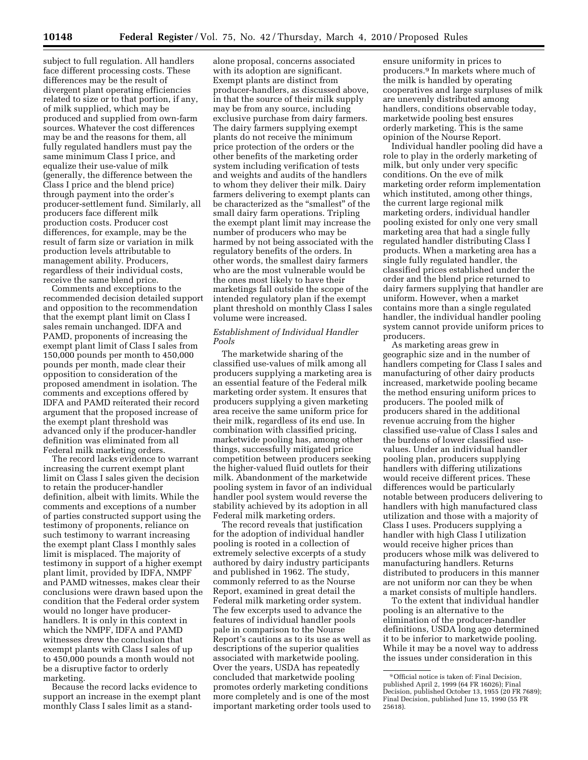subject to full regulation. All handlers face different processing costs. These differences may be the result of divergent plant operating efficiencies related to size or to that portion, if any, of milk supplied, which may be produced and supplied from own-farm sources. Whatever the cost differences may be and the reasons for them, all fully regulated handlers must pay the same minimum Class I price, and equalize their use-value of milk (generally, the difference between the Class I price and the blend price) through payment into the order's producer-settlement fund. Similarly, all producers face different milk production costs. Producer cost differences, for example, may be the result of farm size or variation in milk production levels attributable to management ability. Producers, regardless of their individual costs, receive the same blend price.

Comments and exceptions to the recommended decision detailed support and opposition to the recommendation that the exempt plant limit on Class I sales remain unchanged. IDFA and PAMD, proponents of increasing the exempt plant limit of Class I sales from 150,000 pounds per month to 450,000 pounds per month, made clear their opposition to consideration of the proposed amendment in isolation. The comments and exceptions offered by IDFA and PAMD reiterated their record argument that the proposed increase of the exempt plant threshold was advanced only if the producer-handler definition was eliminated from all Federal milk marketing orders.

The record lacks evidence to warrant increasing the current exempt plant limit on Class I sales given the decision to retain the producer-handler definition, albeit with limits. While the comments and exceptions of a number of parties constructed support using the testimony of proponents, reliance on such testimony to warrant increasing the exempt plant Class I monthly sales limit is misplaced. The majority of testimony in support of a higher exempt plant limit, provided by IDFA, NMPF and PAMD witnesses, makes clear their conclusions were drawn based upon the condition that the Federal order system would no longer have producerhandlers. It is only in this context in which the NMPF, IDFA and PAMD witnesses drew the conclusion that exempt plants with Class I sales of up to 450,000 pounds a month would not be a disruptive factor to orderly marketing.

Because the record lacks evidence to support an increase in the exempt plant monthly Class I sales limit as a stand-

alone proposal, concerns associated with its adoption are significant. Exempt plants are distinct from producer-handlers, as discussed above, in that the source of their milk supply may be from any source, including exclusive purchase from dairy farmers. The dairy farmers supplying exempt plants do not receive the minimum price protection of the orders or the other benefits of the marketing order system including verification of tests and weights and audits of the handlers to whom they deliver their milk. Dairy farmers delivering to exempt plants can be characterized as the "smallest" of the small dairy farm operations. Tripling the exempt plant limit may increase the number of producers who may be harmed by not being associated with the regulatory benefits of the orders. In other words, the smallest dairy farmers who are the most vulnerable would be the ones most likely to have their marketings fall outside the scope of the intended regulatory plan if the exempt plant threshold on monthly Class I sales volume were increased.

# *Establishment of Individual Handler Pools*

The marketwide sharing of the classified use-values of milk among all producers supplying a marketing area is an essential feature of the Federal milk marketing order system. It ensures that producers supplying a given marketing area receive the same uniform price for their milk, regardless of its end use. In combination with classified pricing, marketwide pooling has, among other things, successfully mitigated price competition between producers seeking the higher-valued fluid outlets for their milk. Abandonment of the marketwide pooling system in favor of an individual handler pool system would reverse the stability achieved by its adoption in all Federal milk marketing orders.

The record reveals that justification for the adoption of individual handler pooling is rooted in a collection of extremely selective excerpts of a study authored by dairy industry participants and published in 1962. The study, commonly referred to as the Nourse Report, examined in great detail the Federal milk marketing order system. The few excerpts used to advance the features of individual handler pools pale in comparison to the Nourse Report's cautions as to its use as well as descriptions of the superior qualities associated with marketwide pooling. Over the years, USDA has repeatedly concluded that marketwide pooling promotes orderly marketing conditions more completely and is one of the most important marketing order tools used to

ensure uniformity in prices to producers.9 In markets where much of the milk is handled by operating cooperatives and large surpluses of milk are unevenly distributed among handlers, conditions observable today, marketwide pooling best ensures orderly marketing. This is the same opinion of the Nourse Report.

Individual handler pooling did have a role to play in the orderly marketing of milk, but only under very specific conditions. On the eve of milk marketing order reform implementation which instituted, among other things, the current large regional milk marketing orders, individual handler pooling existed for only one very small marketing area that had a single fully regulated handler distributing Class I products. When a marketing area has a single fully regulated handler, the classified prices established under the order and the blend price returned to dairy farmers supplying that handler are uniform. However, when a market contains more than a single regulated handler, the individual handler pooling system cannot provide uniform prices to producers.

As marketing areas grew in geographic size and in the number of handlers competing for Class I sales and manufacturing of other dairy products increased, marketwide pooling became the method ensuring uniform prices to producers. The pooled milk of producers shared in the additional revenue accruing from the higher classified use-value of Class I sales and the burdens of lower classified usevalues. Under an individual handler pooling plan, producers supplying handlers with differing utilizations would receive different prices. These differences would be particularly notable between producers delivering to handlers with high manufactured class utilization and those with a majority of Class I uses. Producers supplying a handler with high Class I utilization would receive higher prices than producers whose milk was delivered to manufacturing handlers. Returns distributed to producers in this manner are not uniform nor can they be when a market consists of multiple handlers.

To the extent that individual handler pooling is an alternative to the elimination of the producer-handler definitions, USDA long ago determined it to be inferior to marketwide pooling. While it may be a novel way to address the issues under consideration in this

<sup>9</sup>Official notice is taken of: Final Decision, published April 2, 1999 (64 FR 16026); Final Decision, published October 13, 1955 (20 FR 7689); Final Decision, published June 15, 1990 (55 FR 25618).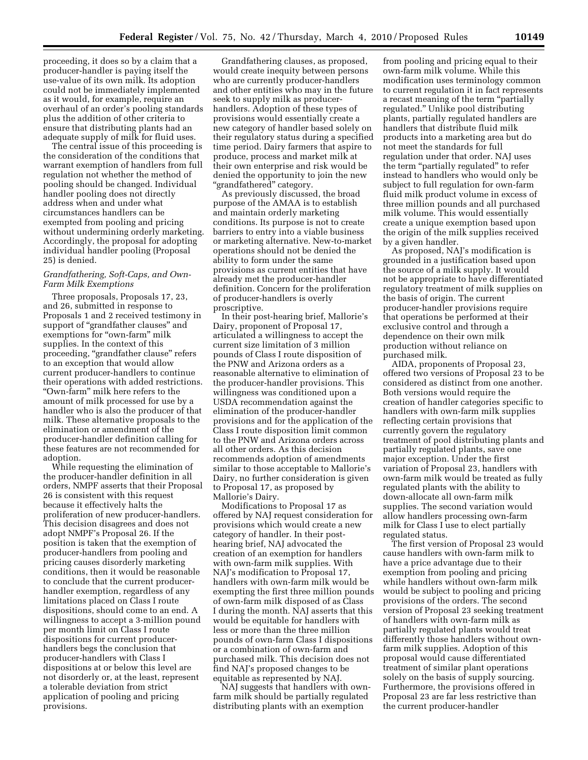proceeding, it does so by a claim that a producer-handler is paying itself the use-value of its own milk. Its adoption could not be immediately implemented as it would, for example, require an overhaul of an order's pooling standards plus the addition of other criteria to ensure that distributing plants had an adequate supply of milk for fluid uses.

The central issue of this proceeding is the consideration of the conditions that warrant exemption of handlers from full regulation not whether the method of pooling should be changed. Individual handler pooling does not directly address when and under what circumstances handlers can be exempted from pooling and pricing without undermining orderly marketing. Accordingly, the proposal for adopting individual handler pooling (Proposal 25) is denied.

# *Grandfathering, Soft-Caps, and Own-Farm Milk Exemptions*

Three proposals, Proposals 17, 23, and 26, submitted in response to Proposals 1 and 2 received testimony in support of ''grandfather clauses'' and exemptions for "own-farm" milk supplies. In the context of this proceeding, "grandfather clause" refers to an exception that would allow current producer-handlers to continue their operations with added restrictions. ''Own-farm'' milk here refers to the amount of milk processed for use by a handler who is also the producer of that milk. These alternative proposals to the elimination or amendment of the producer-handler definition calling for these features are not recommended for adoption.

While requesting the elimination of the producer-handler definition in all orders, NMPF asserts that their Proposal 26 is consistent with this request because it effectively halts the proliferation of new producer-handlers. This decision disagrees and does not adopt NMPF's Proposal 26. If the position is taken that the exemption of producer-handlers from pooling and pricing causes disorderly marketing conditions, then it would be reasonable to conclude that the current producerhandler exemption, regardless of any limitations placed on Class I route dispositions, should come to an end. A willingness to accept a 3-million pound per month limit on Class I route dispositions for current producerhandlers begs the conclusion that producer-handlers with Class I dispositions at or below this level are not disorderly or, at the least, represent a tolerable deviation from strict application of pooling and pricing provisions.

Grandfathering clauses, as proposed, would create inequity between persons who are currently producer-handlers and other entities who may in the future seek to supply milk as producerhandlers. Adoption of these types of provisions would essentially create a new category of handler based solely on their regulatory status during a specified time period. Dairy farmers that aspire to produce, process and market milk at their own enterprise and risk would be denied the opportunity to join the new ''grandfathered'' category.

As previously discussed, the broad purpose of the AMAA is to establish and maintain orderly marketing conditions. Its purpose is not to create barriers to entry into a viable business or marketing alternative. New-to-market operations should not be denied the ability to form under the same provisions as current entities that have already met the producer-handler definition. Concern for the proliferation of producer-handlers is overly proscriptive.

In their post-hearing brief, Mallorie's Dairy, proponent of Proposal 17, articulated a willingness to accept the current size limitation of 3 million pounds of Class I route disposition of the PNW and Arizona orders as a reasonable alternative to elimination of the producer-handler provisions. This willingness was conditioned upon a USDA recommendation against the elimination of the producer-handler provisions and for the application of the Class I route disposition limit common to the PNW and Arizona orders across all other orders. As this decision recommends adoption of amendments similar to those acceptable to Mallorie's Dairy, no further consideration is given to Proposal 17, as proposed by Mallorie's Dairy.

Modifications to Proposal 17 as offered by NAJ request consideration for provisions which would create a new category of handler. In their posthearing brief, NAJ advocated the creation of an exemption for handlers with own-farm milk supplies. With NAJ's modification to Proposal 17, handlers with own-farm milk would be exempting the first three million pounds of own-farm milk disposed of as Class I during the month. NAJ asserts that this would be equitable for handlers with less or more than the three million pounds of own-farm Class I dispositions or a combination of own-farm and purchased milk. This decision does not find NAJ's proposed changes to be equitable as represented by NAJ.

NAJ suggests that handlers with ownfarm milk should be partially regulated distributing plants with an exemption

from pooling and pricing equal to their own-farm milk volume. While this modification uses terminology common to current regulation it in fact represents a recast meaning of the term "partially regulated.'' Unlike pool distributing plants, partially regulated handlers are handlers that distribute fluid milk products into a marketing area but do not meet the standards for full regulation under that order. NAJ uses the term "partially regulated" to refer instead to handlers who would only be subject to full regulation for own-farm fluid milk product volume in excess of three million pounds and all purchased milk volume. This would essentially create a unique exemption based upon the origin of the milk supplies received by a given handler.

As proposed, NAJ's modification is grounded in a justification based upon the source of a milk supply. It would not be appropriate to have differentiated regulatory treatment of milk supplies on the basis of origin. The current producer-handler provisions require that operations be performed at their exclusive control and through a dependence on their own milk production without reliance on purchased milk.

AIDA, proponents of Proposal 23, offered two versions of Proposal 23 to be considered as distinct from one another. Both versions would require the creation of handler categories specific to handlers with own-farm milk supplies reflecting certain provisions that currently govern the regulatory treatment of pool distributing plants and partially regulated plants, save one major exception. Under the first variation of Proposal 23, handlers with own-farm milk would be treated as fully regulated plants with the ability to down-allocate all own-farm milk supplies. The second variation would allow handlers processing own-farm milk for Class I use to elect partially regulated status.

The first version of Proposal 23 would cause handlers with own-farm milk to have a price advantage due to their exemption from pooling and pricing while handlers without own-farm milk would be subject to pooling and pricing provisions of the orders. The second version of Proposal 23 seeking treatment of handlers with own-farm milk as partially regulated plants would treat differently those handlers without ownfarm milk supplies. Adoption of this proposal would cause differentiated treatment of similar plant operations solely on the basis of supply sourcing. Furthermore, the provisions offered in Proposal 23 are far less restrictive than the current producer-handler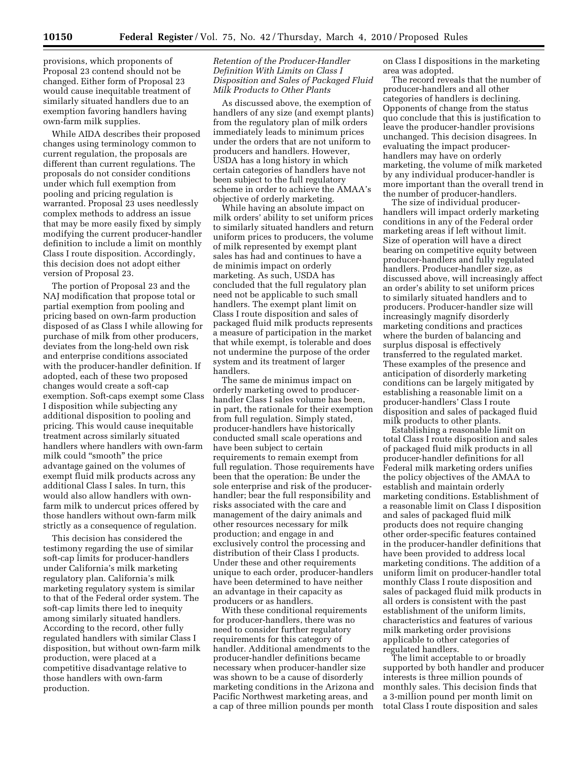provisions, which proponents of Proposal 23 contend should not be changed. Either form of Proposal 23 would cause inequitable treatment of similarly situated handlers due to an exemption favoring handlers having own-farm milk supplies.

While AIDA describes their proposed changes using terminology common to current regulation, the proposals are different than current regulations. The proposals do not consider conditions under which full exemption from pooling and pricing regulation is warranted. Proposal 23 uses needlessly complex methods to address an issue that may be more easily fixed by simply modifying the current producer-handler definition to include a limit on monthly Class I route disposition. Accordingly, this decision does not adopt either version of Proposal 23.

The portion of Proposal 23 and the NAJ modification that propose total or partial exemption from pooling and pricing based on own-farm production disposed of as Class I while allowing for purchase of milk from other producers, deviates from the long-held own risk and enterprise conditions associated with the producer-handler definition. If adopted, each of these two proposed changes would create a soft-cap exemption. Soft-caps exempt some Class I disposition while subjecting any additional disposition to pooling and pricing. This would cause inequitable treatment across similarly situated handlers where handlers with own-farm milk could ''smooth'' the price advantage gained on the volumes of exempt fluid milk products across any additional Class I sales. In turn, this would also allow handlers with ownfarm milk to undercut prices offered by those handlers without own-farm milk strictly as a consequence of regulation.

This decision has considered the testimony regarding the use of similar soft-cap limits for producer-handlers under California's milk marketing regulatory plan. California's milk marketing regulatory system is similar to that of the Federal order system. The soft-cap limits there led to inequity among similarly situated handlers. According to the record, other fully regulated handlers with similar Class I disposition, but without own-farm milk production, were placed at a competitive disadvantage relative to those handlers with own-farm production.

# *Retention of the Producer-Handler Definition With Limits on Class I Disposition and Sales of Packaged Fluid Milk Products to Other Plants*

As discussed above, the exemption of handlers of any size (and exempt plants) from the regulatory plan of milk orders immediately leads to minimum prices under the orders that are not uniform to producers and handlers. However, USDA has a long history in which certain categories of handlers have not been subject to the full regulatory scheme in order to achieve the AMAA's objective of orderly marketing.

While having an absolute impact on milk orders' ability to set uniform prices to similarly situated handlers and return uniform prices to producers, the volume of milk represented by exempt plant sales has had and continues to have a de minimis impact on orderly marketing. As such, USDA has concluded that the full regulatory plan need not be applicable to such small handlers. The exempt plant limit on Class I route disposition and sales of packaged fluid milk products represents a measure of participation in the market that while exempt, is tolerable and does not undermine the purpose of the order system and its treatment of larger handlers.

The same de minimus impact on orderly marketing owed to producerhandler Class I sales volume has been, in part, the rationale for their exemption from full regulation. Simply stated, producer-handlers have historically conducted small scale operations and have been subject to certain requirements to remain exempt from full regulation. Those requirements have been that the operation: Be under the sole enterprise and risk of the producerhandler; bear the full responsibility and risks associated with the care and management of the dairy animals and other resources necessary for milk production; and engage in and exclusively control the processing and distribution of their Class I products. Under these and other requirements unique to each order, producer-handlers have been determined to have neither an advantage in their capacity as producers or as handlers.

With these conditional requirements for producer-handlers, there was no need to consider further regulatory requirements for this category of handler. Additional amendments to the producer-handler definitions became necessary when producer-handler size was shown to be a cause of disorderly marketing conditions in the Arizona and Pacific Northwest marketing areas, and a cap of three million pounds per month on Class I dispositions in the marketing area was adopted.

The record reveals that the number of producer-handlers and all other categories of handlers is declining. Opponents of change from the status quo conclude that this is justification to leave the producer-handler provisions unchanged. This decision disagrees. In evaluating the impact producerhandlers may have on orderly marketing, the volume of milk marketed by any individual producer-handler is more important than the overall trend in the number of producer-handlers.

The size of individual producerhandlers will impact orderly marketing conditions in any of the Federal order marketing areas if left without limit. Size of operation will have a direct bearing on competitive equity between producer-handlers and fully regulated handlers. Producer-handler size, as discussed above, will increasingly affect an order's ability to set uniform prices to similarly situated handlers and to producers. Producer-handler size will increasingly magnify disorderly marketing conditions and practices where the burden of balancing and surplus disposal is effectively transferred to the regulated market. These examples of the presence and anticipation of disorderly marketing conditions can be largely mitigated by establishing a reasonable limit on a producer-handlers' Class I route disposition and sales of packaged fluid milk products to other plants.

Establishing a reasonable limit on total Class I route disposition and sales of packaged fluid milk products in all producer-handler definitions for all Federal milk marketing orders unifies the policy objectives of the AMAA to establish and maintain orderly marketing conditions. Establishment of a reasonable limit on Class I disposition and sales of packaged fluid milk products does not require changing other order-specific features contained in the producer-handler definitions that have been provided to address local marketing conditions. The addition of a uniform limit on producer-handler total monthly Class I route disposition and sales of packaged fluid milk products in all orders is consistent with the past establishment of the uniform limits, characteristics and features of various milk marketing order provisions applicable to other categories of regulated handlers.

The limit acceptable to or broadly supported by both handler and producer interests is three million pounds of monthly sales. This decision finds that a 3-million pound per month limit on total Class I route disposition and sales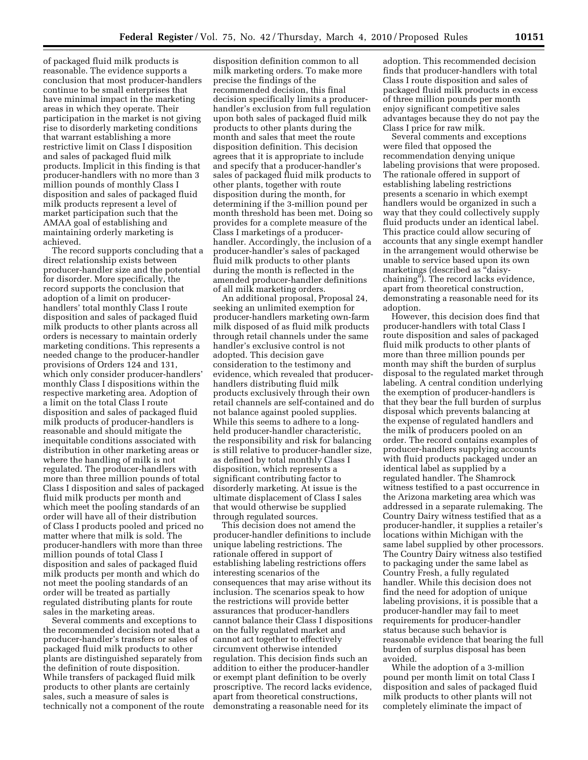of packaged fluid milk products is reasonable. The evidence supports a conclusion that most producer-handlers continue to be small enterprises that have minimal impact in the marketing areas in which they operate. Their participation in the market is not giving rise to disorderly marketing conditions that warrant establishing a more restrictive limit on Class I disposition and sales of packaged fluid milk products. Implicit in this finding is that producer-handlers with no more than 3 million pounds of monthly Class I disposition and sales of packaged fluid milk products represent a level of market participation such that the AMAA goal of establishing and maintaining orderly marketing is achieved.

The record supports concluding that a direct relationship exists between producer-handler size and the potential for disorder. More specifically, the record supports the conclusion that adoption of a limit on producerhandlers' total monthly Class I route disposition and sales of packaged fluid milk products to other plants across all orders is necessary to maintain orderly marketing conditions. This represents a needed change to the producer-handler provisions of Orders 124 and 131, which only consider producer-handlers' monthly Class I dispositions within the respective marketing area. Adoption of a limit on the total Class I route disposition and sales of packaged fluid milk products of producer-handlers is reasonable and should mitigate the inequitable conditions associated with distribution in other marketing areas or where the handling of milk is not regulated. The producer-handlers with more than three million pounds of total Class I disposition and sales of packaged fluid milk products per month and which meet the pooling standards of an order will have all of their distribution of Class I products pooled and priced no matter where that milk is sold. The producer-handlers with more than three million pounds of total Class I disposition and sales of packaged fluid milk products per month and which do not meet the pooling standards of an order will be treated as partially regulated distributing plants for route sales in the marketing areas.

Several comments and exceptions to the recommended decision noted that a producer-handler's transfers or sales of packaged fluid milk products to other plants are distinguished separately from the definition of route disposition. While transfers of packaged fluid milk products to other plants are certainly sales, such a measure of sales is technically not a component of the route

disposition definition common to all milk marketing orders. To make more precise the findings of the recommended decision, this final decision specifically limits a producerhandler's exclusion from full regulation upon both sales of packaged fluid milk products to other plants during the month and sales that meet the route disposition definition. This decision agrees that it is appropriate to include and specify that a producer-handler's sales of packaged fluid milk products to other plants, together with route disposition during the month, for determining if the 3-million pound per month threshold has been met. Doing so provides for a complete measure of the Class I marketings of a producerhandler. Accordingly, the inclusion of a producer-handler's sales of packaged fluid milk products to other plants during the month is reflected in the amended producer-handler definitions of all milk marketing orders.

An additional proposal, Proposal 24, seeking an unlimited exemption for producer-handlers marketing own-farm milk disposed of as fluid milk products through retail channels under the same handler's exclusive control is not adopted. This decision gave consideration to the testimony and evidence, which revealed that producerhandlers distributing fluid milk products exclusively through their own retail channels are self-contained and do not balance against pooled supplies. While this seems to adhere to a longheld producer-handler characteristic, the responsibility and risk for balancing is still relative to producer-handler size, as defined by total monthly Class I disposition, which represents a significant contributing factor to disorderly marketing. At issue is the ultimate displacement of Class I sales that would otherwise be supplied through regulated sources.

This decision does not amend the producer-handler definitions to include unique labeling restrictions. The rationale offered in support of establishing labeling restrictions offers interesting scenarios of the consequences that may arise without its inclusion. The scenarios speak to how the restrictions will provide better assurances that producer-handlers cannot balance their Class I dispositions on the fully regulated market and cannot act together to effectively circumvent otherwise intended regulation. This decision finds such an addition to either the producer-handler or exempt plant definition to be overly proscriptive. The record lacks evidence, apart from theoretical constructions, demonstrating a reasonable need for its

adoption. This recommended decision finds that producer-handlers with total Class I route disposition and sales of packaged fluid milk products in excess of three million pounds per month enjoy significant competitive sales advantages because they do not pay the Class I price for raw milk.

Several comments and exceptions were filed that opposed the recommendation denying unique labeling provisions that were proposed. The rationale offered in support of establishing labeling restrictions presents a scenario in which exempt handlers would be organized in such a way that they could collectively supply fluid products under an identical label. This practice could allow securing of accounts that any single exempt handler in the arrangement would otherwise be unable to service based upon its own marketings (described as "daisychaining''). The record lacks evidence, apart from theoretical construction, demonstrating a reasonable need for its adoption.

However, this decision does find that producer-handlers with total Class I route disposition and sales of packaged fluid milk products to other plants of more than three million pounds per month may shift the burden of surplus disposal to the regulated market through labeling. A central condition underlying the exemption of producer-handlers is that they bear the full burden of surplus disposal which prevents balancing at the expense of regulated handlers and the milk of producers pooled on an order. The record contains examples of producer-handlers supplying accounts with fluid products packaged under an identical label as supplied by a regulated handler. The Shamrock witness testified to a past occurrence in the Arizona marketing area which was addressed in a separate rulemaking. The Country Dairy witness testified that as a producer-handler, it supplies a retailer's locations within Michigan with the same label supplied by other processors. The Country Dairy witness also testified to packaging under the same label as Country Fresh, a fully regulated handler. While this decision does not find the need for adoption of unique labeling provisions, it is possible that a producer-handler may fail to meet requirements for producer-handler status because such behavior is reasonable evidence that bearing the full burden of surplus disposal has been avoided.

While the adoption of a 3-million pound per month limit on total Class I disposition and sales of packaged fluid milk products to other plants will not completely eliminate the impact of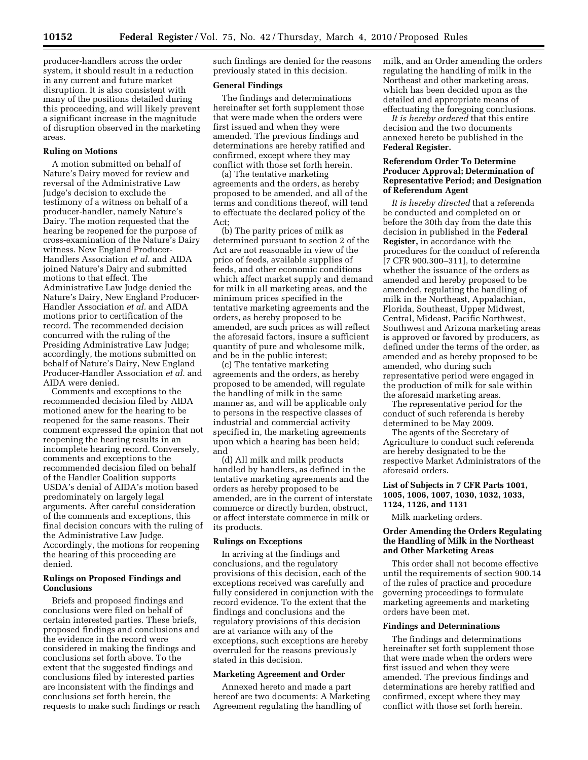producer-handlers across the order system, it should result in a reduction in any current and future market disruption. It is also consistent with many of the positions detailed during this proceeding, and will likely prevent a significant increase in the magnitude of disruption observed in the marketing areas.

#### **Ruling on Motions**

A motion submitted on behalf of Nature's Dairy moved for review and reversal of the Administrative Law Judge's decision to exclude the testimony of a witness on behalf of a producer-handler, namely Nature's Dairy. The motion requested that the hearing be reopened for the purpose of cross-examination of the Nature's Dairy witness. New England Producer-Handlers Association *et al.* and AIDA joined Nature's Dairy and submitted motions to that effect. The Administrative Law Judge denied the Nature's Dairy, New England Producer-Handler Association *et al.* and AIDA motions prior to certification of the record. The recommended decision concurred with the ruling of the Presiding Administrative Law Judge; accordingly, the motions submitted on behalf of Nature's Dairy, New England Producer-Handler Association *et al.* and AIDA were denied.

Comments and exceptions to the recommended decision filed by AIDA motioned anew for the hearing to be reopened for the same reasons. Their comment expressed the opinion that not reopening the hearing results in an incomplete hearing record. Conversely, comments and exceptions to the recommended decision filed on behalf of the Handler Coalition supports USDA's denial of AIDA's motion based predominately on largely legal arguments. After careful consideration of the comments and exceptions, this final decision concurs with the ruling of the Administrative Law Judge. Accordingly, the motions for reopening the hearing of this proceeding are denied.

#### **Rulings on Proposed Findings and Conclusions**

Briefs and proposed findings and conclusions were filed on behalf of certain interested parties. These briefs, proposed findings and conclusions and the evidence in the record were considered in making the findings and conclusions set forth above. To the extent that the suggested findings and conclusions filed by interested parties are inconsistent with the findings and conclusions set forth herein, the requests to make such findings or reach such findings are denied for the reasons previously stated in this decision.

#### **General Findings**

The findings and determinations hereinafter set forth supplement those that were made when the orders were first issued and when they were amended. The previous findings and determinations are hereby ratified and confirmed, except where they may conflict with those set forth herein.

(a) The tentative marketing agreements and the orders, as hereby proposed to be amended, and all of the terms and conditions thereof, will tend to effectuate the declared policy of the Act;

(b) The parity prices of milk as determined pursuant to section 2 of the Act are not reasonable in view of the price of feeds, available supplies of feeds, and other economic conditions which affect market supply and demand for milk in all marketing areas, and the minimum prices specified in the tentative marketing agreements and the orders, as hereby proposed to be amended, are such prices as will reflect the aforesaid factors, insure a sufficient quantity of pure and wholesome milk, and be in the public interest;

(c) The tentative marketing agreements and the orders, as hereby proposed to be amended, will regulate the handling of milk in the same manner as, and will be applicable only to persons in the respective classes of industrial and commercial activity specified in, the marketing agreements upon which a hearing has been held; and

(d) All milk and milk products handled by handlers, as defined in the tentative marketing agreements and the orders as hereby proposed to be amended, are in the current of interstate commerce or directly burden, obstruct, or affect interstate commerce in milk or its products.

#### **Rulings on Exceptions**

In arriving at the findings and conclusions, and the regulatory provisions of this decision, each of the exceptions received was carefully and fully considered in conjunction with the record evidence. To the extent that the findings and conclusions and the regulatory provisions of this decision are at variance with any of the exceptions, such exceptions are hereby overruled for the reasons previously stated in this decision.

# **Marketing Agreement and Order**

Annexed hereto and made a part hereof are two documents: A Marketing Agreement regulating the handling of

milk, and an Order amending the orders regulating the handling of milk in the Northeast and other marketing areas, which has been decided upon as the detailed and appropriate means of effectuating the foregoing conclusions.

*It is hereby ordered* that this entire decision and the two documents annexed hereto be published in the **Federal Register.** 

# **Referendum Order To Determine Producer Approval; Determination of Representative Period; and Designation of Referendum Agent**

*It is hereby directed* that a referenda be conducted and completed on or before the 30th day from the date this decision in published in the **Federal Register,** in accordance with the procedures for the conduct of referenda [7 CFR 900.300–311], to determine whether the issuance of the orders as amended and hereby proposed to be amended, regulating the handling of milk in the Northeast, Appalachian, Florida, Southeast, Upper Midwest, Central, Mideast, Pacific Northwest, Southwest and Arizona marketing areas is approved or favored by producers, as defined under the terms of the order, as amended and as hereby proposed to be amended, who during such representative period were engaged in the production of milk for sale within the aforesaid marketing areas.

The representative period for the conduct of such referenda is hereby determined to be May 2009.

The agents of the Secretary of Agriculture to conduct such referenda are hereby designated to be the respective Market Administrators of the aforesaid orders.

# **List of Subjects in 7 CFR Parts 1001, 1005, 1006, 1007, 1030, 1032, 1033, 1124, 1126, and 1131**

Milk marketing orders.

# **Order Amending the Orders Regulating the Handling of Milk in the Northeast and Other Marketing Areas**

This order shall not become effective until the requirements of section 900.14 of the rules of practice and procedure governing proceedings to formulate marketing agreements and marketing orders have been met.

#### **Findings and Determinations**

The findings and determinations hereinafter set forth supplement those that were made when the orders were first issued and when they were amended. The previous findings and determinations are hereby ratified and confirmed, except where they may conflict with those set forth herein.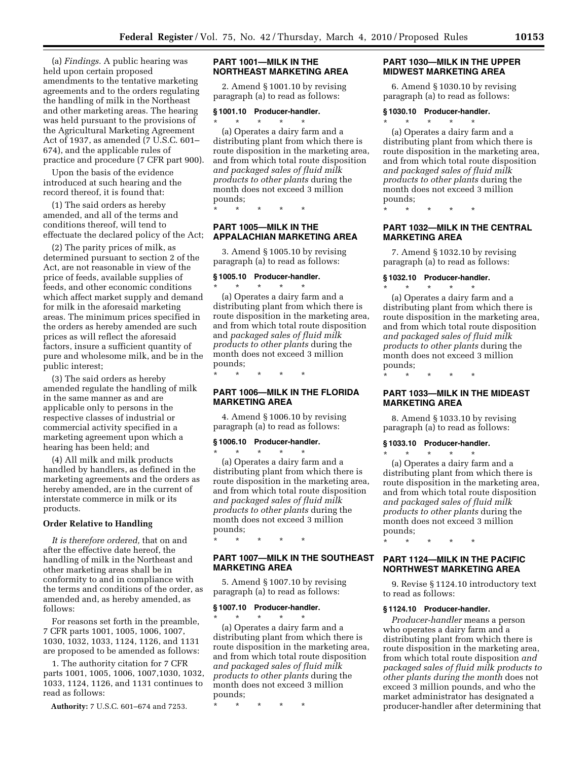(a) *Findings.* A public hearing was held upon certain proposed amendments to the tentative marketing agreements and to the orders regulating the handling of milk in the Northeast and other marketing areas. The hearing was held pursuant to the provisions of the Agricultural Marketing Agreement Act of 1937, as amended (7 U.S.C. 601– 674), and the applicable rules of practice and procedure (7 CFR part 900).

Upon the basis of the evidence introduced at such hearing and the record thereof, it is found that:

(1) The said orders as hereby amended, and all of the terms and conditions thereof, will tend to effectuate the declared policy of the Act;

(2) The parity prices of milk, as determined pursuant to section 2 of the Act, are not reasonable in view of the price of feeds, available supplies of feeds, and other economic conditions which affect market supply and demand for milk in the aforesaid marketing areas. The minimum prices specified in the orders as hereby amended are such prices as will reflect the aforesaid factors, insure a sufficient quantity of pure and wholesome milk, and be in the public interest;

(3) The said orders as hereby amended regulate the handling of milk in the same manner as and are applicable only to persons in the respective classes of industrial or commercial activity specified in a marketing agreement upon which a hearing has been held; and

(4) All milk and milk products handled by handlers, as defined in the marketing agreements and the orders as hereby amended, are in the current of interstate commerce in milk or its products.

#### **Order Relative to Handling**

*It is therefore ordered,* that on and after the effective date hereof, the handling of milk in the Northeast and other marketing areas shall be in conformity to and in compliance with the terms and conditions of the order, as amended and, as hereby amended, as follows:

For reasons set forth in the preamble, 7 CFR parts 1001, 1005, 1006, 1007, 1030, 1032, 1033, 1124, 1126, and 1131 are proposed to be amended as follows:

1. The authority citation for 7 CFR parts 1001, 1005, 1006, 1007,1030, 1032, 1033, 1124, 1126, and 1131 continues to read as follows:

**Authority:** 7 U.S.C. 601–674 and 7253.

# **PART 1001—MILK IN THE NORTHEAST MARKETING AREA**

2. Amend § 1001.10 by revising paragraph (a) to read as follows:

#### **§ 1001.10 Producer-handler.**

\* \* \* \* \* (a) Operates a dairy farm and a distributing plant from which there is route disposition in the marketing area, and from which total route disposition *and packaged sales of fluid milk products to other plants* during the month does not exceed 3 million pounds;

\* \* \* \* \*

#### **PART 1005—MILK IN THE APPALACHIAN MARKETING AREA**

3. Amend § 1005.10 by revising paragraph (a) to read as follows:

#### **§ 1005.10 Producer-handler.**

\* \* \* \* \* (a) Operates a dairy farm and a distributing plant from which there is route disposition in the marketing area, and from which total route disposition and *packaged sales of fluid milk products to other plants* during the month does not exceed 3 million pounds;

\* \* \* \* \*

# **PART 1006—MILK IN THE FLORIDA MARKETING AREA**

4. Amend § 1006.10 by revising paragraph (a) to read as follows:

# **§ 1006.10 Producer-handler.**

\* \* \* \* \* (a) Operates a dairy farm and a distributing plant from which there is route disposition in the marketing area, and from which total route disposition *and packaged sales of fluid milk products to other plants* during the month does not exceed 3 million pounds;

# **PART 1007—MILK IN THE SOUTHEAST MARKETING AREA**

5. Amend § 1007.10 by revising paragraph (a) to read as follows:

#### **§ 1007.10 Producer-handler.**

\* \* \* \* \*

\* \* \* \* \* (a) Operates a dairy farm and a distributing plant from which there is route disposition in the marketing area, and from which total route disposition *and packaged sales of fluid milk products to other plants* during the month does not exceed 3 million pounds;

\* \* \* \* \*

#### **PART 1030—MILK IN THE UPPER MIDWEST MARKETING AREA**

6. Amend § 1030.10 by revising paragraph (a) to read as follows:

#### **§ 1030.10 Producer-handler.**  \* \* \* \* \*

(a) Operates a dairy farm and a distributing plant from which there is route disposition in the marketing area, and from which total route disposition *and packaged sales of fluid milk products to other plants* during the month does not exceed 3 million pounds;

\* \* \* \* \*

# **PART 1032—MILK IN THE CENTRAL MARKETING AREA**

7. Amend § 1032.10 by revising paragraph (a) to read as follows:

# **§ 1032.10 Producer-handler.**

\* \* \* \* \* (a) Operates a dairy farm and a distributing plant from which there is route disposition in the marketing area, and from which total route disposition *and packaged sales of fluid milk products to other plants* during the month does not exceed 3 million pounds;

\* \* \* \* \*

# **PART 1033—MILK IN THE MIDEAST MARKETING AREA**

8. Amend § 1033.10 by revising paragraph (a) to read as follows:

#### **§ 1033.10 Producer-handler.**

 $\star$   $\star$   $\star$ (a) Operates a dairy farm and a distributing plant from which there is route disposition in the marketing area, and from which total route disposition *and packaged sales of fluid milk products to other plants* during the month does not exceed 3 million pounds;

\* \* \* \* \*

#### **PART 1124—MILK IN THE PACIFIC NORTHWEST MARKETING AREA**

9. Revise § 1124.10 introductory text to read as follows:

#### **§ 1124.10 Producer-handler.**

*Producer-handler* means a person who operates a dairy farm and a distributing plant from which there is route disposition in the marketing area, from which total route disposition *and packaged sales of fluid milk products to other plants during the month* does not exceed 3 million pounds, and who the market administrator has designated a producer-handler after determining that